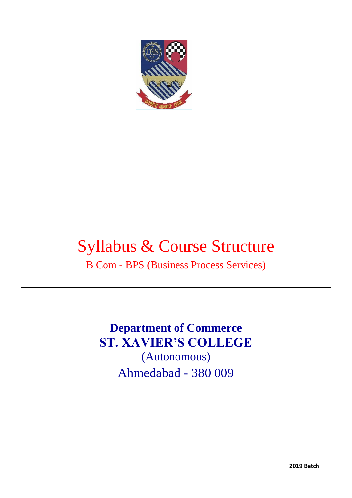

# Syllabus & Course Structure

B Com - BPS (Business Process Services)

**Department of Commerce ST. XAVIER'S COLLEGE** (Autonomous) Ahmedabad - 380 009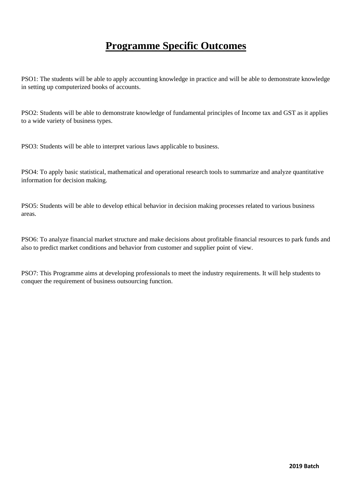# **Programme Specific Outcomes**

PSO1: The students will be able to apply accounting knowledge in practice and will be able to demonstrate knowledge in setting up computerized books of accounts.

PSO2: Students will be able to demonstrate knowledge of fundamental principles of Income tax and GST as it applies to a wide variety of business types.

PSO3: Students will be able to interpret various laws applicable to business.

PSO4: To apply basic statistical, mathematical and operational research tools to summarize and analyze quantitative information for decision making.

PSO5: Students will be able to develop ethical behavior in decision making processes related to various business areas.

PSO6: To analyze financial market structure and make decisions about profitable financial resources to park funds and also to predict market conditions and behavior from customer and supplier point of view.

PSO7: This Programme aims at developing professionals to meet the industry requirements. It will help students to conquer the requirement of business outsourcing function.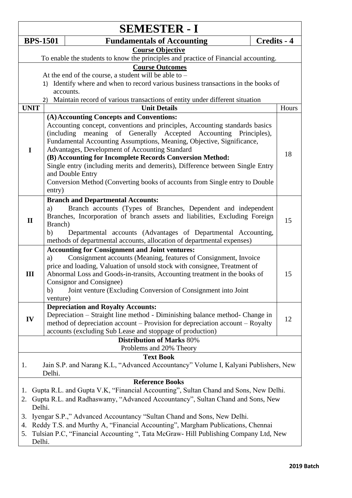| <b>SEMESTER - I</b>                                                                                                    |                                                                                                                                                                                                                                                                                                                                                                                                                                                   |                    |  |  |  |  |
|------------------------------------------------------------------------------------------------------------------------|---------------------------------------------------------------------------------------------------------------------------------------------------------------------------------------------------------------------------------------------------------------------------------------------------------------------------------------------------------------------------------------------------------------------------------------------------|--------------------|--|--|--|--|
| <b>BPS-1501</b>                                                                                                        | <b>Fundamentals of Accounting</b>                                                                                                                                                                                                                                                                                                                                                                                                                 | <b>Credits - 4</b> |  |  |  |  |
|                                                                                                                        | <b>Course Objective</b>                                                                                                                                                                                                                                                                                                                                                                                                                           |                    |  |  |  |  |
|                                                                                                                        | To enable the students to know the principles and practice of Financial accounting.<br><b>Course Outcomes</b>                                                                                                                                                                                                                                                                                                                                     |                    |  |  |  |  |
|                                                                                                                        | At the end of the course, a student will be able to $-$                                                                                                                                                                                                                                                                                                                                                                                           |                    |  |  |  |  |
|                                                                                                                        | 1) Identify where and when to record various business transactions in the books of                                                                                                                                                                                                                                                                                                                                                                |                    |  |  |  |  |
|                                                                                                                        | accounts.                                                                                                                                                                                                                                                                                                                                                                                                                                         |                    |  |  |  |  |
|                                                                                                                        | Maintain record of various transactions of entity under different situation<br>2)                                                                                                                                                                                                                                                                                                                                                                 |                    |  |  |  |  |
| <b>UNIT</b>                                                                                                            | <b>Unit Details</b>                                                                                                                                                                                                                                                                                                                                                                                                                               | Hours              |  |  |  |  |
|                                                                                                                        | (A) Accounting Concepts and Conventions:                                                                                                                                                                                                                                                                                                                                                                                                          |                    |  |  |  |  |
| $\mathbf I$                                                                                                            | Accounting concept, conventions and principles, Accounting standards basics<br>meaning of Generally Accepted Accounting Principles),<br>(including)<br>Fundamental Accounting Assumptions, Meaning, Objective, Significance,<br>Advantages, Development of Accounting Standard<br>(B) Accounting for Incomplete Records Conversion Method:<br>Single entry (including merits and demerits), Difference between Single Entry                       | 18                 |  |  |  |  |
|                                                                                                                        | and Double Entry<br>Conversion Method (Converting books of accounts from Single entry to Double<br>entry)                                                                                                                                                                                                                                                                                                                                         |                    |  |  |  |  |
| $\mathbf{I}$                                                                                                           | <b>Branch and Departmental Accounts:</b><br>Branch accounts (Types of Branches, Dependent and independent<br>a)<br>Branches, Incorporation of branch assets and liabilities, Excluding Foreign<br>Branch)<br>Departmental accounts (Advantages of Departmental Accounting,<br>b)<br>methods of departmental accounts, allocation of departmental expenses)                                                                                        | 15                 |  |  |  |  |
| Ш                                                                                                                      | <b>Accounting for Consignment and Joint ventures:</b><br>Consignment accounts (Meaning, features of Consignment, Invoice<br>a)<br>price and loading, Valuation of unsold stock with consignee, Treatment of<br>Abnormal Loss and Goods-in-transits, Accounting treatment in the books of<br>Consignor and Consignee)<br>Joint venture (Excluding Conversion of Consignment into Joint<br>b)<br>venture)                                           | 15                 |  |  |  |  |
| IV                                                                                                                     | <b>Depreciation and Royalty Accounts:</b><br>Depreciation - Straight line method - Diminishing balance method- Change in<br>method of depreciation account – Provision for depreciation account – Royalty<br>accounts (excluding Sub Lease and stoppage of production)                                                                                                                                                                            |                    |  |  |  |  |
|                                                                                                                        | <b>Distribution of Marks 80%</b>                                                                                                                                                                                                                                                                                                                                                                                                                  |                    |  |  |  |  |
|                                                                                                                        | Problems and 20% Theory                                                                                                                                                                                                                                                                                                                                                                                                                           |                    |  |  |  |  |
| <b>Text Book</b><br>Jain S.P. and Narang K.L, "Advanced Accountancy" Volume I, Kalyani Publishers, New<br>1.<br>Delhi. |                                                                                                                                                                                                                                                                                                                                                                                                                                                   |                    |  |  |  |  |
| 1.<br>2.<br>Delhi.<br>3.<br>4.<br>5.<br>Delhi.                                                                         | <b>Reference Books</b><br>Gupta R.L. and Gupta V.K, "Financial Accounting", Sultan Chand and Sons, New Delhi.<br>Gupta R.L. and Radhaswamy, "Advanced Accountancy", Sultan Chand and Sons, New<br>Iyengar S.P.," Advanced Accountancy "Sultan Chand and Sons, New Delhi.<br>Reddy T.S. and Murthy A, "Financial Accounting", Margham Publications, Chennai<br>Tulsian P.C, "Financial Accounting ", Tata McGraw- Hill Publishing Company Ltd, New |                    |  |  |  |  |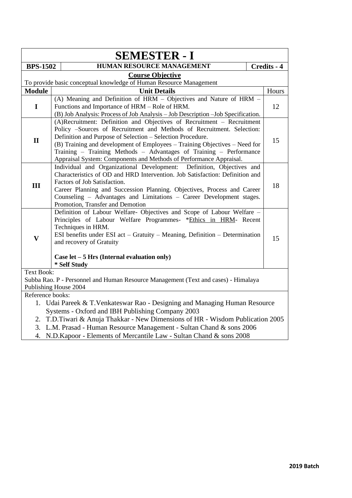|                         | <b>SEMESTER - I</b>                                                                                                                                                                                                                                                                                                                                                                                                                     |             |  |  |  |  |
|-------------------------|-----------------------------------------------------------------------------------------------------------------------------------------------------------------------------------------------------------------------------------------------------------------------------------------------------------------------------------------------------------------------------------------------------------------------------------------|-------------|--|--|--|--|
| <b>BPS-1502</b>         | <b>HUMAN RESOURCE MANAGEMENT</b>                                                                                                                                                                                                                                                                                                                                                                                                        | Credits - 4 |  |  |  |  |
|                         | <b>Course Objective</b>                                                                                                                                                                                                                                                                                                                                                                                                                 |             |  |  |  |  |
|                         | To provide basic conceptual knowledge of Human Resource Management                                                                                                                                                                                                                                                                                                                                                                      |             |  |  |  |  |
| Module                  | <b>Unit Details</b>                                                                                                                                                                                                                                                                                                                                                                                                                     | Hours       |  |  |  |  |
| $\mathbf I$             | (A) Meaning and Definition of HRM - Objectives and Nature of HRM -<br>Functions and Importance of HRM - Role of HRM.<br>(B) Job Analysis: Process of Job Analysis - Job Description - Job Specification.                                                                                                                                                                                                                                |             |  |  |  |  |
| $\mathbf{I}$            | (A)Recruitment: Definition and Objectives of Recruitment - Recruitment<br>Policy -Sources of Recruitment and Methods of Recruitment. Selection:<br>Definition and Purpose of Selection - Selection Procedure.<br>(B) Training and development of Employees - Training Objectives - Need for<br>Training - Training Methods - Advantages of Training - Performance<br>Appraisal System: Components and Methods of Performance Appraisal. | 15          |  |  |  |  |
| III                     | Individual and Organizational Development: Definition, Objectives and<br>Characteristics of OD and HRD Intervention. Job Satisfaction: Definition and<br>Factors of Job Satisfaction.<br>Career Planning and Succession Planning. Objectives, Process and Career<br>Counseling - Advantages and Limitations - Career Development stages.<br>Promotion, Transfer and Demotion                                                            |             |  |  |  |  |
| $\overline{\mathbf{V}}$ | Definition of Labour Welfare- Objectives and Scope of Labour Welfare -<br>Principles of Labour Welfare Programmes- *Ethics in HRM- Recent<br>Techniques in HRM.<br>ESI benefits under ESI act – Gratuity – Meaning, Definition – Determination<br>and recovery of Gratuity<br>Case let $-5$ Hrs (Internal evaluation only)<br>* Self Study                                                                                              | 15          |  |  |  |  |
| <b>Text Book:</b>       |                                                                                                                                                                                                                                                                                                                                                                                                                                         |             |  |  |  |  |
|                         | Subba Rao. P - Personnel and Human Resource Management (Text and cases) - Himalaya                                                                                                                                                                                                                                                                                                                                                      |             |  |  |  |  |
|                         | Publishing House 2004                                                                                                                                                                                                                                                                                                                                                                                                                   |             |  |  |  |  |
| Reference books:        |                                                                                                                                                                                                                                                                                                                                                                                                                                         |             |  |  |  |  |
|                         | 1. Udai Pareek & T. Venkateswar Rao - Designing and Managing Human Resource                                                                                                                                                                                                                                                                                                                                                             |             |  |  |  |  |
|                         | Systems - Oxford and IBH Publishing Company 2003                                                                                                                                                                                                                                                                                                                                                                                        |             |  |  |  |  |
|                         | 2. T.D.Tiwari & Anuja Thakkar - New Dimensions of HR - Wisdom Publication 2005                                                                                                                                                                                                                                                                                                                                                          |             |  |  |  |  |
|                         | 3. L.M. Prasad - Human Resource Management - Sultan Chand & sons 2006<br>4. N.D. Kapoor - Elements of Mercantile Law - Sultan Chand & sons 2008                                                                                                                                                                                                                                                                                         |             |  |  |  |  |
|                         |                                                                                                                                                                                                                                                                                                                                                                                                                                         |             |  |  |  |  |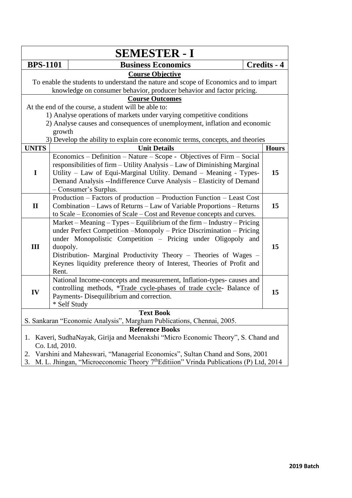| <b>SEMESTER - I</b> |                                                                                                                                                                                          |                                                                                                                                                                                                                                                                                                                                                               |              |  |  |
|---------------------|------------------------------------------------------------------------------------------------------------------------------------------------------------------------------------------|---------------------------------------------------------------------------------------------------------------------------------------------------------------------------------------------------------------------------------------------------------------------------------------------------------------------------------------------------------------|--------------|--|--|
| <b>BPS-1101</b>     |                                                                                                                                                                                          | <b>Business Economics</b>                                                                                                                                                                                                                                                                                                                                     | Credits - 4  |  |  |
|                     | <b>Course Objective</b><br>To enable the students to understand the nature and scope of Economics and to impart<br>knowledge on consumer behavior, producer behavior and factor pricing. |                                                                                                                                                                                                                                                                                                                                                               |              |  |  |
|                     |                                                                                                                                                                                          | <b>Course Outcomes</b>                                                                                                                                                                                                                                                                                                                                        |              |  |  |
|                     |                                                                                                                                                                                          | At the end of the course, a student will be able to:                                                                                                                                                                                                                                                                                                          |              |  |  |
|                     |                                                                                                                                                                                          | 1) Analyse operations of markets under varying competitive conditions                                                                                                                                                                                                                                                                                         |              |  |  |
|                     |                                                                                                                                                                                          | 2) Analyse causes and consequences of unemployment, inflation and economic                                                                                                                                                                                                                                                                                    |              |  |  |
|                     | growth                                                                                                                                                                                   |                                                                                                                                                                                                                                                                                                                                                               |              |  |  |
|                     |                                                                                                                                                                                          | 3) Develop the ability to explain core economic terms, concepts, and theories                                                                                                                                                                                                                                                                                 |              |  |  |
| <b>UNITS</b>        |                                                                                                                                                                                          | <b>Unit Details</b>                                                                                                                                                                                                                                                                                                                                           | <b>Hours</b> |  |  |
|                     |                                                                                                                                                                                          | Economics – Definition – Nature – Scope - Objectives of Firm – Social<br>responsibilities of firm - Utility Analysis - Law of Diminishing Marginal                                                                                                                                                                                                            |              |  |  |
| I                   |                                                                                                                                                                                          | Utility - Law of Equi-Marginal Utility. Demand - Meaning - Types-<br>Demand Analysis --Indifference Curve Analysis -- Elasticity of Demand<br>- Consumer's Surplus.                                                                                                                                                                                           | 15           |  |  |
|                     | Production – Factors of production – Production Function – Least Cost                                                                                                                    |                                                                                                                                                                                                                                                                                                                                                               |              |  |  |
| $\mathbf{I}$        |                                                                                                                                                                                          | Combination - Laws of Returns - Law of Variable Proportions - Returns                                                                                                                                                                                                                                                                                         | 15           |  |  |
|                     | to Scale – Economies of Scale – Cost and Revenue concepts and curves.                                                                                                                    |                                                                                                                                                                                                                                                                                                                                                               |              |  |  |
| III                 | duopoly.                                                                                                                                                                                 | Market - Meaning - Types - Equilibrium of the firm - Industry - Pricing<br>under Perfect Competition -Monopoly - Price Discrimination - Pricing<br>under Monopolistic Competition - Pricing under Oligopoly and<br>Distribution- Marginal Productivity Theory - Theories of Wages -<br>Keynes liquidity preference theory of Interest, Theories of Profit and | 15           |  |  |
|                     | Rent.                                                                                                                                                                                    |                                                                                                                                                                                                                                                                                                                                                               |              |  |  |
| IV                  | National Income-concepts and measurement, Inflation-types-causes and<br>controlling methods, *Trade cycle-phases of trade cycle- Balance of<br>Payments-Disequilibrium and correction.   |                                                                                                                                                                                                                                                                                                                                                               |              |  |  |
|                     |                                                                                                                                                                                          | * Self Study                                                                                                                                                                                                                                                                                                                                                  |              |  |  |
|                     |                                                                                                                                                                                          | <b>Text Book</b><br>S. Sankaran "Economic Analysis", Margham Publications, Chennai, 2005.                                                                                                                                                                                                                                                                     |              |  |  |
|                     |                                                                                                                                                                                          | <b>Reference Books</b>                                                                                                                                                                                                                                                                                                                                        |              |  |  |
| 1.                  | Co. Ltd, 2010.                                                                                                                                                                           | Kaveri, SudhaNayak, Girija and Meenakshi "Micro Economic Theory", S. Chand and                                                                                                                                                                                                                                                                                |              |  |  |
| 2.                  |                                                                                                                                                                                          | Varshini and Maheswari, "Managerial Economics", Sultan Chand and Sons, 2001                                                                                                                                                                                                                                                                                   |              |  |  |
|                     | M. L. Jhingan, "Microeconomic Theory 7 <sup>th</sup> Editiion" Vrinda Publications (P) Ltd, 2014<br>3.                                                                                   |                                                                                                                                                                                                                                                                                                                                                               |              |  |  |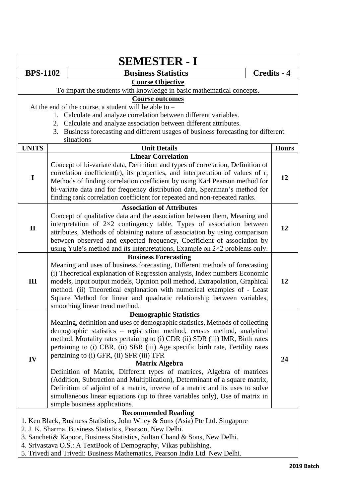| <b>SEMESTER - I</b>                                                         |                            |                                                                                                                    |  |                    |  |
|-----------------------------------------------------------------------------|----------------------------|--------------------------------------------------------------------------------------------------------------------|--|--------------------|--|
| <b>BPS-1102</b>                                                             |                            | <b>Business Statistics</b>                                                                                         |  | <b>Credits - 4</b> |  |
|                                                                             |                            | <b>Course Objective</b>                                                                                            |  |                    |  |
|                                                                             |                            | To impart the students with knowledge in basic mathematical concepts.                                              |  |                    |  |
|                                                                             |                            | <b>Course outcomes</b>                                                                                             |  |                    |  |
|                                                                             |                            | At the end of the course, a student will be able to -                                                              |  |                    |  |
|                                                                             |                            | 1. Calculate and analyze correlation between different variables.                                                  |  |                    |  |
| 2. Calculate and analyze association between different attributes.          |                            |                                                                                                                    |  |                    |  |
|                                                                             |                            | 3. Business forecasting and different usages of business forecasting for different                                 |  |                    |  |
| <b>UNITS</b>                                                                |                            | situations                                                                                                         |  |                    |  |
|                                                                             |                            | <b>Unit Details</b><br><b>Linear Correlation</b>                                                                   |  | <b>Hours</b>       |  |
|                                                                             |                            | Concept of bi-variate data, Definition and types of correlation, Definition of                                     |  |                    |  |
|                                                                             |                            | correlation coefficient(r), its properties, and interpretation of values of r,                                     |  |                    |  |
| I                                                                           |                            | Methods of finding correlation coefficient by using Karl Pearson method for                                        |  | 12                 |  |
|                                                                             |                            | bi-variate data and for frequency distribution data, Spearman's method for                                         |  |                    |  |
|                                                                             |                            | finding rank correlation coefficient for repeated and non-repeated ranks.                                          |  |                    |  |
|                                                                             |                            |                                                                                                                    |  |                    |  |
|                                                                             |                            | <b>Association of Attributes</b>                                                                                   |  |                    |  |
|                                                                             |                            | Concept of qualitative data and the association between them, Meaning and                                          |  |                    |  |
| $\mathbf{I}$                                                                |                            | interpretation of $2\times2$ contingency table, Types of association between                                       |  | 12                 |  |
|                                                                             |                            | attributes, Methods of obtaining nature of association by using comparison                                         |  |                    |  |
|                                                                             |                            | between observed and expected frequency, Coefficient of association by                                             |  |                    |  |
|                                                                             |                            | using Yule's method and its interpretations, Example on $2 \times 2$ problems only.<br><b>Business Forecasting</b> |  |                    |  |
|                                                                             |                            | Meaning and uses of business forecasting, Different methods of forecasting                                         |  |                    |  |
|                                                                             |                            | (i) Theoretical explanation of Regression analysis, Index numbers Economic                                         |  |                    |  |
| III                                                                         |                            | models, Input output models, Opinion poll method, Extrapolation, Graphical                                         |  | 12                 |  |
|                                                                             |                            | method. (ii) Theoretical explanation with numerical examples of - Least                                            |  |                    |  |
|                                                                             |                            | Square Method for linear and quadratic relationship between variables,                                             |  |                    |  |
|                                                                             |                            | smoothing linear trend method.                                                                                     |  |                    |  |
|                                                                             |                            | <b>Demographic Statistics</b>                                                                                      |  |                    |  |
|                                                                             |                            | Meaning, definition and uses of demographic statistics, Methods of collecting                                      |  |                    |  |
|                                                                             |                            | demographic statistics - registration method, census method, analytical                                            |  |                    |  |
|                                                                             |                            | method. Mortality rates pertaining to (i) CDR (ii) SDR (iii) IMR, Birth rates                                      |  |                    |  |
|                                                                             |                            | pertaining to (i) CBR, (ii) SBR (iii) Age specific birth rate, Fertility rates                                     |  |                    |  |
| IV                                                                          |                            | pertaining to (i) GFR, (ii) SFR (iii) TFR                                                                          |  | 24                 |  |
|                                                                             |                            | <b>Matrix Algebra</b>                                                                                              |  |                    |  |
|                                                                             |                            | Definition of Matrix, Different types of matrices, Algebra of matrices                                             |  |                    |  |
|                                                                             |                            | (Addition, Subtraction and Multiplication), Determinant of a square matrix,                                        |  |                    |  |
|                                                                             |                            | Definition of adjoint of a matrix, inverse of a matrix and its uses to solve                                       |  |                    |  |
|                                                                             |                            | simultaneous linear equations (up to three variables only), Use of matrix in                                       |  |                    |  |
|                                                                             |                            | simple business applications.                                                                                      |  |                    |  |
|                                                                             | <b>Recommended Reading</b> |                                                                                                                    |  |                    |  |
|                                                                             |                            | 1. Ken Black, Business Statistics, John Wiley & Sons (Asia) Pte Ltd. Singapore                                     |  |                    |  |
|                                                                             |                            | 2. J. K. Sharma, Business Statistics, Pearson, New Delhi.                                                          |  |                    |  |
| 3. Sancheti& Kapoor, Business Statistics, Sultan Chand & Sons, New Delhi.   |                            |                                                                                                                    |  |                    |  |
|                                                                             |                            | 4. Srivastava O.S.: A TextBook of Demography, Vikas publishing.                                                    |  |                    |  |
| 5. Trivedi and Trivedi: Business Mathematics, Pearson India Ltd. New Delhi. |                            |                                                                                                                    |  |                    |  |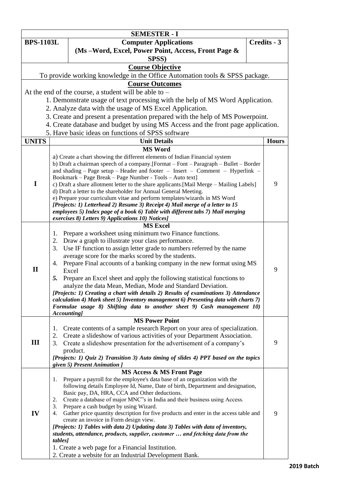|                  |                                                                                                                                                                     | <b>SEMESTER - I</b>                                                                                                                                           |             |              |  |
|------------------|---------------------------------------------------------------------------------------------------------------------------------------------------------------------|---------------------------------------------------------------------------------------------------------------------------------------------------------------|-------------|--------------|--|
| <b>BPS-1103L</b> |                                                                                                                                                                     | <b>Computer Applications</b>                                                                                                                                  | Credits - 3 |              |  |
|                  |                                                                                                                                                                     | (Ms-Word, Excel, Power Point, Access, Front Page &                                                                                                            |             |              |  |
|                  |                                                                                                                                                                     | SPSS)                                                                                                                                                         |             |              |  |
|                  |                                                                                                                                                                     | <b>Course Objective</b>                                                                                                                                       |             |              |  |
|                  |                                                                                                                                                                     | To provide working knowledge in the Office Automation tools & SPSS package.                                                                                   |             |              |  |
|                  |                                                                                                                                                                     | <b>Course Outcomes</b>                                                                                                                                        |             |              |  |
|                  |                                                                                                                                                                     | At the end of the course, a student will be able to $-$                                                                                                       |             |              |  |
|                  |                                                                                                                                                                     | 1. Demonstrate usage of text processing with the help of MS Word Application.                                                                                 |             |              |  |
|                  |                                                                                                                                                                     | 2. Analyze data with the usage of MS Excel Application.                                                                                                       |             |              |  |
|                  |                                                                                                                                                                     | 3. Create and present a presentation prepared with the help of MS Powerpoint.                                                                                 |             |              |  |
|                  |                                                                                                                                                                     | 4. Create database and budget by using MS Access and the front page application.                                                                              |             |              |  |
|                  |                                                                                                                                                                     | 5. Have basic ideas on functions of SPSS software                                                                                                             |             |              |  |
| <b>UNITS</b>     |                                                                                                                                                                     | <b>Unit Details</b>                                                                                                                                           |             | <b>Hours</b> |  |
|                  |                                                                                                                                                                     | <b>MS Word</b>                                                                                                                                                |             |              |  |
|                  |                                                                                                                                                                     | a) Create a chart showing the different elements of Indian Financial system                                                                                   |             |              |  |
|                  |                                                                                                                                                                     | b) Draft a chairman speech of a company. [Format – Font – Paragraph – Bullet – Border                                                                         |             |              |  |
|                  |                                                                                                                                                                     | and shading – Page setup – Header and footer – Insert – Comment – Hyperlink –                                                                                 |             |              |  |
|                  |                                                                                                                                                                     | Bookmark - Page Break - Page Number - Tools - Auto text]                                                                                                      |             |              |  |
| I                |                                                                                                                                                                     | c) Draft a share allotment letter to the share applicants.[Mail Merge - Mailing Labels]                                                                       |             | 9            |  |
|                  |                                                                                                                                                                     | d) Draft a letter to the shareholder for Annual General Meeting.<br>e) Prepare your curriculum vitae and perform templates/wizards in MS Word                 |             |              |  |
|                  |                                                                                                                                                                     | [Projects: 1) Letterhead 2) Resume 3) Receipt 4) Mail merge of a letter to 15                                                                                 |             |              |  |
|                  |                                                                                                                                                                     | employees 5) Index page of a book 6) Table with different tabs 7) Mail merging                                                                                |             |              |  |
|                  |                                                                                                                                                                     | exercises 8) Letters 9) Applications 10) Notices]                                                                                                             |             |              |  |
|                  |                                                                                                                                                                     | <b>MS Excel</b>                                                                                                                                               |             |              |  |
|                  | 1.                                                                                                                                                                  | Prepare a worksheet using minimum two Finance functions.                                                                                                      |             |              |  |
|                  | 2.                                                                                                                                                                  | Draw a graph to illustrate your class performance.                                                                                                            |             |              |  |
|                  | 3.                                                                                                                                                                  | Use IF function to assign letter grade to numbers referred by the name                                                                                        |             |              |  |
|                  | 4.                                                                                                                                                                  | average score for the marks scored by the students.<br>Prepare Final accounts of a banking company in the new format using MS                                 |             |              |  |
| $\mathbf{I}$     |                                                                                                                                                                     | Excel                                                                                                                                                         |             | 9            |  |
|                  | 5.                                                                                                                                                                  | Prepare an Excel sheet and apply the following statistical functions to                                                                                       |             |              |  |
|                  |                                                                                                                                                                     | analyze the data Mean, Median, Mode and Standard Deviation.                                                                                                   |             |              |  |
|                  |                                                                                                                                                                     | [Projects: 1] Creating a chart with details 2) Results of examinations 3) Attendance                                                                          |             |              |  |
|                  |                                                                                                                                                                     | calculation 4) Mark sheet 5) Inventory management 6) Presenting data with charts 7)                                                                           |             |              |  |
|                  |                                                                                                                                                                     | Formulae usage 8) Shifting data to another sheet 9) Cash management 10)                                                                                       |             |              |  |
|                  | Accounting]                                                                                                                                                         | <b>MS Power Point</b>                                                                                                                                         |             |              |  |
|                  | 1.                                                                                                                                                                  | Create contents of a sample research Report on your area of specialization.                                                                                   |             |              |  |
|                  | 2.                                                                                                                                                                  | Create a slideshow of various activities of your Department Association.                                                                                      |             |              |  |
| Ш                | 3.                                                                                                                                                                  | Create a slideshow presentation for the advertisement of a company's                                                                                          |             | 9            |  |
|                  |                                                                                                                                                                     | product.                                                                                                                                                      |             |              |  |
|                  |                                                                                                                                                                     | [Projects: 1) Quiz 2) Transition 3) Auto timing of slides 4) PPT based on the topics                                                                          |             |              |  |
|                  |                                                                                                                                                                     | given 5) Present Animation ]                                                                                                                                  |             |              |  |
|                  |                                                                                                                                                                     | <b>MS Access &amp; MS Front Page</b>                                                                                                                          |             |              |  |
|                  | 1.                                                                                                                                                                  | Prepare a payroll for the employee's data base of an organization with the<br>following details Employee Id, Name, Date of birth, Department and designation, |             |              |  |
|                  |                                                                                                                                                                     | Basic pay, DA, HRA, CCA and Other deductions.                                                                                                                 |             |              |  |
|                  | 2.                                                                                                                                                                  | Create a database of major MNC"s in India and their business using Access.                                                                                    |             |              |  |
|                  | 3.                                                                                                                                                                  | Prepare a cash budget by using Wizard.                                                                                                                        |             |              |  |
| IV               | 4.                                                                                                                                                                  | Gather price quantity description for five products and enter in the access table and                                                                         |             | 9            |  |
|                  |                                                                                                                                                                     | create an invoice in Form design view.                                                                                                                        |             |              |  |
|                  | [Projects: 1) Tables with data 2) Updating data 3) Tables with data of inventory,<br>students, attendance, products, supplier, customer  and fetching data from the |                                                                                                                                                               |             |              |  |
|                  | tables]                                                                                                                                                             |                                                                                                                                                               |             |              |  |
|                  |                                                                                                                                                                     | 1. Create a web page for a Financial Institution.                                                                                                             |             |              |  |
|                  |                                                                                                                                                                     | 2. Create a website for an Industrial Development Bank.                                                                                                       |             |              |  |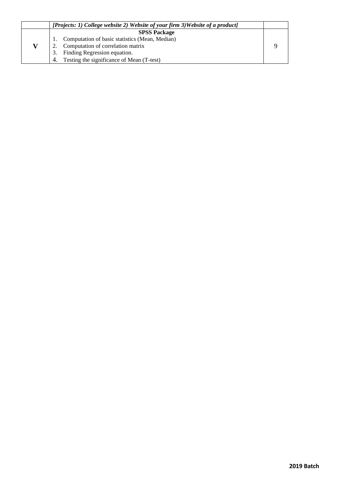| [Projects: 1) College website 2) Website of your firm 3) Website of a product] |  |
|--------------------------------------------------------------------------------|--|
| <b>SPSS Package</b>                                                            |  |
| Computation of basic statistics (Mean, Median)                                 |  |
| Computation of correlation matrix                                              |  |
| Finding Regression equation.<br>3.                                             |  |
| Testing the significance of Mean (T-test)<br>4.                                |  |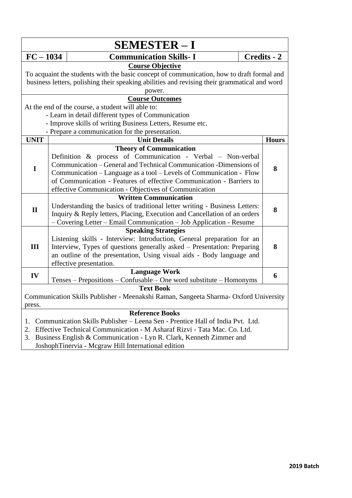| <b>Communication Skills-I</b><br>Credits - 2<br>$FC - 1034$<br><b>Course Objective</b><br>To acquaint the students with the basic concept of communication, how to draft formal and<br>business letters, polishing their speaking abilities and revising their grammatical and word<br>power.<br><b>Course Outcomes</b><br>At the end of the course, a student will able to:<br>- Learn in detail different types of Communication<br>- Improve skills of writing Business Letters, Resume etc.<br>- Prepare a communication for the presentation.<br><b>UNIT</b><br><b>Unit Details</b><br><b>Hours</b><br><b>Theory of Communication</b><br>Definition & process of Communication - Verbal - Non-verbal<br>Communication – General and Technical Communication - Dimensions of<br>$\mathbf I$<br>8<br>Communication – Language as a tool – Levels of Communication - Flow<br>of Communication - Features of effective Communication - Barriers to<br>effective Communication - Objectives of Communication<br><b>Written Communication</b><br>Understanding the basics of traditional letter writing - Business Letters:<br>$\mathbf{I}$<br>8<br>Inquiry & Reply letters, Placing, Execution and Cancellation of an orders<br>- Covering Letter - Email Communication - Job Application - Resume<br><b>Speaking Strategies</b><br>Listening skills - Interview: Introduction, General preparation for an<br>III<br>Interview, Types of questions generally asked - Presentation: Preparing<br>8<br>an outline of the presentation, Using visual aids - Body language and<br>effective presentation.<br><b>Language Work</b><br>IV<br>6 |  |  |  |  |
|------------------------------------------------------------------------------------------------------------------------------------------------------------------------------------------------------------------------------------------------------------------------------------------------------------------------------------------------------------------------------------------------------------------------------------------------------------------------------------------------------------------------------------------------------------------------------------------------------------------------------------------------------------------------------------------------------------------------------------------------------------------------------------------------------------------------------------------------------------------------------------------------------------------------------------------------------------------------------------------------------------------------------------------------------------------------------------------------------------------------------------------------------------------------------------------------------------------------------------------------------------------------------------------------------------------------------------------------------------------------------------------------------------------------------------------------------------------------------------------------------------------------------------------------------------------------------------------------------------------------------------------|--|--|--|--|
|                                                                                                                                                                                                                                                                                                                                                                                                                                                                                                                                                                                                                                                                                                                                                                                                                                                                                                                                                                                                                                                                                                                                                                                                                                                                                                                                                                                                                                                                                                                                                                                                                                          |  |  |  |  |
|                                                                                                                                                                                                                                                                                                                                                                                                                                                                                                                                                                                                                                                                                                                                                                                                                                                                                                                                                                                                                                                                                                                                                                                                                                                                                                                                                                                                                                                                                                                                                                                                                                          |  |  |  |  |
|                                                                                                                                                                                                                                                                                                                                                                                                                                                                                                                                                                                                                                                                                                                                                                                                                                                                                                                                                                                                                                                                                                                                                                                                                                                                                                                                                                                                                                                                                                                                                                                                                                          |  |  |  |  |
|                                                                                                                                                                                                                                                                                                                                                                                                                                                                                                                                                                                                                                                                                                                                                                                                                                                                                                                                                                                                                                                                                                                                                                                                                                                                                                                                                                                                                                                                                                                                                                                                                                          |  |  |  |  |
|                                                                                                                                                                                                                                                                                                                                                                                                                                                                                                                                                                                                                                                                                                                                                                                                                                                                                                                                                                                                                                                                                                                                                                                                                                                                                                                                                                                                                                                                                                                                                                                                                                          |  |  |  |  |
|                                                                                                                                                                                                                                                                                                                                                                                                                                                                                                                                                                                                                                                                                                                                                                                                                                                                                                                                                                                                                                                                                                                                                                                                                                                                                                                                                                                                                                                                                                                                                                                                                                          |  |  |  |  |
|                                                                                                                                                                                                                                                                                                                                                                                                                                                                                                                                                                                                                                                                                                                                                                                                                                                                                                                                                                                                                                                                                                                                                                                                                                                                                                                                                                                                                                                                                                                                                                                                                                          |  |  |  |  |
|                                                                                                                                                                                                                                                                                                                                                                                                                                                                                                                                                                                                                                                                                                                                                                                                                                                                                                                                                                                                                                                                                                                                                                                                                                                                                                                                                                                                                                                                                                                                                                                                                                          |  |  |  |  |
|                                                                                                                                                                                                                                                                                                                                                                                                                                                                                                                                                                                                                                                                                                                                                                                                                                                                                                                                                                                                                                                                                                                                                                                                                                                                                                                                                                                                                                                                                                                                                                                                                                          |  |  |  |  |
|                                                                                                                                                                                                                                                                                                                                                                                                                                                                                                                                                                                                                                                                                                                                                                                                                                                                                                                                                                                                                                                                                                                                                                                                                                                                                                                                                                                                                                                                                                                                                                                                                                          |  |  |  |  |
|                                                                                                                                                                                                                                                                                                                                                                                                                                                                                                                                                                                                                                                                                                                                                                                                                                                                                                                                                                                                                                                                                                                                                                                                                                                                                                                                                                                                                                                                                                                                                                                                                                          |  |  |  |  |
|                                                                                                                                                                                                                                                                                                                                                                                                                                                                                                                                                                                                                                                                                                                                                                                                                                                                                                                                                                                                                                                                                                                                                                                                                                                                                                                                                                                                                                                                                                                                                                                                                                          |  |  |  |  |
|                                                                                                                                                                                                                                                                                                                                                                                                                                                                                                                                                                                                                                                                                                                                                                                                                                                                                                                                                                                                                                                                                                                                                                                                                                                                                                                                                                                                                                                                                                                                                                                                                                          |  |  |  |  |
|                                                                                                                                                                                                                                                                                                                                                                                                                                                                                                                                                                                                                                                                                                                                                                                                                                                                                                                                                                                                                                                                                                                                                                                                                                                                                                                                                                                                                                                                                                                                                                                                                                          |  |  |  |  |
|                                                                                                                                                                                                                                                                                                                                                                                                                                                                                                                                                                                                                                                                                                                                                                                                                                                                                                                                                                                                                                                                                                                                                                                                                                                                                                                                                                                                                                                                                                                                                                                                                                          |  |  |  |  |
|                                                                                                                                                                                                                                                                                                                                                                                                                                                                                                                                                                                                                                                                                                                                                                                                                                                                                                                                                                                                                                                                                                                                                                                                                                                                                                                                                                                                                                                                                                                                                                                                                                          |  |  |  |  |
|                                                                                                                                                                                                                                                                                                                                                                                                                                                                                                                                                                                                                                                                                                                                                                                                                                                                                                                                                                                                                                                                                                                                                                                                                                                                                                                                                                                                                                                                                                                                                                                                                                          |  |  |  |  |
|                                                                                                                                                                                                                                                                                                                                                                                                                                                                                                                                                                                                                                                                                                                                                                                                                                                                                                                                                                                                                                                                                                                                                                                                                                                                                                                                                                                                                                                                                                                                                                                                                                          |  |  |  |  |
|                                                                                                                                                                                                                                                                                                                                                                                                                                                                                                                                                                                                                                                                                                                                                                                                                                                                                                                                                                                                                                                                                                                                                                                                                                                                                                                                                                                                                                                                                                                                                                                                                                          |  |  |  |  |
|                                                                                                                                                                                                                                                                                                                                                                                                                                                                                                                                                                                                                                                                                                                                                                                                                                                                                                                                                                                                                                                                                                                                                                                                                                                                                                                                                                                                                                                                                                                                                                                                                                          |  |  |  |  |
|                                                                                                                                                                                                                                                                                                                                                                                                                                                                                                                                                                                                                                                                                                                                                                                                                                                                                                                                                                                                                                                                                                                                                                                                                                                                                                                                                                                                                                                                                                                                                                                                                                          |  |  |  |  |
|                                                                                                                                                                                                                                                                                                                                                                                                                                                                                                                                                                                                                                                                                                                                                                                                                                                                                                                                                                                                                                                                                                                                                                                                                                                                                                                                                                                                                                                                                                                                                                                                                                          |  |  |  |  |
|                                                                                                                                                                                                                                                                                                                                                                                                                                                                                                                                                                                                                                                                                                                                                                                                                                                                                                                                                                                                                                                                                                                                                                                                                                                                                                                                                                                                                                                                                                                                                                                                                                          |  |  |  |  |
|                                                                                                                                                                                                                                                                                                                                                                                                                                                                                                                                                                                                                                                                                                                                                                                                                                                                                                                                                                                                                                                                                                                                                                                                                                                                                                                                                                                                                                                                                                                                                                                                                                          |  |  |  |  |
|                                                                                                                                                                                                                                                                                                                                                                                                                                                                                                                                                                                                                                                                                                                                                                                                                                                                                                                                                                                                                                                                                                                                                                                                                                                                                                                                                                                                                                                                                                                                                                                                                                          |  |  |  |  |
|                                                                                                                                                                                                                                                                                                                                                                                                                                                                                                                                                                                                                                                                                                                                                                                                                                                                                                                                                                                                                                                                                                                                                                                                                                                                                                                                                                                                                                                                                                                                                                                                                                          |  |  |  |  |
|                                                                                                                                                                                                                                                                                                                                                                                                                                                                                                                                                                                                                                                                                                                                                                                                                                                                                                                                                                                                                                                                                                                                                                                                                                                                                                                                                                                                                                                                                                                                                                                                                                          |  |  |  |  |
| Tenses – Prepositions – Confusable – One word substitute – Homonyms                                                                                                                                                                                                                                                                                                                                                                                                                                                                                                                                                                                                                                                                                                                                                                                                                                                                                                                                                                                                                                                                                                                                                                                                                                                                                                                                                                                                                                                                                                                                                                      |  |  |  |  |
| <b>Text Book</b>                                                                                                                                                                                                                                                                                                                                                                                                                                                                                                                                                                                                                                                                                                                                                                                                                                                                                                                                                                                                                                                                                                                                                                                                                                                                                                                                                                                                                                                                                                                                                                                                                         |  |  |  |  |
| Communication Skills Publisher - Meenakshi Raman, Sangeeta Sharma- Oxford University                                                                                                                                                                                                                                                                                                                                                                                                                                                                                                                                                                                                                                                                                                                                                                                                                                                                                                                                                                                                                                                                                                                                                                                                                                                                                                                                                                                                                                                                                                                                                     |  |  |  |  |
| press.                                                                                                                                                                                                                                                                                                                                                                                                                                                                                                                                                                                                                                                                                                                                                                                                                                                                                                                                                                                                                                                                                                                                                                                                                                                                                                                                                                                                                                                                                                                                                                                                                                   |  |  |  |  |
| <b>Reference Books</b>                                                                                                                                                                                                                                                                                                                                                                                                                                                                                                                                                                                                                                                                                                                                                                                                                                                                                                                                                                                                                                                                                                                                                                                                                                                                                                                                                                                                                                                                                                                                                                                                                   |  |  |  |  |
| Communication Skills Publisher – Leena Sen - Prentice Hall of India Pvt. Ltd.<br>1.                                                                                                                                                                                                                                                                                                                                                                                                                                                                                                                                                                                                                                                                                                                                                                                                                                                                                                                                                                                                                                                                                                                                                                                                                                                                                                                                                                                                                                                                                                                                                      |  |  |  |  |
| Effective Technical Communication - M Asharaf Rizvi - Tata Mac. Co. Ltd.<br>2.<br>Business English & Communication - Lyn R. Clark, Kenneth Zimmer and<br>3.                                                                                                                                                                                                                                                                                                                                                                                                                                                                                                                                                                                                                                                                                                                                                                                                                                                                                                                                                                                                                                                                                                                                                                                                                                                                                                                                                                                                                                                                              |  |  |  |  |
| JoshophTinervia - Mcgraw Hill International edition                                                                                                                                                                                                                                                                                                                                                                                                                                                                                                                                                                                                                                                                                                                                                                                                                                                                                                                                                                                                                                                                                                                                                                                                                                                                                                                                                                                                                                                                                                                                                                                      |  |  |  |  |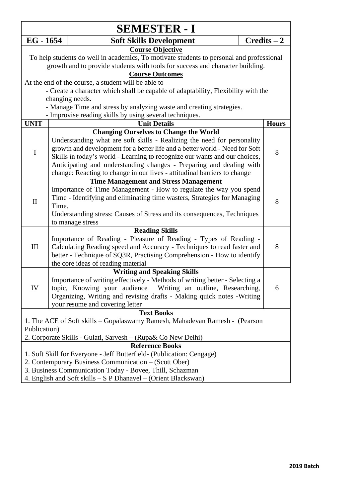| <b>SEMESTER - I</b>                                            |       |                                                                                                                                              |  |               |  |  |
|----------------------------------------------------------------|-------|----------------------------------------------------------------------------------------------------------------------------------------------|--|---------------|--|--|
| $EG - 1654$                                                    |       | <b>Soft Skills Development</b>                                                                                                               |  | $Credits - 2$ |  |  |
|                                                                |       | <b>Course Objective</b>                                                                                                                      |  |               |  |  |
|                                                                |       | To help students do well in academics, To motivate students to personal and professional                                                     |  |               |  |  |
|                                                                |       | growth and to provide students with tools for success and character building.                                                                |  |               |  |  |
|                                                                |       | <b>Course Outcomes</b>                                                                                                                       |  |               |  |  |
|                                                                |       | At the end of the course, a student will be able to –                                                                                        |  |               |  |  |
|                                                                |       | - Create a character which shall be capable of adaptability, Flexibility with the                                                            |  |               |  |  |
|                                                                |       | changing needs.                                                                                                                              |  |               |  |  |
|                                                                |       | - Manage Time and stress by analyzing waste and creating strategies.                                                                         |  |               |  |  |
| <b>UNIT</b>                                                    |       | - Improvise reading skills by using several techniques.<br><b>Unit Details</b>                                                               |  | <b>Hours</b>  |  |  |
|                                                                |       | <b>Changing Ourselves to Change the World</b>                                                                                                |  |               |  |  |
|                                                                |       | Understanding what are soft skills - Realizing the need for personality                                                                      |  |               |  |  |
|                                                                |       | growth and development for a better life and a better world - Need for Soft                                                                  |  |               |  |  |
| $\bf I$                                                        |       | Skills in today's world - Learning to recognize our wants and our choices,                                                                   |  | 8             |  |  |
|                                                                |       | Anticipating and understanding changes - Preparing and dealing with                                                                          |  |               |  |  |
|                                                                |       | change: Reacting to change in our lives - attitudinal barriers to change                                                                     |  |               |  |  |
|                                                                |       | <b>Time Management and Stress Management</b>                                                                                                 |  |               |  |  |
|                                                                |       | Importance of Time Management - How to regulate the way you spend                                                                            |  |               |  |  |
|                                                                |       | Time - Identifying and eliminating time wasters, Strategies for Managing                                                                     |  | 8             |  |  |
| $\mathbf{I}$                                                   | Time. |                                                                                                                                              |  |               |  |  |
|                                                                |       | Understanding stress: Causes of Stress and its consequences, Techniques                                                                      |  |               |  |  |
|                                                                |       | to manage stress                                                                                                                             |  |               |  |  |
|                                                                |       | <b>Reading Skills</b>                                                                                                                        |  |               |  |  |
|                                                                |       | Importance of Reading - Pleasure of Reading - Types of Reading -                                                                             |  |               |  |  |
| $\rm III$                                                      |       | Calculating Reading speed and Accuracy - Techniques to read faster and                                                                       |  | 8             |  |  |
|                                                                |       | better - Technique of SQ3R, Practising Comprehension - How to identify                                                                       |  |               |  |  |
|                                                                |       | the core ideas of reading material                                                                                                           |  |               |  |  |
|                                                                |       | <b>Writing and Speaking Skills</b>                                                                                                           |  |               |  |  |
| IV                                                             |       | Importance of writing effectively - Methods of writing better - Selecting a<br>topic, Knowing your audience Writing an outline, Researching, |  |               |  |  |
|                                                                |       | Organizing, Writing and revising drafts - Making quick notes - Writing                                                                       |  | 6             |  |  |
|                                                                |       | your resume and covering letter                                                                                                              |  |               |  |  |
|                                                                |       | <b>Text Books</b>                                                                                                                            |  |               |  |  |
|                                                                |       | 1. The ACE of Soft skills - Gopalaswamy Ramesh, Mahadevan Ramesh - (Pearson                                                                  |  |               |  |  |
| Publication)                                                   |       |                                                                                                                                              |  |               |  |  |
| 2. Corporate Skills - Gulati, Sarvesh – (Rupa& Co New Delhi)   |       |                                                                                                                                              |  |               |  |  |
|                                                                |       | <b>Reference Books</b>                                                                                                                       |  |               |  |  |
|                                                                |       | 1. Soft Skill for Everyone - Jeff Butterfield- (Publication: Cengage)                                                                        |  |               |  |  |
|                                                                |       | 2. Contemporary Business Communication – (Scott Ober)                                                                                        |  |               |  |  |
|                                                                |       | 3. Business Communication Today - Bovee, Thill, Schazman                                                                                     |  |               |  |  |
| 4. English and Soft skills – S P Dhanavel – (Orient Blackswan) |       |                                                                                                                                              |  |               |  |  |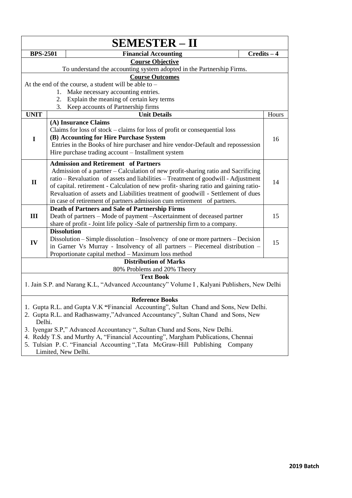|                 |                    | <b>SEMESTER – II</b>                                                                                                                                                                                                                                                                                                                                                                                                         |         |               |
|-----------------|--------------------|------------------------------------------------------------------------------------------------------------------------------------------------------------------------------------------------------------------------------------------------------------------------------------------------------------------------------------------------------------------------------------------------------------------------------|---------|---------------|
| <b>BPS-2501</b> |                    | <b>Financial Accounting</b>                                                                                                                                                                                                                                                                                                                                                                                                  |         | $Credits - 4$ |
|                 |                    | <b>Course Objective</b>                                                                                                                                                                                                                                                                                                                                                                                                      |         |               |
|                 |                    | To understand the accounting system adopted in the Partnership Firms.                                                                                                                                                                                                                                                                                                                                                        |         |               |
|                 |                    | <b>Course Outcomes</b>                                                                                                                                                                                                                                                                                                                                                                                                       |         |               |
|                 |                    | At the end of the course, a student will be able to $-$                                                                                                                                                                                                                                                                                                                                                                      |         |               |
|                 | 1.                 | Make necessary accounting entries.                                                                                                                                                                                                                                                                                                                                                                                           |         |               |
|                 | 2.                 | Explain the meaning of certain key terms                                                                                                                                                                                                                                                                                                                                                                                     |         |               |
|                 | 3.                 | Keep accounts of Partnership firms                                                                                                                                                                                                                                                                                                                                                                                           |         |               |
| <b>UNIT</b>     |                    | <b>Unit Details</b>                                                                                                                                                                                                                                                                                                                                                                                                          |         | Hours         |
| I               |                    | (A) Insurance Claims<br>Claims for loss of stock – claims for loss of profit or consequential loss<br>(B) Accounting for Hire Purchase System                                                                                                                                                                                                                                                                                |         | 16            |
|                 |                    | Entries in the Books of hire purchaser and hire vendor-Default and repossession<br>Hire purchase trading account - Installment system                                                                                                                                                                                                                                                                                        |         |               |
|                 |                    | <b>Admission and Retirement of Partners</b>                                                                                                                                                                                                                                                                                                                                                                                  |         |               |
| $\mathbf{I}$    |                    | Admission of a partner - Calculation of new profit-sharing ratio and Sacrificing<br>ratio - Revaluation of assets and liabilities - Treatment of goodwill - Adjustment<br>of capital. retirement - Calculation of new profit-sharing ratio and gaining ratio-<br>Revaluation of assets and Liabilities treatment of goodwill - Settlement of dues<br>in case of retirement of partners admission cum retirement of partners. |         | 14            |
|                 |                    | Death of Partners and Sale of Partnership Firms                                                                                                                                                                                                                                                                                                                                                                              |         |               |
| III             |                    | Death of partners – Mode of payment – Ascertainment of deceased partner                                                                                                                                                                                                                                                                                                                                                      |         | 15            |
|                 |                    | share of profit - Joint life policy -Sale of partnership firm to a company.                                                                                                                                                                                                                                                                                                                                                  |         |               |
|                 | <b>Dissolution</b> |                                                                                                                                                                                                                                                                                                                                                                                                                              |         |               |
| IV              |                    | Dissolution – Simple dissolution – Insolvency of one or more partners – Decision<br>in Garner Vs Murray - Insolvency of all partners - Piecemeal distribution -<br>Proportionate capital method - Maximum loss method                                                                                                                                                                                                        |         | 15            |
|                 |                    | <b>Distribution of Marks</b>                                                                                                                                                                                                                                                                                                                                                                                                 |         |               |
|                 |                    | 80% Problems and 20% Theory                                                                                                                                                                                                                                                                                                                                                                                                  |         |               |
|                 |                    | <b>Text Book</b><br>1. Jain S.P. and Narang K.L, "Advanced Accountancy" Volume I, Kalyani Publishers, New Delhi                                                                                                                                                                                                                                                                                                              |         |               |
|                 |                    | <b>Reference Books</b>                                                                                                                                                                                                                                                                                                                                                                                                       |         |               |
|                 |                    | 1. Gupta R.L. and Gupta V.K "Financial Accounting", Sultan Chand and Sons, New Delhi.<br>2. Gupta R.L. and Radhaswamy,"Advanced Accountancy", Sultan Chand and Sons, New                                                                                                                                                                                                                                                     |         |               |
| Delhi.          |                    | 3. Iyengar S.P," Advanced Accountancy ", Sultan Chand and Sons, New Delhi.<br>4. Reddy T.S. and Murthy A, "Financial Accounting", Margham Publications, Chennai<br>5. Tulsian P. C. "Financial Accounting ", Tata McGraw-Hill Publishing<br>Limited, New Delhi.                                                                                                                                                              | Company |               |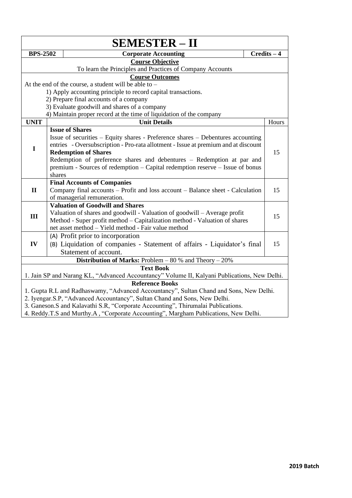|                 |                                                                                                               | <b>SEMESTER – II</b>                                                                         |  |               |  |  |
|-----------------|---------------------------------------------------------------------------------------------------------------|----------------------------------------------------------------------------------------------|--|---------------|--|--|
| <b>BPS-2502</b> |                                                                                                               | <b>Corporate Accounting</b>                                                                  |  | $Credits - 4$ |  |  |
|                 |                                                                                                               | <b>Course Objective</b>                                                                      |  |               |  |  |
|                 |                                                                                                               | To learn the Principles and Practices of Company Accounts                                    |  |               |  |  |
|                 |                                                                                                               | <b>Course Outcomes</b>                                                                       |  |               |  |  |
|                 |                                                                                                               | At the end of the course, a student will be able to –                                        |  |               |  |  |
|                 |                                                                                                               | 1) Apply accounting principle to record capital transactions.                                |  |               |  |  |
|                 |                                                                                                               | 2) Prepare final accounts of a company                                                       |  |               |  |  |
|                 |                                                                                                               | 3) Evaluate goodwill and shares of a company                                                 |  |               |  |  |
|                 |                                                                                                               | 4) Maintain proper record at the time of liquidation of the company                          |  |               |  |  |
| <b>UNIT</b>     |                                                                                                               | <b>Unit Details</b>                                                                          |  | Hours         |  |  |
|                 |                                                                                                               | <b>Issue of Shares</b>                                                                       |  |               |  |  |
|                 |                                                                                                               | Issue of securities – Equity shares - Preference shares – Debentures accounting              |  |               |  |  |
| $\mathbf I$     |                                                                                                               | entries - Oversubscription - Pro-rata allotment - Issue at premium and at discount           |  | 15            |  |  |
|                 | <b>Redemption of Shares</b>                                                                                   |                                                                                              |  |               |  |  |
|                 | Redemption of preference shares and debentures - Redemption at par and                                        |                                                                                              |  |               |  |  |
|                 |                                                                                                               | premium - Sources of redemption – Capital redemption reserve – Issue of bonus                |  |               |  |  |
|                 | shares                                                                                                        |                                                                                              |  |               |  |  |
| $\mathbf{I}$    | <b>Final Accounts of Companies</b>                                                                            |                                                                                              |  |               |  |  |
|                 | Company final accounts - Profit and loss account - Balance sheet - Calculation<br>of managerial remuneration. |                                                                                              |  |               |  |  |
|                 |                                                                                                               | <b>Valuation of Goodwill and Shares</b>                                                      |  |               |  |  |
|                 |                                                                                                               | Valuation of shares and goodwill - Valuation of goodwill - Average profit                    |  |               |  |  |
| III             |                                                                                                               | Method - Super profit method – Capitalization method - Valuation of shares                   |  | 15            |  |  |
|                 |                                                                                                               | net asset method - Yield method - Fair value method                                          |  |               |  |  |
|                 |                                                                                                               | (A) Profit prior to incorporation                                                            |  |               |  |  |
| IV              |                                                                                                               | (B) Liquidation of companies - Statement of affairs - Liquidator's final                     |  | 15            |  |  |
|                 |                                                                                                               | Statement of account.                                                                        |  |               |  |  |
|                 |                                                                                                               | <b>Distribution of Marks:</b> Problem $-80%$ and Theory $-20%$                               |  |               |  |  |
|                 |                                                                                                               | <b>Text Book</b>                                                                             |  |               |  |  |
|                 |                                                                                                               | 1. Jain SP and Narang KL, "Advanced Accountancy" Volume II, Kalyani Publications, New Delhi. |  |               |  |  |
|                 |                                                                                                               | <b>Reference Books</b>                                                                       |  |               |  |  |
|                 |                                                                                                               | 1. Gupta R.L and Radhaswamy, "Advanced Accountancy", Sultan Chand and Sons, New Delhi.       |  |               |  |  |
|                 |                                                                                                               | 2. Iyengar.S.P, "Advanced Accountancy", Sultan Chand and Sons, New Delhi.                    |  |               |  |  |
|                 |                                                                                                               | 3. Ganeson.S and Kalavathi S.R, "Corporate Accounting", Thirumalai Publications.             |  |               |  |  |
|                 |                                                                                                               |                                                                                              |  |               |  |  |

4. Reddy.T.S and Murthy.A , "Corporate Accounting", Margham Publications, New Delhi.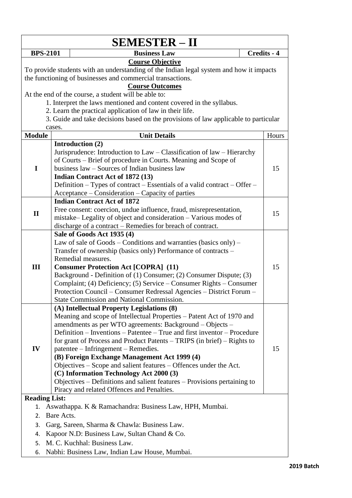|                      |                                                                                         | <b>SEMESTER – II</b>                                                                |  |             |
|----------------------|-----------------------------------------------------------------------------------------|-------------------------------------------------------------------------------------|--|-------------|
|                      | <b>BPS-2101</b>                                                                         | <b>Business Law</b>                                                                 |  | Credits - 4 |
|                      |                                                                                         | <b>Course Objective</b>                                                             |  |             |
|                      | To provide students with an understanding of the Indian legal system and how it impacts |                                                                                     |  |             |
|                      | the functioning of businesses and commercial transactions.                              |                                                                                     |  |             |
|                      |                                                                                         | <b>Course Outcomes</b>                                                              |  |             |
|                      |                                                                                         | At the end of the course, a student will be able to:                                |  |             |
|                      |                                                                                         | 1. Interpret the laws mentioned and content covered in the syllabus.                |  |             |
|                      |                                                                                         | 2. Learn the practical application of law in their life.                            |  |             |
|                      |                                                                                         | 3. Guide and take decisions based on the provisions of law applicable to particular |  |             |
|                      | cases.                                                                                  |                                                                                     |  |             |
| <b>Module</b>        |                                                                                         | <b>Unit Details</b>                                                                 |  | Hours       |
|                      |                                                                                         | Introduction (2)                                                                    |  |             |
|                      |                                                                                         | Jurisprudence: Introduction to Law – Classification of law – Hierarchy              |  |             |
|                      |                                                                                         | of Courts – Brief of procedure in Courts. Meaning and Scope of                      |  |             |
| I                    |                                                                                         | business law – Sources of Indian business law                                       |  | 15          |
|                      |                                                                                         | <b>Indian Contract Act of 1872 (13)</b>                                             |  |             |
|                      |                                                                                         | Definition – Types of contract – Essentials of a valid contract – Offer –           |  |             |
|                      |                                                                                         | Acceptance – Consideration – Capacity of parties                                    |  |             |
|                      |                                                                                         | <b>Indian Contract Act of 1872</b>                                                  |  |             |
| $\mathbf{I}$         |                                                                                         | Free consent: coercion, undue influence, fraud, misrepresentation,                  |  | 15          |
|                      |                                                                                         | mistake-Legality of object and consideration - Various modes of                     |  |             |
|                      |                                                                                         | discharge of a contract - Remedies for breach of contract.                          |  |             |
|                      |                                                                                         | Sale of Goods Act 1935 (4)                                                          |  |             |
|                      |                                                                                         | Law of sale of Goods - Conditions and warranties (basics only) -                    |  |             |
|                      |                                                                                         | Transfer of ownership (basics only) Performance of contracts –                      |  |             |
|                      |                                                                                         | Remedial measures.                                                                  |  |             |
| III                  |                                                                                         | <b>Consumer Protection Act [COPRA] (11)</b>                                         |  | 15          |
|                      |                                                                                         | Background - Definition of (1) Consumer; (2) Consumer Dispute; (3)                  |  |             |
|                      |                                                                                         | Complaint; (4) Deficiency; (5) Service – Consumer Rights – Consumer                 |  |             |
|                      |                                                                                         | Protection Council - Consumer Redressal Agencies - District Forum -                 |  |             |
|                      |                                                                                         | <b>State Commission and National Commission.</b>                                    |  |             |
|                      |                                                                                         | (A) Intellectual Property Legislations (8)                                          |  |             |
|                      |                                                                                         | Meaning and scope of Intellectual Properties - Patent Act of 1970 and               |  |             |
|                      |                                                                                         | amendments as per WTO agreements: Background – Objects –                            |  |             |
|                      |                                                                                         | Definition – Inventions – Patentee – True and first inventor – Procedure            |  |             |
|                      |                                                                                         | for grant of Process and Product Patents – TRIPS (in brief) – Rights to             |  |             |
| IV                   |                                                                                         | patentee – Infringement – Remedies.                                                 |  | 15          |
|                      |                                                                                         | (B) Foreign Exchange Management Act 1999 (4)                                        |  |             |
|                      |                                                                                         | Objectives – Scope and salient features – Offences under the Act.                   |  |             |
|                      |                                                                                         | (C) Information Technology Act 2000 (3)                                             |  |             |
|                      |                                                                                         | Objectives – Definitions and salient features – Provisions pertaining to            |  |             |
|                      |                                                                                         | Piracy and related Offences and Penalties.                                          |  |             |
| <b>Reading List:</b> |                                                                                         |                                                                                     |  |             |
| 1.                   |                                                                                         | Aswathappa. K & Ramachandra: Business Law, HPH, Mumbai.                             |  |             |
| 2.                   | Bare Acts.                                                                              |                                                                                     |  |             |
| 3.                   |                                                                                         | Garg, Sareen, Sharma & Chawla: Business Law.                                        |  |             |
| 4.                   |                                                                                         | Kapoor N.D: Business Law, Sultan Chand & Co.                                        |  |             |
| 5.                   |                                                                                         | M. C. Kuchhal: Business Law.                                                        |  |             |
| 6.                   |                                                                                         | Nabhi: Business Law, Indian Law House, Mumbai.                                      |  |             |
|                      |                                                                                         |                                                                                     |  |             |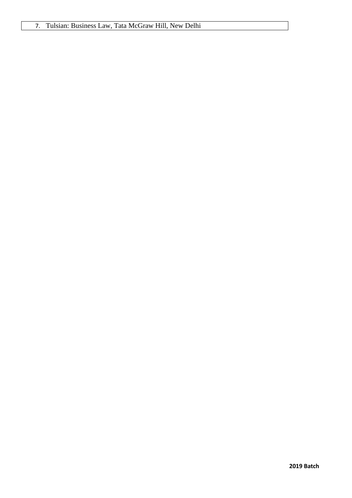## 7. Tulsian: Business Law, Tata McGraw Hill, New Delhi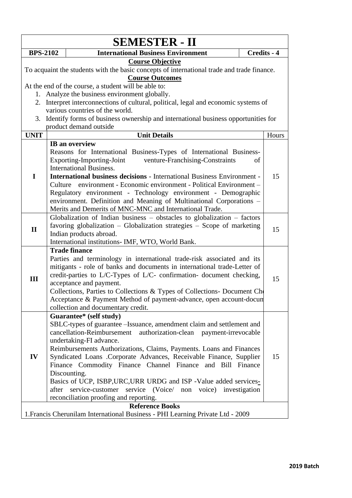| <b>SEMESTER - II</b> |       |                                                                                                                                                                                                                                                                                                                                                                                                                                                                                                                                                                                                            |    |             |
|----------------------|-------|------------------------------------------------------------------------------------------------------------------------------------------------------------------------------------------------------------------------------------------------------------------------------------------------------------------------------------------------------------------------------------------------------------------------------------------------------------------------------------------------------------------------------------------------------------------------------------------------------------|----|-------------|
| <b>BPS-2102</b>      |       | <b>International Business Environment</b>                                                                                                                                                                                                                                                                                                                                                                                                                                                                                                                                                                  |    | Credits - 4 |
| 2.                   |       | <b>Course Objective</b><br>To acquaint the students with the basic concepts of international trade and trade finance.<br><b>Course Outcomes</b><br>At the end of the course, a student will be able to:<br>1. Analyze the business environment globally.<br>Interpret interconnections of cultural, political, legal and economic systems of<br>various countries of the world.<br>3. Identify forms of business ownership and international business opportunities for<br>product demand outside                                                                                                          |    |             |
| <b>UNIT</b>          |       | <b>Unit Details</b>                                                                                                                                                                                                                                                                                                                                                                                                                                                                                                                                                                                        |    | Hours       |
| I                    |       | IB an overview<br>Reasons for International Business-Types of International Business-<br>Exporting-Importing-Joint<br>venture-Franchising-Constraints<br><b>International Business.</b><br><b>International business decisions - International Business Environment -</b><br>Culture environment - Economic environment - Political Environment -<br>Regulatory environment - Technology environment - Demographic<br>environment. Definition and Meaning of Multinational Corporations -<br>Merits and Demerits of MNC-MNC and International Trade.                                                       | of | 15          |
| $\mathbf{I}$         |       | Globalization of Indian business $-$ obstacles to globalization $-$ factors<br>favoring globalization $-$ Globalization strategies $-$ Scope of marketing<br>Indian products abroad.<br>International institutions- IMF, WTO, World Bank.                                                                                                                                                                                                                                                                                                                                                                  |    | 15          |
| III                  |       | <b>Trade finance</b><br>Parties and terminology in international trade-risk associated and its<br>mitigants - role of banks and documents in international trade-Letter of<br>credit-parties to L/C-Types of L/C- confirmation- document checking,<br>acceptance and payment.<br>Collections, Parties to Collections & Types of Collections- Document Ch<br>Acceptance & Payment Method of payment-advance, open account-docun<br>collection and documentary credit.                                                                                                                                       |    | 15          |
| IV                   | after | Guarantee* (self study)<br>SBLC-types of guarantee - Issuance, amendment claim and settlement and<br>cancellation-Reimbursement authorization-clean payment-irrevocable<br>undertaking-FI advance.<br>Reimbursements Authorizations, Claims, Payments. Loans and Finances<br>Syndicated Loans .Corporate Advances, Receivable Finance, Supplier<br>Finance Commodity Finance Channel Finance and Bill Finance<br>Discounting.<br>Basics of UCP, ISBP, URC, URR URDG and ISP - Value added services-<br>service-customer service (Voice/ non voice) investigation<br>reconciliation proofing and reporting. |    | 15          |
|                      |       | <b>Reference Books</b>                                                                                                                                                                                                                                                                                                                                                                                                                                                                                                                                                                                     |    |             |
|                      |       | 1. Francis Cherunilam International Business - PHI Learning Private Ltd - 2009                                                                                                                                                                                                                                                                                                                                                                                                                                                                                                                             |    |             |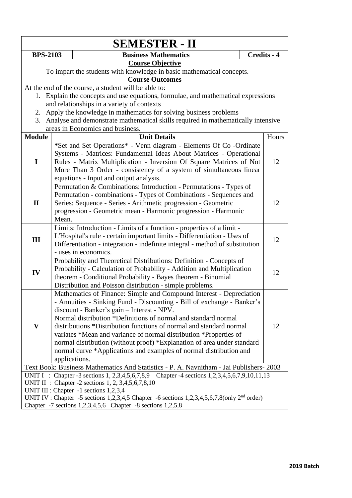|                                                                                                  |                                                    | <b>SEMESTER - II</b>                                                                                                                                                                                                                                                                                                                                                                                                                                                                                                                                                        |  |             |  |
|--------------------------------------------------------------------------------------------------|----------------------------------------------------|-----------------------------------------------------------------------------------------------------------------------------------------------------------------------------------------------------------------------------------------------------------------------------------------------------------------------------------------------------------------------------------------------------------------------------------------------------------------------------------------------------------------------------------------------------------------------------|--|-------------|--|
| <b>BPS-2103</b>                                                                                  |                                                    | <b>Business Mathematics</b>                                                                                                                                                                                                                                                                                                                                                                                                                                                                                                                                                 |  | Credits - 4 |  |
| <b>Course Objective</b><br>To impart the students with knowledge in basic mathematical concepts. |                                                    |                                                                                                                                                                                                                                                                                                                                                                                                                                                                                                                                                                             |  |             |  |
|                                                                                                  |                                                    | <b>Course Outcomes</b>                                                                                                                                                                                                                                                                                                                                                                                                                                                                                                                                                      |  |             |  |
|                                                                                                  |                                                    | At the end of the course, a student will be able to:                                                                                                                                                                                                                                                                                                                                                                                                                                                                                                                        |  |             |  |
|                                                                                                  |                                                    | 1. Explain the concepts and use equations, formulae, and mathematical expressions                                                                                                                                                                                                                                                                                                                                                                                                                                                                                           |  |             |  |
|                                                                                                  |                                                    | and relationships in a variety of contexts                                                                                                                                                                                                                                                                                                                                                                                                                                                                                                                                  |  |             |  |
|                                                                                                  |                                                    | 2. Apply the knowledge in mathematics for solving business problems                                                                                                                                                                                                                                                                                                                                                                                                                                                                                                         |  |             |  |
|                                                                                                  |                                                    | 3. Analyse and demonstrate mathematical skills required in mathematically intensive                                                                                                                                                                                                                                                                                                                                                                                                                                                                                         |  |             |  |
|                                                                                                  |                                                    | areas in Economics and business.                                                                                                                                                                                                                                                                                                                                                                                                                                                                                                                                            |  |             |  |
| <b>Module</b>                                                                                    |                                                    | <b>Unit Details</b>                                                                                                                                                                                                                                                                                                                                                                                                                                                                                                                                                         |  | Hours       |  |
| $\mathbf I$                                                                                      |                                                    | *Set and Set Operations* - Venn diagram - Elements Of Co -Ordinate<br>Systems - Matrices: Fundamental Ideas About Matrices - Operational<br>Rules - Matrix Multiplication - Inversion Of Square Matrices of Not<br>More Than 3 Order - consistency of a system of simultaneous linear<br>equations - Input and output analysis.                                                                                                                                                                                                                                             |  | 12          |  |
| $\mathbf{I}$                                                                                     | Mean.                                              | Permutation & Combinations: Introduction - Permutations - Types of<br>Permutation - combinations - Types of Combinations - Sequences and<br>Series: Sequence - Series - Arithmetic progression - Geometric<br>progression - Geometric mean - Harmonic progression - Harmonic                                                                                                                                                                                                                                                                                                |  | 12          |  |
| III                                                                                              |                                                    | Limits: Introduction - Limits of a function - properties of a limit -<br>L'Hospital's rule - certain important limits - Differentiation - Uses of<br>Differentiation - integration - indefinite integral - method of substitution<br>- uses in economics.                                                                                                                                                                                                                                                                                                                   |  | 12          |  |
| IV                                                                                               |                                                    | Probability and Theoretical Distributions: Definition - Concepts of<br>Probability - Calculation of Probability - Addition and Multiplication<br>theorem - Conditional Probability - Bayes theorem - Binomial<br>Distribution and Poisson distribution - simple problems.                                                                                                                                                                                                                                                                                                   |  | 12          |  |
| $\mathbf{V}$                                                                                     |                                                    | Mathematics of Finance: Simple and Compound Interest - Depreciation<br>- Annuities - Sinking Fund - Discounting - Bill of exchange - Banker's<br>discount - Banker's gain - Interest - NPV.<br>Normal distribution *Definitions of normal and standard normal<br>distributions *Distribution functions of normal and standard normal<br>variates *Mean and variance of normal distribution *Properties of<br>normal distribution (without proof) *Explanation of area under standard<br>normal curve *Applications and examples of normal distribution and<br>applications. |  | 12          |  |
|                                                                                                  |                                                    | Text Book: Business Mathematics And Statistics - P. A. Navnitham - Jai Publishers- 2003                                                                                                                                                                                                                                                                                                                                                                                                                                                                                     |  |             |  |
|                                                                                                  |                                                    | UNIT I : Chapter -3 sections 1, 2,3,4,5,6,7,8,9 Chapter -4 sections 1,2,3,4,5,6,7,9,10,11,13                                                                                                                                                                                                                                                                                                                                                                                                                                                                                |  |             |  |
|                                                                                                  | UNIT II : Chapter -2 sections 1, 2, 3,4,5,6,7,8,10 |                                                                                                                                                                                                                                                                                                                                                                                                                                                                                                                                                                             |  |             |  |
| UNIT III : Chapter -1 sections 1,2,3,4                                                           |                                                    |                                                                                                                                                                                                                                                                                                                                                                                                                                                                                                                                                                             |  |             |  |
|                                                                                                  |                                                    | UNIT IV : Chapter -5 sections 1,2,3,4,5 Chapter -6 sections 1,2,3,4,5,6,7,8(only $2nd$ order)                                                                                                                                                                                                                                                                                                                                                                                                                                                                               |  |             |  |
| Chapter -7 sections 1,2,3,4,5,6 Chapter -8 sections 1,2,5,8                                      |                                                    |                                                                                                                                                                                                                                                                                                                                                                                                                                                                                                                                                                             |  |             |  |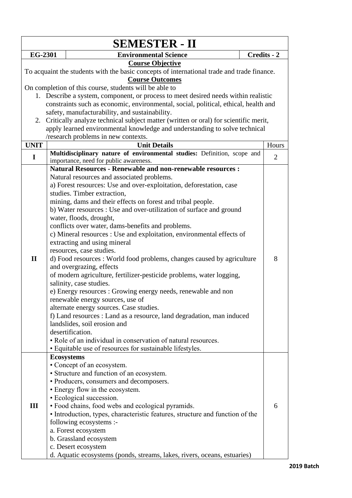| <b>SEMESTER - II</b>                                                                       |                                                                                     |                                                                                                    |                |  |
|--------------------------------------------------------------------------------------------|-------------------------------------------------------------------------------------|----------------------------------------------------------------------------------------------------|----------------|--|
| <b>EG-2301</b>                                                                             |                                                                                     | <b>Environmental Science</b>                                                                       | Credits - 2    |  |
|                                                                                            |                                                                                     | <b>Course Objective</b>                                                                            |                |  |
| To acquaint the students with the basic concepts of international trade and trade finance. |                                                                                     |                                                                                                    |                |  |
|                                                                                            |                                                                                     | <b>Course Outcomes</b>                                                                             |                |  |
|                                                                                            |                                                                                     | On completion of this course, students will be able to                                             |                |  |
|                                                                                            |                                                                                     | 1. Describe a system, component, or process to meet desired needs within realistic                 |                |  |
|                                                                                            | constraints such as economic, environmental, social, political, ethical, health and |                                                                                                    |                |  |
|                                                                                            |                                                                                     | safety, manufacturability, and sustainability.                                                     |                |  |
|                                                                                            |                                                                                     | 2. Critically analyze technical subject matter (written or oral) for scientific merit,             |                |  |
|                                                                                            |                                                                                     | apply learned environmental knowledge and understanding to solve technical                         |                |  |
|                                                                                            |                                                                                     | /research problems in new contexts.                                                                |                |  |
| <b>UNIT</b>                                                                                |                                                                                     | <b>Unit Details</b>                                                                                | Hours          |  |
| I                                                                                          |                                                                                     | Multidisciplinary nature of environmental studies: Definition, scope and                           | $\overline{2}$ |  |
|                                                                                            |                                                                                     | importance, need for public awareness.                                                             |                |  |
|                                                                                            |                                                                                     | <b>Natural Resources - Renewable and non-renewable resources :</b>                                 |                |  |
|                                                                                            |                                                                                     | Natural resources and associated problems.                                                         |                |  |
|                                                                                            |                                                                                     | a) Forest resources: Use and over-exploitation, deforestation, case                                |                |  |
|                                                                                            |                                                                                     | studies. Timber extraction,                                                                        |                |  |
|                                                                                            |                                                                                     | mining, dams and their effects on forest and tribal people.                                        |                |  |
|                                                                                            |                                                                                     | b) Water resources : Use and over-utilization of surface and ground                                |                |  |
|                                                                                            |                                                                                     | water, floods, drought,                                                                            |                |  |
|                                                                                            |                                                                                     | conflicts over water, dams-benefits and problems.                                                  |                |  |
|                                                                                            |                                                                                     | c) Mineral resources : Use and exploitation, environmental effects of                              |                |  |
|                                                                                            |                                                                                     | extracting and using mineral                                                                       |                |  |
| $\mathbf{I}$                                                                               |                                                                                     | resources, case studies.                                                                           | 8              |  |
|                                                                                            |                                                                                     | d) Food resources : World food problems, changes caused by agriculture<br>and overgrazing, effects |                |  |
|                                                                                            |                                                                                     | of modern agriculture, fertilizer-pesticide problems, water logging,                               |                |  |
|                                                                                            |                                                                                     | salinity, case studies.                                                                            |                |  |
|                                                                                            |                                                                                     | e) Energy resources : Growing energy needs, renewable and non                                      |                |  |
|                                                                                            |                                                                                     | renewable energy sources, use of                                                                   |                |  |
|                                                                                            |                                                                                     | alternate energy sources. Case studies.                                                            |                |  |
|                                                                                            |                                                                                     | f) Land resources : Land as a resource, land degradation, man induced                              |                |  |
|                                                                                            |                                                                                     | landslides, soil erosion and                                                                       |                |  |
|                                                                                            |                                                                                     | desertification.                                                                                   |                |  |
|                                                                                            |                                                                                     | • Role of an individual in conservation of natural resources.                                      |                |  |
|                                                                                            |                                                                                     | • Equitable use of resources for sustainable lifestyles.                                           |                |  |
|                                                                                            |                                                                                     | <b>Ecosystems</b>                                                                                  |                |  |
|                                                                                            |                                                                                     | • Concept of an ecosystem.                                                                         |                |  |
|                                                                                            |                                                                                     | • Structure and function of an ecosystem.                                                          |                |  |
|                                                                                            |                                                                                     | • Producers, consumers and decomposers.                                                            |                |  |
|                                                                                            |                                                                                     | • Energy flow in the ecosystem.                                                                    |                |  |
|                                                                                            |                                                                                     | • Ecological succession.                                                                           |                |  |
| III                                                                                        |                                                                                     | • Food chains, food webs and ecological pyramids.                                                  | 6              |  |
|                                                                                            |                                                                                     | • Introduction, types, characteristic features, structure and function of the                      |                |  |
|                                                                                            |                                                                                     | following ecosystems :-                                                                            |                |  |
|                                                                                            |                                                                                     | a. Forest ecosystem                                                                                |                |  |
|                                                                                            |                                                                                     | b. Grassland ecosystem                                                                             |                |  |
|                                                                                            |                                                                                     | c. Desert ecosystem                                                                                |                |  |
|                                                                                            |                                                                                     | d. Aquatic ecosystems (ponds, streams, lakes, rivers, oceans, estuaries)                           |                |  |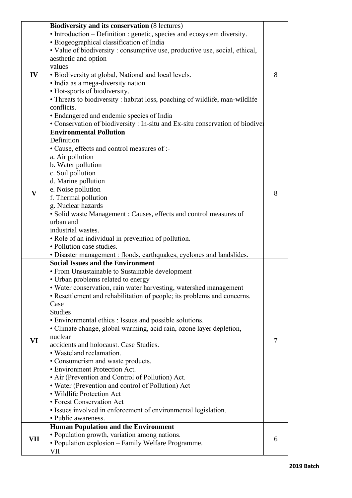|              | <b>Biodiversity and its conservation (8 lectures)</b>                         |   |
|--------------|-------------------------------------------------------------------------------|---|
|              | • Introduction – Definition : genetic, species and ecosystem diversity.       |   |
|              | • Biogeographical classification of India                                     |   |
|              | • Value of biodiversity : consumptive use, productive use, social, ethical,   |   |
|              | aesthetic and option                                                          |   |
|              | values                                                                        |   |
| IV           | · Biodiversity at global, National and local levels.                          | 8 |
|              | • India as a mega-diversity nation                                            |   |
|              | • Hot-sports of biodiversity.                                                 |   |
|              | • Threats to biodiversity : habitat loss, poaching of wildlife, man-wildlife  |   |
|              | conflicts.                                                                    |   |
|              | • Endangered and endemic species of India                                     |   |
|              | • Conservation of biodiversity : In-situ and Ex-situ conservation of biodiver |   |
|              | <b>Environmental Pollution</b>                                                |   |
|              | Definition                                                                    |   |
|              | • Cause, effects and control measures of :-                                   |   |
|              | a. Air pollution                                                              |   |
|              | b. Water pollution                                                            |   |
|              |                                                                               |   |
|              | c. Soil pollution                                                             |   |
|              | d. Marine pollution                                                           |   |
| $\mathbf{V}$ | e. Noise pollution                                                            | 8 |
|              | f. Thermal pollution                                                          |   |
|              | g. Nuclear hazards                                                            |   |
|              | • Solid waste Management: Causes, effects and control measures of             |   |
|              | urban and                                                                     |   |
|              | industrial wastes.                                                            |   |
|              | • Role of an individual in prevention of pollution.                           |   |
|              | • Pollution case studies.                                                     |   |
|              | • Disaster management : floods, earthquakes, cyclones and landslides.         |   |
|              | <b>Social Issues and the Environment</b>                                      |   |
|              | • From Unsustainable to Sustainable development                               |   |
|              | • Urban problems related to energy                                            |   |
|              | · Water conservation, rain water harvesting, watershed management             |   |
|              | • Resettlement and rehabilitation of people; its problems and concerns.       |   |
|              | Case                                                                          |   |
|              | <b>Studies</b>                                                                |   |
|              | • Environmental ethics : Issues and possible solutions.                       |   |
|              | • Climate change, global warming, acid rain, ozone layer depletion,           |   |
| VI           | nuclear                                                                       | 7 |
|              | accidents and holocaust. Case Studies.                                        |   |
|              | • Wasteland reclamation.                                                      |   |
|              | • Consumerism and waste products.                                             |   |
|              | • Environment Protection Act.                                                 |   |
|              | • Air (Prevention and Control of Pollution) Act.                              |   |
|              | • Water (Prevention and control of Pollution) Act                             |   |
|              | • Wildlife Protection Act                                                     |   |
|              | • Forest Conservation Act                                                     |   |
|              | • Issues involved in enforcement of environmental legislation.                |   |
|              | • Public awareness.                                                           |   |
|              | <b>Human Population and the Environment</b>                                   |   |
| VII          | • Population growth, variation among nations.                                 | 6 |
|              | • Population explosion – Family Welfare Programme.                            |   |
|              | VII                                                                           |   |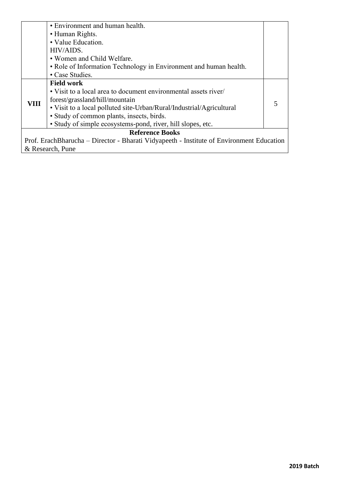|      | • Environment and human health.                                                          |  |  |  |  |
|------|------------------------------------------------------------------------------------------|--|--|--|--|
|      | • Human Rights.                                                                          |  |  |  |  |
|      | • Value Education.                                                                       |  |  |  |  |
|      | HIV/AIDS.                                                                                |  |  |  |  |
|      | • Women and Child Welfare.                                                               |  |  |  |  |
|      | • Role of Information Technology in Environment and human health.                        |  |  |  |  |
|      | • Case Studies.                                                                          |  |  |  |  |
|      | <b>Field work</b>                                                                        |  |  |  |  |
|      | • Visit to a local area to document environmental assets river/                          |  |  |  |  |
| VIII | forest/grassland/hill/mountain                                                           |  |  |  |  |
|      | • Visit to a local polluted site-Urban/Rural/Industrial/Agricultural                     |  |  |  |  |
|      | · Study of common plants, insects, birds.                                                |  |  |  |  |
|      | • Study of simple ecosystems-pond, river, hill slopes, etc.                              |  |  |  |  |
|      | <b>Reference Books</b>                                                                   |  |  |  |  |
|      | Prof. ErachBharucha – Director - Bharati Vidyapeeth - Institute of Environment Education |  |  |  |  |
|      | & Research, Pune                                                                         |  |  |  |  |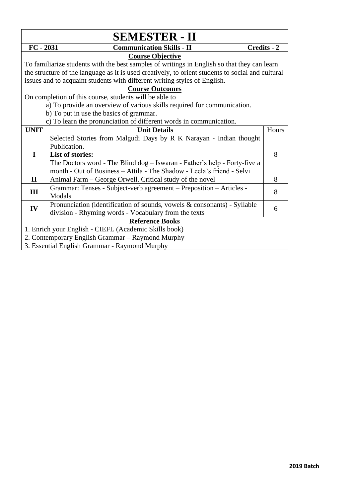| <b>SEMESTER - II</b>                                  |                                                                                                   |             |       |  |  |
|-------------------------------------------------------|---------------------------------------------------------------------------------------------------|-------------|-------|--|--|
| $FC - 2031$                                           | <b>Communication Skills - II</b>                                                                  | Credits - 2 |       |  |  |
|                                                       | <b>Course Objective</b>                                                                           |             |       |  |  |
|                                                       | To familiarize students with the best samples of writings in English so that they can learn       |             |       |  |  |
|                                                       | the structure of the language as it is used creatively, to orient students to social and cultural |             |       |  |  |
|                                                       | issues and to acquaint students with different writing styles of English.                         |             |       |  |  |
|                                                       | <b>Course Outcomes</b>                                                                            |             |       |  |  |
|                                                       | On completion of this course, students will be able to                                            |             |       |  |  |
|                                                       | a) To provide an overview of various skills required for communication.                           |             |       |  |  |
|                                                       | b) To put in use the basics of grammar.                                                           |             |       |  |  |
|                                                       | c) To learn the pronunciation of different words in communication.                                |             |       |  |  |
| <b>UNIT</b>                                           | <b>Unit Details</b>                                                                               |             | Hours |  |  |
|                                                       | Selected Stories from Malgudi Days by R K Narayan - Indian thought                                |             |       |  |  |
|                                                       | Publication.                                                                                      |             |       |  |  |
| $\mathbf I$                                           | <b>List of stories:</b>                                                                           |             | 8     |  |  |
|                                                       | The Doctors word - The Blind dog - Iswaran - Father's help - Forty-five a                         |             |       |  |  |
|                                                       | month - Out of Business - Attila - The Shadow - Leela's friend - Selvi                            |             |       |  |  |
| $\mathbf{I}$                                          | Animal Farm – George Orwell. Critical study of the novel                                          |             | 8     |  |  |
| III                                                   | Grammar: Tenses - Subject-verb agreement - Preposition - Articles -                               |             | 8     |  |  |
|                                                       | Modals                                                                                            |             |       |  |  |
| IV                                                    | Pronunciation (identification of sounds, vowels & consonants) - Syllable                          |             |       |  |  |
|                                                       | division - Rhyming words - Vocabulary from the texts                                              |             | 6     |  |  |
|                                                       | <b>Reference Books</b>                                                                            |             |       |  |  |
| 1. Enrich your English - CIEFL (Academic Skills book) |                                                                                                   |             |       |  |  |
|                                                       | 2. Contemporary English Grammar - Raymond Murphy                                                  |             |       |  |  |
|                                                       | 3. Essential English Grammar - Raymond Murphy                                                     |             |       |  |  |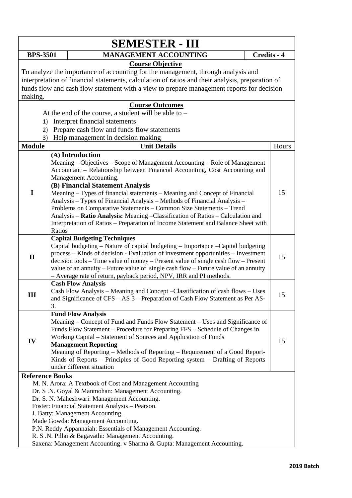| <b>SEMESTER - III</b>                                                                                                                                                                                                                                                                                                   |                        |                                                                                                                                                                                                                                                                                                                                                                                                                                                                                                                                                                                                                                                      |             |       |  |
|-------------------------------------------------------------------------------------------------------------------------------------------------------------------------------------------------------------------------------------------------------------------------------------------------------------------------|------------------------|------------------------------------------------------------------------------------------------------------------------------------------------------------------------------------------------------------------------------------------------------------------------------------------------------------------------------------------------------------------------------------------------------------------------------------------------------------------------------------------------------------------------------------------------------------------------------------------------------------------------------------------------------|-------------|-------|--|
| <b>BPS-3501</b>                                                                                                                                                                                                                                                                                                         |                        | <b>MANAGEMENT ACCOUNTING</b>                                                                                                                                                                                                                                                                                                                                                                                                                                                                                                                                                                                                                         | Credits - 4 |       |  |
| <b>Course Objective</b><br>To analyze the importance of accounting for the management, through analysis and<br>interpretation of financial statements, calculation of ratios and their analysis, preparation of<br>funds flow and cash flow statement with a view to prepare management reports for decision<br>making. |                        |                                                                                                                                                                                                                                                                                                                                                                                                                                                                                                                                                                                                                                                      |             |       |  |
|                                                                                                                                                                                                                                                                                                                         |                        | <b>Course Outcomes</b>                                                                                                                                                                                                                                                                                                                                                                                                                                                                                                                                                                                                                               |             |       |  |
|                                                                                                                                                                                                                                                                                                                         |                        | At the end of the course, a student will be able to $-$                                                                                                                                                                                                                                                                                                                                                                                                                                                                                                                                                                                              |             |       |  |
| 1)                                                                                                                                                                                                                                                                                                                      |                        | Interpret financial statements                                                                                                                                                                                                                                                                                                                                                                                                                                                                                                                                                                                                                       |             |       |  |
| 2)                                                                                                                                                                                                                                                                                                                      |                        | Prepare cash flow and funds flow statements                                                                                                                                                                                                                                                                                                                                                                                                                                                                                                                                                                                                          |             |       |  |
| 3)                                                                                                                                                                                                                                                                                                                      |                        | Help management in decision making                                                                                                                                                                                                                                                                                                                                                                                                                                                                                                                                                                                                                   |             |       |  |
| <b>Module</b>                                                                                                                                                                                                                                                                                                           |                        | <b>Unit Details</b>                                                                                                                                                                                                                                                                                                                                                                                                                                                                                                                                                                                                                                  |             | Hours |  |
| I                                                                                                                                                                                                                                                                                                                       | Ratios                 | (A) Introduction<br>Meaning – Objectives – Scope of Management Accounting – Role of Management<br>Accountant - Relationship between Financial Accounting, Cost Accounting and<br>Management Accounting.<br>(B) Financial Statement Analysis<br>Meaning – Types of financial statements – Meaning and Concept of Financial<br>Analysis - Types of Financial Analysis - Methods of Financial Analysis -<br>Problems on Comparative Statements - Common Size Statements - Trend<br>Analysis - Ratio Analysis: Meaning - Classification of Ratios - Calculation and<br>Interpretation of Ratios - Preparation of Income Statement and Balance Sheet with |             | 15    |  |
| $\mathbf{I}$                                                                                                                                                                                                                                                                                                            |                        | <b>Capital Budgeting Techniques</b><br>Capital budgeting - Nature of capital budgeting - Importance - Capital budgeting<br>process – Kinds of decision - Evaluation of investment opportunities – Investment<br>decision tools – Time value of money – Present value of single cash flow – Present<br>value of an annuity – Future value of single cash flow – Future value of an annuity<br>- Average rate of return, payback period, NPV, IRR and PI methods.                                                                                                                                                                                      |             | 15    |  |
| III                                                                                                                                                                                                                                                                                                                     | 3.                     | <b>Cash Flow Analysis</b><br>Cash Flow Analysis – Meaning and Concept – Classification of cash flows – Uses<br>and Significance of CFS - AS 3 - Preparation of Cash Flow Statement as Per AS-                                                                                                                                                                                                                                                                                                                                                                                                                                                        |             | 15    |  |
| IV                                                                                                                                                                                                                                                                                                                      |                        | <b>Fund Flow Analysis</b><br>Meaning – Concept of Fund and Funds Flow Statement – Uses and Significance of<br>Funds Flow Statement - Procedure for Preparing FFS - Schedule of Changes in<br>Working Capital – Statement of Sources and Application of Funds<br><b>Management Reporting</b><br>Meaning of Reporting - Methods of Reporting - Requirement of a Good Report-<br>Kinds of Reports – Principles of Good Reporting system – Drafting of Reports<br>under different situation                                                                                                                                                              |             | 15    |  |
|                                                                                                                                                                                                                                                                                                                         | <b>Reference Books</b> |                                                                                                                                                                                                                                                                                                                                                                                                                                                                                                                                                                                                                                                      |             |       |  |
|                                                                                                                                                                                                                                                                                                                         |                        | M. N. Arora: A Textbook of Cost and Management Accounting<br>Dr. S.N. Goyal & Manmohan: Management Accounting.<br>Dr. S. N. Maheshwari: Management Accounting.<br>Foster: Financial Statement Analysis - Pearson.<br>J. Batty: Management Accounting.<br>Made Gowda: Management Accounting.<br>P.N. Reddy Appannaiah: Essentials of Management Accounting.<br>R. S.N. Pillai & Bagavathi: Management Accounting.<br>Saxena: Management Accounting. v Sharma & Gupta: Management Accounting.                                                                                                                                                          |             |       |  |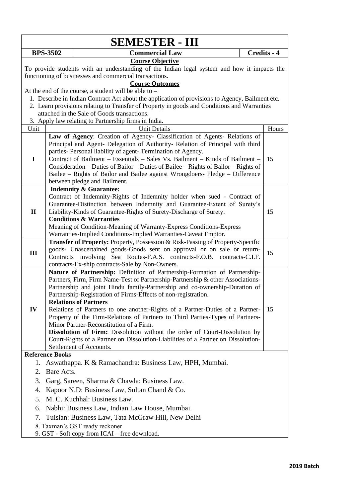|              |                                                                                                                                                                                  | <b>SEMESTER - III</b>                                                                                                                                                                                                                                                                                                                                                                                                                                                                                                                                                                                                                                                                                                           |  |             |
|--------------|----------------------------------------------------------------------------------------------------------------------------------------------------------------------------------|---------------------------------------------------------------------------------------------------------------------------------------------------------------------------------------------------------------------------------------------------------------------------------------------------------------------------------------------------------------------------------------------------------------------------------------------------------------------------------------------------------------------------------------------------------------------------------------------------------------------------------------------------------------------------------------------------------------------------------|--|-------------|
|              | <b>BPS-3502</b>                                                                                                                                                                  | <b>Commercial Law</b>                                                                                                                                                                                                                                                                                                                                                                                                                                                                                                                                                                                                                                                                                                           |  | Credits - 4 |
|              | <b>Course Objective</b><br>To provide students with an understanding of the Indian legal system and how it impacts the<br>functioning of businesses and commercial transactions. |                                                                                                                                                                                                                                                                                                                                                                                                                                                                                                                                                                                                                                                                                                                                 |  |             |
|              |                                                                                                                                                                                  | <b>Course Outcomes</b><br>At the end of the course, a student will be able to $-$                                                                                                                                                                                                                                                                                                                                                                                                                                                                                                                                                                                                                                               |  |             |
|              |                                                                                                                                                                                  | 1. Describe in Indian Contract Act about the application of provisions to Agency, Bailment etc.                                                                                                                                                                                                                                                                                                                                                                                                                                                                                                                                                                                                                                 |  |             |
|              |                                                                                                                                                                                  | 2. Learn provisions relating to Transfer of Property in goods and Conditions and Warranties                                                                                                                                                                                                                                                                                                                                                                                                                                                                                                                                                                                                                                     |  |             |
|              |                                                                                                                                                                                  | attached in the Sale of Goods transactions.                                                                                                                                                                                                                                                                                                                                                                                                                                                                                                                                                                                                                                                                                     |  |             |
|              |                                                                                                                                                                                  | 3. Apply law relating to Partnership firms in India.                                                                                                                                                                                                                                                                                                                                                                                                                                                                                                                                                                                                                                                                            |  |             |
| Unit         |                                                                                                                                                                                  | <b>Unit Details</b>                                                                                                                                                                                                                                                                                                                                                                                                                                                                                                                                                                                                                                                                                                             |  | Hours       |
| $\mathbf I$  |                                                                                                                                                                                  | Law of Agency: Creation of Agency- Classification of Agents- Relations of<br>Principal and Agent- Delegation of Authority- Relation of Principal with third<br>parties- Personal liability of agent- Termination of Agency.<br>Contract of Bailment - Essentials - Sales Vs. Bailment - Kinds of Bailment -<br>Consideration – Duties of Bailor – Duties of Bailee – Rights of Bailor – Rights of<br>Bailee – Rights of Bailor and Bailee against Wrongdoers- Pledge – Difference                                                                                                                                                                                                                                               |  | 15          |
|              |                                                                                                                                                                                  | between pledge and Bailment.<br><b>Indemnity &amp; Guarantee:</b>                                                                                                                                                                                                                                                                                                                                                                                                                                                                                                                                                                                                                                                               |  |             |
| $\mathbf{I}$ |                                                                                                                                                                                  | Contract of Indemnity-Rights of Indemnity holder when sued - Contract of<br>Guarantee-Distinction between Indemnity and Guarantee-Extent of Surety's<br>Liability-Kinds of Guarantee-Rights of Surety-Discharge of Surety.<br><b>Conditions &amp; Warranties</b><br>Meaning of Condition-Meaning of Warranty-Express Conditions-Express                                                                                                                                                                                                                                                                                                                                                                                         |  | 15          |
|              |                                                                                                                                                                                  | Warranties-Implied Conditions-Implied Warranties-Caveat Emptor.                                                                                                                                                                                                                                                                                                                                                                                                                                                                                                                                                                                                                                                                 |  |             |
| III          |                                                                                                                                                                                  | Transfer of Property: Property, Possession & Risk-Passing of Property-Specific<br>goods- Unascertained goods-Goods sent on approval or on sale or return-<br>Contracts involving Sea Routes-F.A.S. contracts-F.O.B. contracts-C.I.F.<br>contracts-Ex-ship contracts-Sale by Non-Owners.                                                                                                                                                                                                                                                                                                                                                                                                                                         |  | 15          |
| IV           |                                                                                                                                                                                  | Nature of Partnership: Definition of Partnership-Formation of Partnership-<br>Partners, Firm, Firm Name-Test of Partnership-Partnership & other Associations-<br>Partnership and joint Hindu family-Partnership and co-ownership-Duration of<br>Partnership-Registration of Firms-Effects of non-registration.<br><b>Relations of Partners</b><br>Relations of Partners to one another-Rights of a Partner-Duties of a Partner-<br>Property of the Firm-Relations of Partners to Third Parties-Types of Partners-<br>Minor Partner-Reconstitution of a Firm.<br>Dissolution of Firm: Dissolution without the order of Court-Dissolution by<br>Court-Rights of a Partner on Dissolution-Liabilities of a Partner on Dissolution- |  | 15          |
|              |                                                                                                                                                                                  | Settlement of Accounts.                                                                                                                                                                                                                                                                                                                                                                                                                                                                                                                                                                                                                                                                                                         |  |             |
|              | <b>Reference Books</b>                                                                                                                                                           |                                                                                                                                                                                                                                                                                                                                                                                                                                                                                                                                                                                                                                                                                                                                 |  |             |
| 1.           |                                                                                                                                                                                  | Aswathappa. K & Ramachandra: Business Law, HPH, Mumbai.                                                                                                                                                                                                                                                                                                                                                                                                                                                                                                                                                                                                                                                                         |  |             |
| 2.           | Bare Acts.                                                                                                                                                                       |                                                                                                                                                                                                                                                                                                                                                                                                                                                                                                                                                                                                                                                                                                                                 |  |             |
| 3.           |                                                                                                                                                                                  | Garg, Sareen, Sharma & Chawla: Business Law.                                                                                                                                                                                                                                                                                                                                                                                                                                                                                                                                                                                                                                                                                    |  |             |
| 4.           |                                                                                                                                                                                  | Kapoor N.D: Business Law, Sultan Chand & Co.                                                                                                                                                                                                                                                                                                                                                                                                                                                                                                                                                                                                                                                                                    |  |             |
| 5.           |                                                                                                                                                                                  | M. C. Kuchhal: Business Law.                                                                                                                                                                                                                                                                                                                                                                                                                                                                                                                                                                                                                                                                                                    |  |             |
| 6.           |                                                                                                                                                                                  | Nabhi: Business Law, Indian Law House, Mumbai.                                                                                                                                                                                                                                                                                                                                                                                                                                                                                                                                                                                                                                                                                  |  |             |
| 7.           |                                                                                                                                                                                  | Tulsian: Business Law, Tata McGraw Hill, New Delhi                                                                                                                                                                                                                                                                                                                                                                                                                                                                                                                                                                                                                                                                              |  |             |
|              |                                                                                                                                                                                  | 8. Taxman's GST ready reckoner<br>9. GST - Soft copy from ICAI – free download.                                                                                                                                                                                                                                                                                                                                                                                                                                                                                                                                                                                                                                                 |  |             |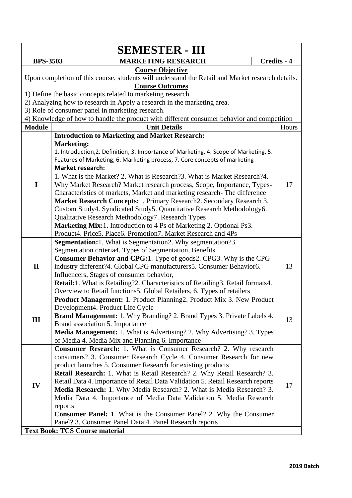|                                                                                                                             | <b>SEMESTER - III</b>                                                                                                                                                                                                                                                                                                                                                                                                                                                                                                                                                                                                                                                       |             |  |  |
|-----------------------------------------------------------------------------------------------------------------------------|-----------------------------------------------------------------------------------------------------------------------------------------------------------------------------------------------------------------------------------------------------------------------------------------------------------------------------------------------------------------------------------------------------------------------------------------------------------------------------------------------------------------------------------------------------------------------------------------------------------------------------------------------------------------------------|-------------|--|--|
| <b>BPS-3503</b>                                                                                                             | <b>MARKETING RESEARCH</b>                                                                                                                                                                                                                                                                                                                                                                                                                                                                                                                                                                                                                                                   | Credits - 4 |  |  |
| <b>Course Objective</b><br>Upon completion of this course, students will understand the Retail and Market research details. |                                                                                                                                                                                                                                                                                                                                                                                                                                                                                                                                                                                                                                                                             |             |  |  |
|                                                                                                                             | <b>Course Outcomes</b>                                                                                                                                                                                                                                                                                                                                                                                                                                                                                                                                                                                                                                                      |             |  |  |
|                                                                                                                             | 1) Define the basic concepts related to marketing research.                                                                                                                                                                                                                                                                                                                                                                                                                                                                                                                                                                                                                 |             |  |  |
|                                                                                                                             | 2) Analyzing how to research in Apply a research in the marketing area.<br>3) Role of consumer panel in marketing research.                                                                                                                                                                                                                                                                                                                                                                                                                                                                                                                                                 |             |  |  |
|                                                                                                                             | 4) Knowledge of how to handle the product with different consumer behavior and competition                                                                                                                                                                                                                                                                                                                                                                                                                                                                                                                                                                                  |             |  |  |
| <b>Module</b>                                                                                                               | <b>Unit Details</b>                                                                                                                                                                                                                                                                                                                                                                                                                                                                                                                                                                                                                                                         | Hours       |  |  |
|                                                                                                                             | <b>Introduction to Marketing and Market Research:</b>                                                                                                                                                                                                                                                                                                                                                                                                                                                                                                                                                                                                                       |             |  |  |
|                                                                                                                             | <b>Marketing:</b><br>1. Introduction, 2. Definition, 3. Importance of Marketing, 4. Scope of Marketing, 5.<br>Features of Marketing, 6. Marketing process, 7. Core concepts of marketing<br><b>Market research:</b><br>1. What is the Market? 2. What is Research? 3. What is Market Research? 4.                                                                                                                                                                                                                                                                                                                                                                           |             |  |  |
| I                                                                                                                           | Why Market Research? Market research process, Scope, Importance, Types-<br>Characteristics of markets, Market and marketing research-The difference<br>Market Research Concepts: 1. Primary Research 2. Secondary Research 3.<br>Custom Study4. Syndicated Study5. Quantitative Research Methodology6.<br>Qualitative Research Methodology7. Research Types<br>Marketing Mix:1. Introduction to 4 Ps of Marketing 2. Optional Ps3.<br>Product4. Price5. Place6. Promotion7. Market Research and 4Ps                                                                                                                                                                         | 17          |  |  |
| $\mathbf{I}$                                                                                                                | <b>Segmentation:</b> 1. What is Segmentation 2. Why segmentation ? 3.<br>Segmentation criteria4. Types of Segmentation, Benefits<br>Consumer Behavior and CPG:1. Type of goods2. CPG3. Why is the CPG<br>industry different?4. Global CPG manufacturers5. Consumer Behavior6.<br>Influencers, Stages of consumer behavior,<br>Retail:1. What is Retailing?2. Characteristics of Retailing3. Retail formats4.<br>Overview to Retail functions5. Global Retailers, 6. Types of retailers                                                                                                                                                                                      | 13          |  |  |
| Ш                                                                                                                           | Product Management: 1. Product Planning2. Product Mix 3. New Product<br>Development4. Product Life Cycle<br><b>Brand Management:</b> 1. Why Branding? 2. Brand Types 3. Private Labels 4.<br>Brand association 5. Importance<br><b>Media Management:</b> 1. What is Advertising? 2. Why Advertising? 3. Types<br>of Media 4. Media Mix and Planning 6. Importance                                                                                                                                                                                                                                                                                                           | 13          |  |  |
| IV                                                                                                                          | <b>Consumer Research:</b> 1. What is Consumer Research? 2. Why research<br>consumers? 3. Consumer Research Cycle 4. Consumer Research for new<br>product launches 5. Consumer Research for existing products<br>Retail Research: 1. What is Retail Research? 2. Why Retail Research? 3.<br>Retail Data 4. Importance of Retail Data Validation 5. Retail Research reports<br>Media Research: 1. Why Media Research? 2. What is Media Research? 3.<br>Media Data 4. Importance of Media Data Validation 5. Media Research<br>reports<br><b>Consumer Panel:</b> 1. What is the Consumer Panel? 2. Why the Consumer<br>Panel? 3. Consumer Panel Data 4. Panel Research reports | 17          |  |  |
|                                                                                                                             | <b>Text Book: TCS Course material</b>                                                                                                                                                                                                                                                                                                                                                                                                                                                                                                                                                                                                                                       |             |  |  |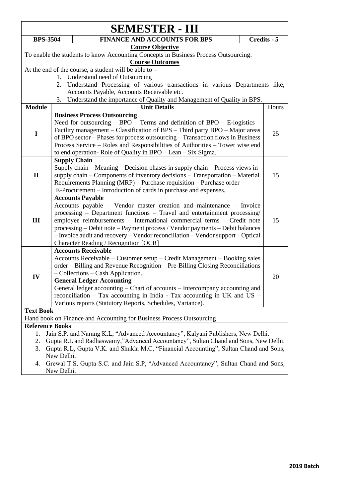|                  |                                                                                      | <b>SEMESTER - III</b>                                                                                                                           |  |             |
|------------------|--------------------------------------------------------------------------------------|-------------------------------------------------------------------------------------------------------------------------------------------------|--|-------------|
|                  | <b>BPS-3504</b>                                                                      | <b>FINANCE AND ACCOUNTS FOR BPS</b>                                                                                                             |  | Credits - 5 |
|                  |                                                                                      | <b>Course Objective</b>                                                                                                                         |  |             |
|                  |                                                                                      | To enable the students to know Accounting Concepts in Business Process Outsourcing.                                                             |  |             |
|                  |                                                                                      | <b>Course Outcomes</b>                                                                                                                          |  |             |
|                  |                                                                                      | At the end of the course, a student will be able to $-$                                                                                         |  |             |
|                  |                                                                                      | 1. Understand need of Outsourcing                                                                                                               |  |             |
|                  |                                                                                      | 2. Understand Processing of various transactions in various Departments like,                                                                   |  |             |
|                  |                                                                                      | Accounts Payable, Accounts Receivable etc.                                                                                                      |  |             |
|                  | 3.                                                                                   | Understand the importance of Quality and Management of Quality in BPS.                                                                          |  |             |
| <b>Module</b>    |                                                                                      | <b>Unit Details</b>                                                                                                                             |  | Hours       |
|                  |                                                                                      | <b>Business Process Outsourcing</b>                                                                                                             |  |             |
|                  |                                                                                      | Need for outsourcing $-$ BPO $-$ Terms and definition of BPO $-$ E-logistics $-$                                                                |  |             |
| $\mathbf I$      |                                                                                      | Facility management – Classification of BPS – Third party BPO – Major areas                                                                     |  | 25          |
|                  |                                                                                      | of BPO sector – Phases for process outsourcing – Transaction flows in Business                                                                  |  |             |
|                  |                                                                                      | Process Service – Roles and Responsibilities of Authorities – Tower wise end                                                                    |  |             |
|                  |                                                                                      | to end operation-Role of Quality in BPO – Lean – Six Sigma.                                                                                     |  |             |
|                  |                                                                                      | <b>Supply Chain</b>                                                                                                                             |  |             |
|                  |                                                                                      | Supply chain – Meaning – Decision phases in supply chain – Process views in                                                                     |  |             |
| $\mathbf{I}$     |                                                                                      | supply chain – Components of inventory decisions – Transportation – Material                                                                    |  | 15          |
|                  |                                                                                      | Requirements Planning (MRP) - Purchase requisition - Purchase order -                                                                           |  |             |
|                  | E-Procurement – Introduction of cards in purchase and expenses.                      |                                                                                                                                                 |  |             |
|                  |                                                                                      | <b>Accounts Payable</b>                                                                                                                         |  |             |
|                  |                                                                                      | Accounts payable – Vendor master creation and maintenance – Invoice<br>processing - Department functions - Travel and entertainment processing/ |  |             |
| III              |                                                                                      | employee reimbursements - International commercial terms - Credit note                                                                          |  | 15          |
|                  |                                                                                      | processing - Debit note - Payment process / Vendor payments - Debit balances                                                                    |  |             |
|                  |                                                                                      | - Invoice audit and recovery - Vendor reconciliation - Vendor support - Optical                                                                 |  |             |
|                  |                                                                                      | Character Reading / Recognition [OCR]                                                                                                           |  |             |
|                  |                                                                                      | <b>Accounts Receivable</b>                                                                                                                      |  |             |
|                  |                                                                                      | Accounts Receivable - Customer setup - Credit Management - Booking sales                                                                        |  |             |
|                  |                                                                                      | order – Billing and Revenue Recognition – Pre-Billing Closing Reconciliations                                                                   |  |             |
|                  |                                                                                      | - Collections - Cash Application.                                                                                                               |  |             |
| IV               |                                                                                      | <b>General Ledger Accounting</b>                                                                                                                |  | 20          |
|                  |                                                                                      | General ledger accounting – Chart of accounts – Intercompany accounting and                                                                     |  |             |
|                  |                                                                                      | reconciliation $-$ Tax accounting in India - Tax accounting in UK and US $-$                                                                    |  |             |
|                  |                                                                                      | Various reports (Statutory Reports, Schedules, Variance).                                                                                       |  |             |
| <b>Text Book</b> |                                                                                      |                                                                                                                                                 |  |             |
|                  |                                                                                      | Hand book on Finance and Accounting for Business Process Outsourcing                                                                            |  |             |
|                  | <b>Reference Books</b>                                                               |                                                                                                                                                 |  |             |
| 1.               |                                                                                      | Jain S.P. and Narang K.L, "Advanced Accountancy", Kalyani Publishers, New Delhi.                                                                |  |             |
| 2.               |                                                                                      | Gupta R.L and Radhaswamy,"Advanced Accountancy", Sultan Chand and Sons, New Delhi.                                                              |  |             |
| 3.               | Gupta R.L, Gupta V.K. and Shukla M.C, "Financial Accounting", Sultan Chand and Sons, |                                                                                                                                                 |  |             |
|                  | New Delhi.                                                                           |                                                                                                                                                 |  |             |
| 4.               |                                                                                      | Grewal T.S, Gupta S.C. and Jain S.P, "Advanced Accountancy", Sultan Chand and Sons,                                                             |  |             |
|                  | New Delhi.                                                                           |                                                                                                                                                 |  |             |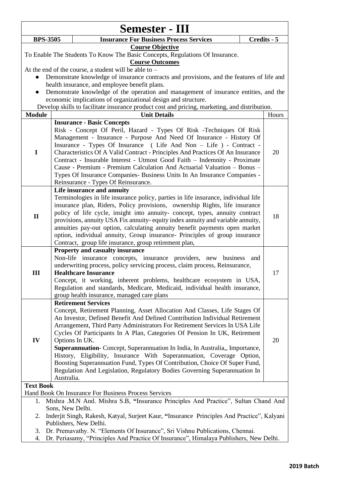| Semester - III                                                                                                                                                                                                                             |                                                                                                                                                                                                                                                                                                                                                                                                                                                                                                                                                                                                                                                                                                         |             |  |  |
|--------------------------------------------------------------------------------------------------------------------------------------------------------------------------------------------------------------------------------------------|---------------------------------------------------------------------------------------------------------------------------------------------------------------------------------------------------------------------------------------------------------------------------------------------------------------------------------------------------------------------------------------------------------------------------------------------------------------------------------------------------------------------------------------------------------------------------------------------------------------------------------------------------------------------------------------------------------|-------------|--|--|
| <b>BPS-3505</b>                                                                                                                                                                                                                            | <b>Insurance For Business Process Services</b>                                                                                                                                                                                                                                                                                                                                                                                                                                                                                                                                                                                                                                                          | Credits - 5 |  |  |
| <b>Course Objective</b><br>To Enable The Students To Know The Basic Concepts, Regulations Of Insurance.<br><b>Course Outcomes</b>                                                                                                          |                                                                                                                                                                                                                                                                                                                                                                                                                                                                                                                                                                                                                                                                                                         |             |  |  |
|                                                                                                                                                                                                                                            | At the end of the course, a student will be able to $-$<br>Demonstrate knowledge of insurance contracts and provisions, and the features of life and<br>health insurance, and employee benefit plans.                                                                                                                                                                                                                                                                                                                                                                                                                                                                                                   |             |  |  |
|                                                                                                                                                                                                                                            | Demonstrate knowledge of the operation and management of insurance entities, and the<br>economic implications of organizational design and structure.                                                                                                                                                                                                                                                                                                                                                                                                                                                                                                                                                   |             |  |  |
|                                                                                                                                                                                                                                            | Develop skills to facilitate insurance product cost and pricing, marketing, and distribution.                                                                                                                                                                                                                                                                                                                                                                                                                                                                                                                                                                                                           |             |  |  |
| <b>Module</b>                                                                                                                                                                                                                              | <b>Unit Details</b>                                                                                                                                                                                                                                                                                                                                                                                                                                                                                                                                                                                                                                                                                     | Hours       |  |  |
| $\mathbf I$                                                                                                                                                                                                                                | <b>Insurance - Basic Concepts</b><br>Risk - Concept Of Peril, Hazard - Types Of Risk - Techniques Of Risk<br>Management - Insurance - Purpose And Need Of Insurance - History Of<br>Insurance - Types Of Insurance (Life And Non - Life) - Contract -<br>Characteristics Of A Valid Contract - Principles And Practices Of An Insurance<br>Contract - Insurable Interest - Utmost Good Faith - Indemnity - Proximate<br>Cause - Premium - Premium Calculation And Actuarial Valuation - Bonus -<br>Types Of Insurance Companies- Business Units In An Insurance Companies -<br>Reinsurance - Types Of Reinsurance.                                                                                      | 20          |  |  |
| $\mathbf{I}$                                                                                                                                                                                                                               | Life insurance and annuity<br>Terminologies in life insurance policy, parties in life insurance, individual life<br>insurance plan, Riders, Policy provisions, ownership Rights, life insurance<br>policy of life cycle, insight into annuity- concept, types, annuity contract<br>provisions, annuity USA Fix annuity-equity index annuity and variable annuity,<br>annuities pay-out option, calculating annuity benefit payments open market<br>option, individual annuity, Group insurance- Principles of group insurance<br>Contract, group life insurance, group retirement plan,                                                                                                                 | 18          |  |  |
| Ш                                                                                                                                                                                                                                          | <b>Property and casualty insurance</b><br>Non-life insurance concepts, insurance providers, new business<br>and<br>underwriting process, policy servicing process, claim process, Reinsurance,<br><b>Healthcare Insurance</b><br>Concept, it working, inherent problems, healthcare ecosystem in USA,<br>Regulation and standards, Medicare, Medicaid, individual health insurance,<br>group health insurance, managed care plans                                                                                                                                                                                                                                                                       | 17          |  |  |
| IV                                                                                                                                                                                                                                         | <b>Retirement Services</b><br>Concept, Retirement Planning, Asset Allocation And Classes, Life Stages Of<br>An Investor, Defined Benefit And Defined Contribution Individual Retirement<br>Arrangement, Third Party Administrators For Retirement Services In USA Life<br>Cycles Of Participants In A Plan, Categories Of Pension In UK, Retirement<br>Options In UK.<br>Superannuation- Concept, Superannuation In India, In Australia,, Importance,<br>History, Eligibility, Insurance With Superannuation, Coverage Option,<br>Boosting Superannuation Fund, Types Of Contribution, Choice Of Super Fund,<br>Regulation And Legislation, Regulatory Bodies Governing Superannuation In<br>Australia. | 20          |  |  |
| <b>Text Book</b>                                                                                                                                                                                                                           |                                                                                                                                                                                                                                                                                                                                                                                                                                                                                                                                                                                                                                                                                                         |             |  |  |
|                                                                                                                                                                                                                                            | Hand Book On Insurance For Business Process Services                                                                                                                                                                                                                                                                                                                                                                                                                                                                                                                                                                                                                                                    |             |  |  |
| Mishra .M.N And. Mishra S.B, "Insurance Principles And Practice", Sultan Chand And<br>1.<br>Sons, New Delhi.<br>Inderjit Singh, Rakesh, Katyal, Surjeet Kaur, "Insurance Principles And Practice", Kalyani<br>2.<br>Publishers, New Delhi. |                                                                                                                                                                                                                                                                                                                                                                                                                                                                                                                                                                                                                                                                                                         |             |  |  |
| 3.<br>4.                                                                                                                                                                                                                                   | Dr. Premavathy. N. "Elements Of Insurance", Sri Vishnu Publications, Chennai.<br>Dr. Periasamy, "Principles And Practice Of Insurance", Himalaya Publishers, New Delhi.                                                                                                                                                                                                                                                                                                                                                                                                                                                                                                                                 |             |  |  |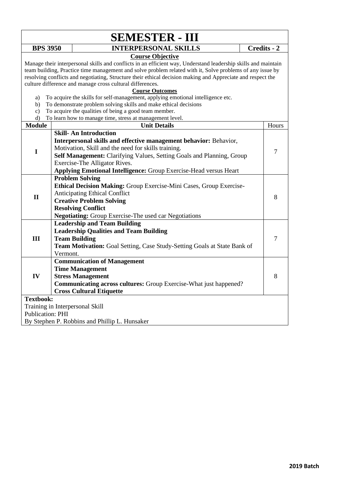|                         |                                                                     | <b>SEMESTER - III</b>                                                                                                                               |                |  |  |
|-------------------------|---------------------------------------------------------------------|-----------------------------------------------------------------------------------------------------------------------------------------------------|----------------|--|--|
| <b>BPS 3950</b>         |                                                                     | <b>INTERPERSONAL SKILLS</b>                                                                                                                         | Credits - 2    |  |  |
|                         |                                                                     | <b>Course Objective</b>                                                                                                                             |                |  |  |
|                         |                                                                     | Manage their interpersonal skills and conflicts in an efficient way, Understand leadership skills and maintain                                      |                |  |  |
|                         |                                                                     | team building, Practice time management and solve problem related with it, Solve problems of any issue by                                           |                |  |  |
|                         |                                                                     | resolving conflicts and negotiating, Structure their ethical decision making and Appreciate and respect the                                         |                |  |  |
|                         |                                                                     | culture difference and manage cross cultural differences.                                                                                           |                |  |  |
|                         |                                                                     | <b>Course Outcomes</b>                                                                                                                              |                |  |  |
| a)                      |                                                                     | To acquire the skills for self-management, applying emotional intelligence etc.<br>To demonstrate problem solving skills and make ethical decisions |                |  |  |
| b)<br>c)                |                                                                     | To acquire the qualities of being a good team member.                                                                                               |                |  |  |
| d)                      |                                                                     | To learn how to manage time, stress at management level.                                                                                            |                |  |  |
| <b>Module</b>           |                                                                     | <b>Unit Details</b>                                                                                                                                 | Hours          |  |  |
|                         |                                                                     | <b>Skill-An Introduction</b>                                                                                                                        |                |  |  |
|                         |                                                                     | Interpersonal skills and effective management behavior: Behavior,                                                                                   |                |  |  |
|                         |                                                                     | Motivation, Skill and the need for skills training.                                                                                                 |                |  |  |
| $\mathbf I$             |                                                                     | Self Management: Clarifying Values, Setting Goals and Planning, Group                                                                               | $\overline{7}$ |  |  |
|                         |                                                                     | Exercise-The Alligator Rives.                                                                                                                       |                |  |  |
|                         |                                                                     | <b>Applying Emotional Intelligence:</b> Group Exercise-Head versus Heart                                                                            |                |  |  |
|                         |                                                                     | <b>Problem Solving</b>                                                                                                                              |                |  |  |
|                         | Ethical Decision Making: Group Exercise-Mini Cases, Group Exercise- |                                                                                                                                                     |                |  |  |
|                         | <b>Anticipating Ethical Conflict</b>                                |                                                                                                                                                     |                |  |  |
| $\mathbf{I}$            |                                                                     | <b>Creative Problem Solving</b>                                                                                                                     | 8              |  |  |
|                         | <b>Resolving Conflict</b>                                           |                                                                                                                                                     |                |  |  |
|                         |                                                                     | <b>Negotiating:</b> Group Exercise-The used car Negotiations                                                                                        |                |  |  |
|                         |                                                                     | <b>Leadership and Team Building</b>                                                                                                                 |                |  |  |
|                         |                                                                     | <b>Leadership Qualities and Team Building</b>                                                                                                       |                |  |  |
| Ш                       |                                                                     | <b>Team Building</b>                                                                                                                                | $\overline{7}$ |  |  |
|                         |                                                                     | Team Motivation: Goal Setting, Case Study-Setting Goals at State Bank of                                                                            |                |  |  |
|                         | Vermont.                                                            |                                                                                                                                                     |                |  |  |
|                         |                                                                     | <b>Communication of Management</b>                                                                                                                  |                |  |  |
|                         |                                                                     | <b>Time Management</b>                                                                                                                              |                |  |  |
| IV                      |                                                                     | <b>Stress Management</b>                                                                                                                            | 8              |  |  |
|                         |                                                                     | <b>Communicating across cultures:</b> Group Exercise-What just happened?                                                                            |                |  |  |
|                         |                                                                     | <b>Cross Cultural Etiquette</b>                                                                                                                     |                |  |  |
| <b>Textbook:</b>        |                                                                     |                                                                                                                                                     |                |  |  |
|                         |                                                                     | Training in Interpersonal Skill                                                                                                                     |                |  |  |
| <b>Publication: PHI</b> |                                                                     |                                                                                                                                                     |                |  |  |
|                         |                                                                     | By Stephen P. Robbins and Phillip L. Hunsaker                                                                                                       |                |  |  |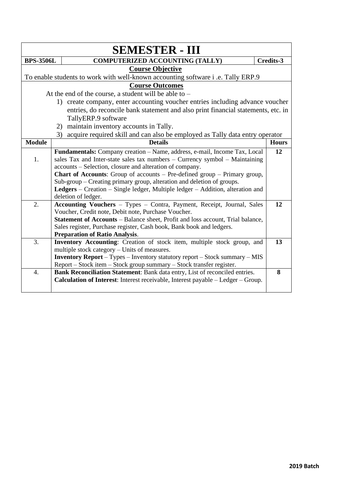|                  | <b>SEMESTER - III</b>                                                                                         |              |
|------------------|---------------------------------------------------------------------------------------------------------------|--------------|
| <b>BPS-3506L</b> | <b>COMPUTERIZED ACCOUNTING (TALLY)</b>                                                                        | Credits-3    |
|                  | <b>Course Objective</b>                                                                                       |              |
|                  | To enable students to work with well-known accounting software i.e. Tally ERP.9                               |              |
|                  | <b>Course Outcomes</b>                                                                                        |              |
|                  | At the end of the course, a student will be able to $-$                                                       |              |
|                  | 1) create company, enter accounting voucher entries including advance voucher                                 |              |
|                  | entries, do reconcile bank statement and also print financial statements, etc. in                             |              |
|                  | TallyERP.9 software                                                                                           |              |
|                  | maintain inventory accounts in Tally.<br>2)                                                                   |              |
|                  | acquire required skill and can also be employed as Tally data entry operator<br>3)                            |              |
| <b>Module</b>    | <b>Details</b>                                                                                                | <b>Hours</b> |
|                  | Fundamentals: Company creation - Name, address, e-mail, Income Tax, Local                                     | 12           |
| 1.               | sales Tax and Inter-state sales tax numbers $-$ Currency symbol $-$ Maintaining                               |              |
|                  | accounts – Selection, closure and alteration of company.                                                      |              |
|                  | <b>Chart of Accounts:</b> Group of accounts $-$ Pre-defined group $-$ Primary group,                          |              |
|                  | Sub-group – Creating primary group, alteration and deletion of groups.                                        |              |
|                  | Ledgers – Creation – Single ledger, Multiple ledger – Addition, alteration and                                |              |
|                  | deletion of ledger.                                                                                           |              |
| 2.               | Accounting Vouchers - Types - Contra, Payment, Receipt, Journal, Sales                                        | 12           |
|                  | Voucher, Credit note, Debit note, Purchase Voucher.                                                           |              |
|                  | Statement of Accounts - Balance sheet, Profit and loss account, Trial balance,                                |              |
|                  | Sales register, Purchase register, Cash book, Bank book and ledgers.<br><b>Preparation of Ratio Analysis.</b> |              |
| 3.               | Inventory Accounting: Creation of stock item, multiple stock group, and                                       | 13           |
|                  | multiple stock category – Units of measures.                                                                  |              |
|                  | <b>Inventory Report</b> - Types - Inventory statutory report - Stock summary - MIS                            |              |
|                  | Report - Stock item - Stock group summary - Stock transfer register.                                          |              |
| 4.               | Bank Reconciliation Statement: Bank data entry, List of reconciled entries.                                   | 8            |
|                  | Calculation of Interest: Interest receivable, Interest payable - Ledger - Group.                              |              |
|                  |                                                                                                               |              |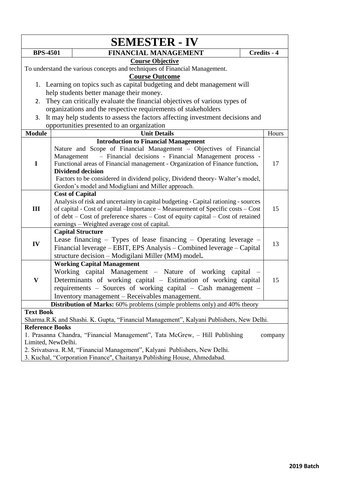|                                                                                        |            | <b>SEMESTER - IV</b>                                                                    |  |             |
|----------------------------------------------------------------------------------------|------------|-----------------------------------------------------------------------------------------|--|-------------|
| <b>BPS-4501</b>                                                                        |            | <b>FINANCIAL MANAGEMENT</b>                                                             |  | Credits - 4 |
|                                                                                        |            | <b>Course Objective</b>                                                                 |  |             |
|                                                                                        |            | To understand the various concepts and techniques of Financial Management.              |  |             |
|                                                                                        |            | <b>Course Outcome</b>                                                                   |  |             |
|                                                                                        |            | 1. Learning on topics such as capital budgeting and debt management will                |  |             |
|                                                                                        |            | help students better manage their money.                                                |  |             |
| 2.                                                                                     |            | They can critically evaluate the financial objectives of various types of               |  |             |
|                                                                                        |            | organizations and the respective requirements of stakeholders                           |  |             |
| 3.                                                                                     |            | It may help students to assess the factors affecting investment decisions and           |  |             |
|                                                                                        |            | opportunities presented to an organization                                              |  |             |
| <b>Module</b>                                                                          |            | <b>Unit Details</b>                                                                     |  | Hours       |
|                                                                                        |            | <b>Introduction to Financial Management</b>                                             |  |             |
|                                                                                        |            | Nature and Scope of Financial Management - Objectives of Financial                      |  |             |
|                                                                                        | Management | - Financial decisions - Financial Management process -                                  |  |             |
| $\mathbf I$                                                                            |            | Functional areas of Financial management - Organization of Finance function.            |  | 17          |
|                                                                                        |            | <b>Dividend decision</b>                                                                |  |             |
|                                                                                        |            | Factors to be considered in dividend policy, Dividend theory- Walter's model,           |  |             |
|                                                                                        |            | Gordon's model and Modigliani and Miller approach.                                      |  |             |
|                                                                                        |            | <b>Cost of Capital</b>                                                                  |  |             |
|                                                                                        |            | Analysis of risk and uncertainty in capital budgeting - Capital rationing - sources     |  |             |
| III                                                                                    |            | of capital - Cost of capital - Importance - Measurement of Specific costs - Cost        |  | 15          |
|                                                                                        |            | of debt – Cost of preference shares – Cost of equity capital – Cost of retained         |  |             |
|                                                                                        |            | earnings - Weighted average cost of capital.                                            |  |             |
|                                                                                        |            | <b>Capital Structure</b>                                                                |  |             |
| IV                                                                                     |            | Lease financing $-$ Types of lease financing $-$ Operating leverage $-$                 |  | 13          |
|                                                                                        |            | Financial leverage - EBIT, EPS Analysis - Combined leverage - Capital                   |  |             |
|                                                                                        |            | structure decision - Modigilani Miller (MM) model.                                      |  |             |
|                                                                                        |            | <b>Working Capital Management</b>                                                       |  |             |
|                                                                                        |            | Working capital Management – Nature of working capital –                                |  |             |
| $\mathbf{V}$                                                                           |            | Determinants of working capital - Estimation of working capital                         |  | 15          |
|                                                                                        |            | requirements - Sources of working capital - Cash management -                           |  |             |
|                                                                                        |            | Inventory management - Receivables management.                                          |  |             |
|                                                                                        |            | Distribution of Marks: 60% problems (simple problems only) and 40% theory               |  |             |
| <b>Text Book</b>                                                                       |            |                                                                                         |  |             |
|                                                                                        |            | Sharma.R.K and Shashi. K. Gupta, "Financial Management", Kalyani Publishers, New Delhi. |  |             |
| <b>Reference Books</b>                                                                 |            |                                                                                         |  |             |
| 1. Prasanna Chandra, "Financial Management", Tata McGrew, - Hill Publishing<br>company |            |                                                                                         |  |             |
| Limited, NewDelhi.                                                                     |            |                                                                                         |  |             |
|                                                                                        |            | 2. Srivatsava. R.M, "Financial Management", Kalyani Publishers, New Delhi.              |  |             |
|                                                                                        |            | 3. Kuchal, "Corporation Finance", Chaitanya Publishing House, Ahmedabad.                |  |             |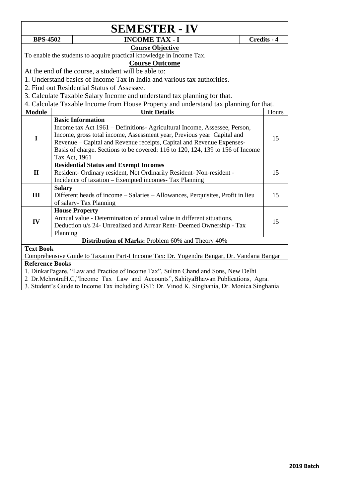|                                                                                   |               | <b>SEMESTER - IV</b>                                                                       |  |             |  |
|-----------------------------------------------------------------------------------|---------------|--------------------------------------------------------------------------------------------|--|-------------|--|
| <b>BPS-4502</b>                                                                   |               | <b>INCOME TAX - I</b>                                                                      |  | Credits - 4 |  |
| <b>Course Objective</b>                                                           |               |                                                                                            |  |             |  |
|                                                                                   |               | To enable the students to acquire practical knowledge in Income Tax.                       |  |             |  |
|                                                                                   |               | <b>Course Outcome</b>                                                                      |  |             |  |
|                                                                                   |               | At the end of the course, a student will be able to:                                       |  |             |  |
|                                                                                   |               | 1. Understand basics of Income Tax in India and various tax authorities.                   |  |             |  |
|                                                                                   |               | 2. Find out Residential Status of Assessee.                                                |  |             |  |
|                                                                                   |               | 3. Calculate Taxable Salary Income and understand tax planning for that.                   |  |             |  |
|                                                                                   |               | 4. Calculate Taxable Income from House Property and understand tax planning for that.      |  |             |  |
| <b>Module</b>                                                                     |               | <b>Unit Details</b>                                                                        |  | Hours       |  |
|                                                                                   |               | <b>Basic Information</b>                                                                   |  |             |  |
|                                                                                   |               | Income tax Act 1961 – Definitions- Agricultural Income, Assessee, Person,                  |  |             |  |
| $\mathbf I$                                                                       |               | Income, gross total income, Assessment year, Previous year Capital and                     |  | 15          |  |
|                                                                                   |               | Revenue – Capital and Revenue receipts, Capital and Revenue Expenses-                      |  |             |  |
|                                                                                   |               | Basis of charge. Sections to be covered: 116 to 120, 124, 139 to 156 of Income             |  |             |  |
|                                                                                   |               | Tax Act, 1961                                                                              |  |             |  |
|                                                                                   |               | <b>Residential Status and Exempt Incomes</b>                                               |  |             |  |
| $\mathbf{I}$                                                                      |               | Resident- Ordinary resident, Not Ordinarily Resident- Non-resident -                       |  | 15          |  |
|                                                                                   |               | Incidence of taxation - Exempted incomes- Tax Planning                                     |  |             |  |
|                                                                                   | <b>Salary</b> |                                                                                            |  |             |  |
| III                                                                               |               | Different heads of income - Salaries - Allowances, Perquisites, Profit in lieu             |  | 15          |  |
|                                                                                   |               | of salary-Tax Planning                                                                     |  |             |  |
|                                                                                   |               | <b>House Property</b>                                                                      |  |             |  |
| IV                                                                                |               | Annual value - Determination of annual value in different situations,                      |  | 15          |  |
|                                                                                   |               | Deduction u/s 24- Unrealized and Arrear Rent- Deemed Ownership - Tax                       |  |             |  |
| Planning<br>Distribution of Marks: Problem 60% and Theory 40%                     |               |                                                                                            |  |             |  |
| <b>Text Book</b>                                                                  |               |                                                                                            |  |             |  |
|                                                                                   |               | Comprehensive Guide to Taxation Part-I Income Tax: Dr. Yogendra Bangar, Dr. Vandana Bangar |  |             |  |
| <b>Reference Books</b>                                                            |               |                                                                                            |  |             |  |
|                                                                                   |               | 1. DinkarPagare, "Law and Practice of Income Tax", Sultan Chand and Sons, New Delhi        |  |             |  |
| 2 Dr.MehrotraH.C,"Income Tax Law and Accounts", SahityaBhawan Publications, Agra. |               |                                                                                            |  |             |  |

3. Student's Guide to Income Tax including GST: Dr. Vinod K. Singhania, Dr. Monica Singhania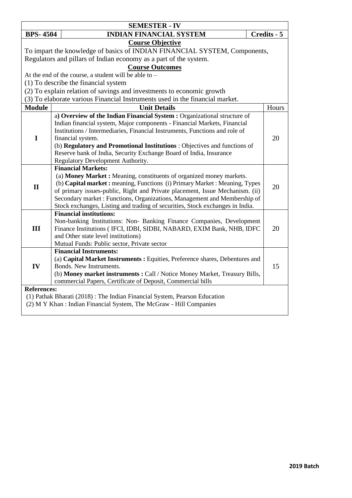| <b>SEMESTER - IV</b>                                                      |                                                                                                                                                          |             |  |  |  |
|---------------------------------------------------------------------------|----------------------------------------------------------------------------------------------------------------------------------------------------------|-------------|--|--|--|
| <b>BPS-4504</b>                                                           | <b>INDIAN FINANCIAL SYSTEM</b>                                                                                                                           | Credits - 5 |  |  |  |
|                                                                           | <b>Course Objective</b>                                                                                                                                  |             |  |  |  |
|                                                                           | To impart the knowledge of basics of INDIAN FINANCIAL SYSTEM, Components,                                                                                |             |  |  |  |
|                                                                           | Regulators and pillars of Indian economy as a part of the system.                                                                                        |             |  |  |  |
|                                                                           | <b>Course Outcomes</b>                                                                                                                                   |             |  |  |  |
|                                                                           | At the end of the course, a student will be able to -                                                                                                    |             |  |  |  |
|                                                                           | (1) To describe the financial system                                                                                                                     |             |  |  |  |
|                                                                           | (2) To explain relation of savings and investments to economic growth                                                                                    |             |  |  |  |
|                                                                           | (3) To elaborate various Financial Instruments used in the financial market.                                                                             |             |  |  |  |
| <b>Module</b>                                                             | <b>Unit Details</b>                                                                                                                                      | Hours       |  |  |  |
|                                                                           | a) Overview of the Indian Financial System : Organizational structure of                                                                                 |             |  |  |  |
|                                                                           | Indian financial system, Major components - Financial Markets, Financial                                                                                 |             |  |  |  |
|                                                                           | Institutions / Intermediaries, Financial Instruments, Functions and role of                                                                              |             |  |  |  |
| I                                                                         | financial system.                                                                                                                                        | 20          |  |  |  |
|                                                                           | (b) Regulatory and Promotional Institutions : Objectives and functions of                                                                                |             |  |  |  |
|                                                                           | Reserve bank of India, Security Exchange Board of India, Insurance                                                                                       |             |  |  |  |
|                                                                           | Regulatory Development Authority.                                                                                                                        |             |  |  |  |
|                                                                           | <b>Financial Markets:</b>                                                                                                                                |             |  |  |  |
|                                                                           | (a) Money Market : Meaning, constituents of organized money markets.                                                                                     |             |  |  |  |
| $\mathbf{I}$                                                              | (b) Capital market: meaning, Functions (i) Primary Market: Meaning, Types                                                                                | 20          |  |  |  |
|                                                                           | of primary issues-public, Right and Private placement, Issue Mechanism. (ii)<br>Secondary market: Functions, Organizations, Management and Membership of |             |  |  |  |
|                                                                           | Stock exchanges, Listing and trading of securities, Stock exchanges in India.                                                                            |             |  |  |  |
|                                                                           | <b>Financial institutions:</b>                                                                                                                           |             |  |  |  |
|                                                                           | Non-banking Institutions: Non- Banking Finance Companies, Development                                                                                    |             |  |  |  |
| III                                                                       | Finance Institutions (IFCI, IDBI, SIDBI, NABARD, EXIM Bank, NHB, IDFC                                                                                    | 20          |  |  |  |
|                                                                           | and Other state level institutions)                                                                                                                      |             |  |  |  |
|                                                                           | Mutual Funds: Public sector, Private sector                                                                                                              |             |  |  |  |
|                                                                           | <b>Financial Instruments:</b>                                                                                                                            |             |  |  |  |
|                                                                           | (a) Capital Market Instruments : Equities, Preference shares, Debentures and                                                                             |             |  |  |  |
| IV                                                                        | Bonds. New Instruments.                                                                                                                                  | 15          |  |  |  |
|                                                                           | (b) Money market instruments: Call / Notice Money Market, Treasury Bills,                                                                                |             |  |  |  |
|                                                                           | commercial Papers, Certificate of Deposit, Commercial bills                                                                                              |             |  |  |  |
| <b>References:</b>                                                        |                                                                                                                                                          |             |  |  |  |
| (1) Pathak Bharati (2018): The Indian Financial System, Pearson Education |                                                                                                                                                          |             |  |  |  |
|                                                                           | (2) M Y Khan : Indian Financial System, The McGraw - Hill Companies                                                                                      |             |  |  |  |
|                                                                           |                                                                                                                                                          |             |  |  |  |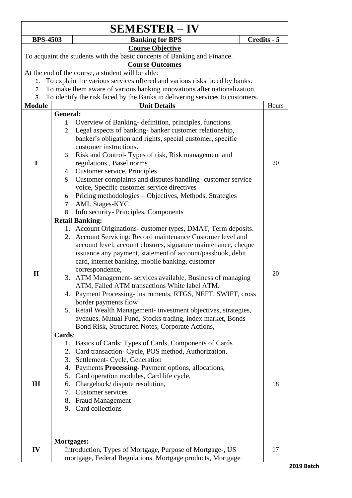|                 |                        | <b>SEMESTER – IV</b>                                                                                                        |             |  |  |
|-----------------|------------------------|-----------------------------------------------------------------------------------------------------------------------------|-------------|--|--|
| <b>BPS-4503</b> |                        | <b>Banking for BPS</b>                                                                                                      | Credits - 5 |  |  |
|                 |                        | <b>Course Objective</b><br>To acquaint the students with the basic concepts of Banking and Finance.                         |             |  |  |
|                 | <b>Course Outcomes</b> |                                                                                                                             |             |  |  |
|                 |                        | At the end of the course, a student will be able:                                                                           |             |  |  |
| 1.              |                        | To explain the various services offered and various risks faced by banks.                                                   |             |  |  |
| 2.              |                        | To make them aware of various banking innovations after nationalization.                                                    |             |  |  |
| 3.              |                        | To identify the risk faced by the Banks in delivering services to customers.                                                |             |  |  |
| <b>Module</b>   |                        | <b>Unit Details</b>                                                                                                         | Hours       |  |  |
|                 | General:               |                                                                                                                             |             |  |  |
|                 | 1.                     | Overview of Banking-definition, principles, functions.                                                                      |             |  |  |
|                 | 2.                     | Legal aspects of banking-banker customer relationship,<br>banker's obligation and rights, special customer, specific        |             |  |  |
|                 |                        | customer instructions.                                                                                                      |             |  |  |
|                 | 3.                     | Risk and Control-Types of risk, Risk management and                                                                         |             |  |  |
| I               |                        | regulations, Basel norms                                                                                                    | 20          |  |  |
|                 |                        | 4. Customer service, Principles                                                                                             |             |  |  |
|                 | 5.                     | Customer complaints and disputes handling-customer service                                                                  |             |  |  |
|                 |                        | voice, Specific customer service directives                                                                                 |             |  |  |
|                 | 6.                     | Pricing methodologies – Objectives, Methods, Strategies                                                                     |             |  |  |
|                 | 7.                     | <b>AML Stages-KYC</b>                                                                                                       |             |  |  |
|                 | 8.                     | Info security- Principles, Components                                                                                       |             |  |  |
|                 |                        | <b>Retail Banking:</b>                                                                                                      |             |  |  |
|                 |                        | 1. Account Originations-customer types, DMAT, Term deposits.<br>2. Account Servicing: Record maintenance Customer level and |             |  |  |
|                 |                        | account level, account closures, signature maintenance, cheque                                                              |             |  |  |
|                 |                        | issuance any payment, statement of account/passbook, debit                                                                  |             |  |  |
|                 |                        | card, internet banking, mobile banking, customer                                                                            |             |  |  |
|                 |                        | correspondence,                                                                                                             |             |  |  |
| $\mathbf{I}$    |                        | 3. ATM Management-services available, Business of managing                                                                  | 20          |  |  |
|                 |                        | ATM, Failed ATM transactions White label ATM                                                                                |             |  |  |
|                 |                        | 4. Payment Processing-instruments, RTGS, NEFT, SWIFT, cross                                                                 |             |  |  |
|                 |                        | border payments flow                                                                                                        |             |  |  |
|                 |                        | 5. Retail Wealth Management- investment objectives, strategies,                                                             |             |  |  |
|                 |                        | avenues, Mutual Fund, Stocks trading, index market, Bonds<br>Bond Risk, Structured Notes, Corporate Actions,                |             |  |  |
|                 | Cards:                 |                                                                                                                             |             |  |  |
|                 |                        | 1. Basics of Cards: Types of Cards, Components of Cards                                                                     |             |  |  |
|                 |                        | 2. Card transaction- Cycle, POS method, Authorization,                                                                      |             |  |  |
|                 | 3.                     | Settlement- Cycle, Generation                                                                                               |             |  |  |
|                 | 4.                     | Payments Processing-Payment options, allocations,                                                                           |             |  |  |
|                 |                        | 5. Card operation modules, Card life cycle,                                                                                 |             |  |  |
| Ш               | 6.                     | Chargeback/dispute resolution,                                                                                              | 18          |  |  |
|                 | 7.                     | <b>Customer services</b>                                                                                                    |             |  |  |
|                 |                        | 8. Fraud Management                                                                                                         |             |  |  |
|                 |                        | 9. Card collections                                                                                                         |             |  |  |
|                 |                        |                                                                                                                             |             |  |  |
|                 | <b>Mortgages:</b>      |                                                                                                                             |             |  |  |
| IV              |                        | Introduction, Types of Mortgage, Purpose of Mortgage-, US                                                                   | 17          |  |  |
|                 |                        | mortgage, Federal Regulations, Mortgage products, Mortgage                                                                  |             |  |  |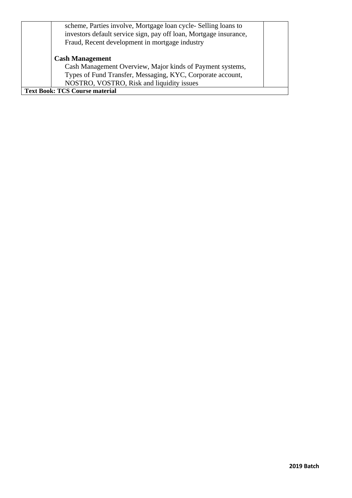| scheme, Parties involve, Mortgage loan cycle-Selling loans to<br>investors default service sign, pay off loan, Mortgage insurance,<br>Fraud, Recent development in mortgage industry |  |  |  |  |
|--------------------------------------------------------------------------------------------------------------------------------------------------------------------------------------|--|--|--|--|
| <b>Cash Management</b>                                                                                                                                                               |  |  |  |  |
| Cash Management Overview, Major kinds of Payment systems,                                                                                                                            |  |  |  |  |
| Types of Fund Transfer, Messaging, KYC, Corporate account,                                                                                                                           |  |  |  |  |
| NOSTRO, VOSTRO, Risk and liquidity issues                                                                                                                                            |  |  |  |  |
| <b>Text Book: TCS Course material</b>                                                                                                                                                |  |  |  |  |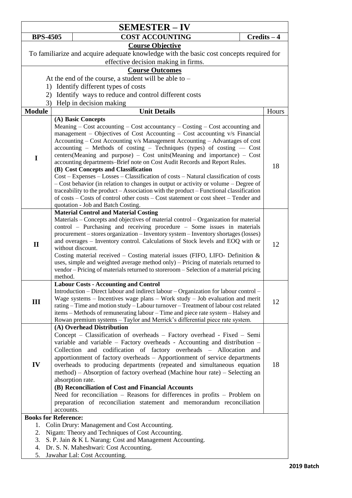|                            | <b>SEMESTER – IV</b>                                                                                                                                                                                                                                                                                                                                                                                                                                                                                                                                                                                                                                                                                                                                                                                                                                                                                                                                        |               |       |  |
|----------------------------|-------------------------------------------------------------------------------------------------------------------------------------------------------------------------------------------------------------------------------------------------------------------------------------------------------------------------------------------------------------------------------------------------------------------------------------------------------------------------------------------------------------------------------------------------------------------------------------------------------------------------------------------------------------------------------------------------------------------------------------------------------------------------------------------------------------------------------------------------------------------------------------------------------------------------------------------------------------|---------------|-------|--|
| <b>BPS-4505</b>            | <b>COST ACCOUNTING</b>                                                                                                                                                                                                                                                                                                                                                                                                                                                                                                                                                                                                                                                                                                                                                                                                                                                                                                                                      | $Credits - 4$ |       |  |
| <b>Course Objective</b>    |                                                                                                                                                                                                                                                                                                                                                                                                                                                                                                                                                                                                                                                                                                                                                                                                                                                                                                                                                             |               |       |  |
|                            | To familiarize and acquire adequate knowledge with the basic cost concepts required for                                                                                                                                                                                                                                                                                                                                                                                                                                                                                                                                                                                                                                                                                                                                                                                                                                                                     |               |       |  |
|                            | effective decision making in firms.                                                                                                                                                                                                                                                                                                                                                                                                                                                                                                                                                                                                                                                                                                                                                                                                                                                                                                                         |               |       |  |
|                            | <b>Course Outcomes</b>                                                                                                                                                                                                                                                                                                                                                                                                                                                                                                                                                                                                                                                                                                                                                                                                                                                                                                                                      |               |       |  |
|                            | At the end of the course, a student will be able to -                                                                                                                                                                                                                                                                                                                                                                                                                                                                                                                                                                                                                                                                                                                                                                                                                                                                                                       |               |       |  |
|                            | 1) Identify different types of costs                                                                                                                                                                                                                                                                                                                                                                                                                                                                                                                                                                                                                                                                                                                                                                                                                                                                                                                        |               |       |  |
|                            | 2) Identify ways to reduce and control different costs                                                                                                                                                                                                                                                                                                                                                                                                                                                                                                                                                                                                                                                                                                                                                                                                                                                                                                      |               |       |  |
|                            | 3) Help in decision making                                                                                                                                                                                                                                                                                                                                                                                                                                                                                                                                                                                                                                                                                                                                                                                                                                                                                                                                  |               |       |  |
| <b>Module</b>              | <b>Unit Details</b>                                                                                                                                                                                                                                                                                                                                                                                                                                                                                                                                                                                                                                                                                                                                                                                                                                                                                                                                         |               | Hours |  |
| I                          | (A) Basic Concepts<br>Meaning – Cost accounting – Cost accountancy – Costing – Cost accounting and<br>management – Objectives of Cost Accounting – Cost accounting $v/s$ Financial<br>Accounting – Cost Accounting v/s Management Accounting – Advantages of cost<br>$\alpha$ accounting – Methods of costing – Techniques (types) of costing — Cost<br>centers(Meaning and purpose) - Cost units(Meaning and importance) - Cost<br>accounting departments-Brief note on Cost Audit Records and Report Rules.<br>(B) Cost Concepts and Classification<br>Cost - Expenses - Losses - Classification of costs - Natural classification of costs<br>- Cost behavior (in relation to changes in output or activity or volume - Degree of<br>traceability to the product – Association with the product – Functional classification<br>of costs – Costs of control other costs – Cost statement or cost sheet – Tender and<br>quotation - Job and Batch Costing. |               | 18    |  |
| $\mathbf{I}$               | <b>Material Control and Material Costing</b><br>Materials – Concepts and objectives of material control – Organization for material<br>control - Purchasing and receiving procedure - Some issues in materials<br>procurement – stores organization – Inventory system – Inventory shortages (losses)<br>and overages - Inventory control. Calculations of Stock levels and EOQ with or<br>without discount.<br>Costing material received - Costing material issues (FIFO, LIFO- Definition &<br>uses, simple and weighted average method only) - Pricing of materials returned to<br>vendor - Pricing of materials returned to storeroom - Selection of a material pricing<br>method.                                                                                                                                                                                                                                                                      |               | 12    |  |
| III                        | <b>Labour Costs - Accounting and Control</b><br>Introduction – Direct labour and indirect labour – Organization for labour control –<br>Wage systems $-$ Incentives wage plans $-$ Work study $-$ Job evaluation and merit<br>rating - Time and motion study - Labour turnover - Treatment of labour cost related<br>items - Methods of remunerating labour - Time and piece rate system - Halsey and<br>Rowan premium systems - Taylor and Merrick's differential piece rate system.                                                                                                                                                                                                                                                                                                                                                                                                                                                                       |               | 12    |  |
| IV                         | (A) Overhead Distribution<br>Concept - Classification of overheads - Factory overhead - Fixed - Semi<br>variable and variable $-$ Factory overheads - Accounting and distribution $-$<br>Collection and codification of factory overheads - Allocation and<br>apportionment of factory overheads - Apportionment of service departments<br>overheads to producing departments (repeated and simultaneous equation<br>method) – Absorption of factory overhead (Machine hour rate) – Selecting an<br>absorption rate.<br>(B) Reconciliation of Cost and Financial Accounts<br>Need for reconciliation – Reasons for differences in profits – Problem on<br>preparation of reconciliation statement and memorandum reconciliation<br>accounts.                                                                                                                                                                                                                |               | 18    |  |
| 1.<br>2.<br>3.<br>4.<br>5. | <b>Books for Reference:</b><br>Colin Drury: Management and Cost Accounting.<br>Nigam: Theory and Techniques of Cost Accounting.<br>S. P. Jain & K L Narang: Cost and Management Accounting.<br>Dr. S. N. Maheshwari: Cost Accounting.<br>Jawahar Lal: Cost Accounting.                                                                                                                                                                                                                                                                                                                                                                                                                                                                                                                                                                                                                                                                                      |               |       |  |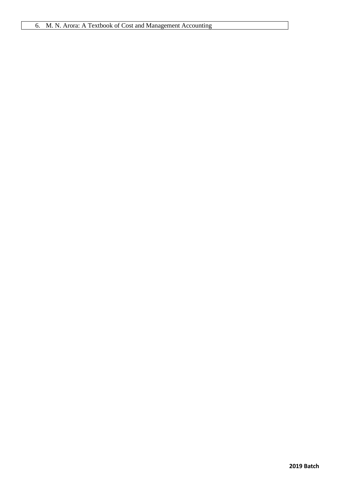### 6. M. N. Arora: A Textbook of Cost and Management Accounting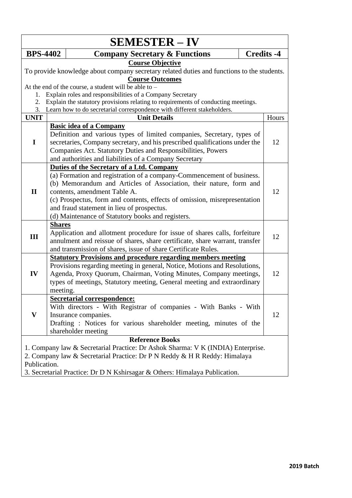|                                                                                                                                                                                                                                                                                      |               | <b>SEMESTER – IV</b>                                                                                                                                                                                                                                                                                                                                                                                     |                   |       |
|--------------------------------------------------------------------------------------------------------------------------------------------------------------------------------------------------------------------------------------------------------------------------------------|---------------|----------------------------------------------------------------------------------------------------------------------------------------------------------------------------------------------------------------------------------------------------------------------------------------------------------------------------------------------------------------------------------------------------------|-------------------|-------|
| <b>BPS-4402</b>                                                                                                                                                                                                                                                                      |               | <b>Company Secretary &amp; Functions</b>                                                                                                                                                                                                                                                                                                                                                                 | <b>Credits -4</b> |       |
| <b>Course Objective</b><br>To provide knowledge about company secretary related duties and functions to the students.                                                                                                                                                                |               |                                                                                                                                                                                                                                                                                                                                                                                                          |                   |       |
| 1.                                                                                                                                                                                                                                                                                   |               | <b>Course Outcomes</b><br>At the end of the course, a student will be able to $-$<br>Explain roles and responsibilities of a Company Secretary                                                                                                                                                                                                                                                           |                   |       |
| 2.                                                                                                                                                                                                                                                                                   |               | Explain the statutory provisions relating to requirements of conducting meetings.                                                                                                                                                                                                                                                                                                                        |                   |       |
| 3.<br><b>UNIT</b>                                                                                                                                                                                                                                                                    |               | Learn how to do secretarial correspondence with different stakeholders.<br><b>Unit Details</b>                                                                                                                                                                                                                                                                                                           |                   | Hours |
|                                                                                                                                                                                                                                                                                      |               | <b>Basic idea of a Company</b>                                                                                                                                                                                                                                                                                                                                                                           |                   |       |
| $\mathbf I$                                                                                                                                                                                                                                                                          |               | Definition and various types of limited companies, Secretary, types of<br>secretaries, Company secretary, and his prescribed qualifications under the<br>Companies Act. Statutory Duties and Responsibilities, Powers<br>and authorities and liabilities of a Company Secretary                                                                                                                          |                   | 12    |
| $\mathbf{I}$                                                                                                                                                                                                                                                                         |               | Duties of the Secretary of a Ltd. Company<br>(a) Formation and registration of a company-Commencement of business.<br>(b) Memorandum and Articles of Association, their nature, form and<br>contents, amendment Table A.<br>(c) Prospectus, form and contents, effects of omission, misrepresentation<br>and fraud statement in lieu of prospectus.<br>(d) Maintenance of Statutory books and registers. |                   | 12    |
| III                                                                                                                                                                                                                                                                                  | <b>Shares</b> | Application and allotment procedure for issue of shares calls, forfeiture<br>annulment and reissue of shares, share certificate, share warrant, transfer<br>and transmission of shares, issue of share Certificate Rules.                                                                                                                                                                                |                   | 12    |
| IV                                                                                                                                                                                                                                                                                   | meeting.      | <b>Statutory Provisions and procedure regarding members meeting</b><br>Provisions regarding meeting in general, Notice, Motions and Resolutions,<br>Agenda, Proxy Quorum, Chairman, Voting Minutes, Company meetings,<br>types of meetings, Statutory meeting, General meeting and extraordinary                                                                                                         |                   | 12    |
| V                                                                                                                                                                                                                                                                                    |               | <b>Secretarial correspondence:</b><br>With directors - With Registrar of companies - With Banks - With<br>Insurance companies.<br>Drafting: Notices for various shareholder meeting, minutes of the<br>shareholder meeting                                                                                                                                                                               |                   | 12    |
| <b>Reference Books</b><br>1. Company law & Secretarial Practice: Dr Ashok Sharma: V K (INDIA) Enterprise.<br>2. Company law & Secretarial Practice: Dr P N Reddy & H R Reddy: Himalaya<br>Publication.<br>3. Secretarial Practice: Dr D N Kshirsagar & Others: Himalaya Publication. |               |                                                                                                                                                                                                                                                                                                                                                                                                          |                   |       |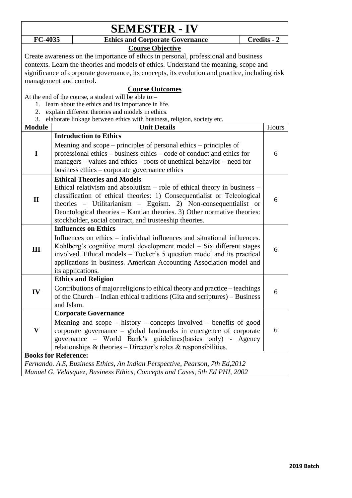|                             |            | <b>SEMESTER - IV</b>                                                                           |        |             |
|-----------------------------|------------|------------------------------------------------------------------------------------------------|--------|-------------|
| FC-4035                     |            | <b>Ethics and Corporate Governance</b>                                                         |        | Credits - 2 |
|                             |            | <b>Course Objective</b>                                                                        |        |             |
|                             |            | Create awareness on the importance of ethics in personal, professional and business            |        |             |
|                             |            | contexts. Learn the theories and models of ethics. Understand the meaning, scope and           |        |             |
|                             |            | significance of corporate governance, its concepts, its evolution and practice, including risk |        |             |
| management and control.     |            |                                                                                                |        |             |
|                             |            | <b>Course Outcomes</b>                                                                         |        |             |
|                             |            | At the end of the course, a student will be able to $-$                                        |        |             |
| 1.                          |            | learn about the ethics and its importance in life.                                             |        |             |
| 2.                          |            | explain different theories and models in ethics.                                               |        |             |
| 3.                          |            | elaborate linkage between ethics with business, religion, society etc.                         |        |             |
| <b>Module</b>               |            | <b>Unit Details</b>                                                                            |        | Hours       |
|                             |            | <b>Introduction to Ethics</b>                                                                  |        |             |
|                             |            | Meaning and $\text{scope}-\text{principles}$ of personal ethics $-\text{principles}$ of        |        |             |
| I                           |            | professional ethics – business ethics – code of conduct and ethics for                         |        | 6           |
|                             |            | managers - values and ethics - roots of unethical behavior - need for                          |        |             |
|                             |            | business ethics – corporate governance ethics                                                  |        |             |
|                             |            | <b>Ethical Theories and Models</b>                                                             |        |             |
|                             |            | Ethical relativism and absolutism $-$ role of ethical theory in business $-$                   |        |             |
|                             |            | classification of ethical theories: 1) Consequentialist or Teleological                        |        |             |
| $\mathbf{I}$                |            | theories - Utilitarianism - Egoism. 2) Non-consequentialist or                                 |        | 6           |
|                             |            | Deontological theories – Kantian theories. 3) Other normative theories:                        |        |             |
|                             |            | stockholder, social contract, and trusteeship theories.                                        |        |             |
|                             |            | <b>Influences on Ethics</b>                                                                    |        |             |
|                             |            | Influences on ethics – individual influences and situational influences.                       |        |             |
|                             |            | Kohlberg's cognitive moral development model – Six different stages                            |        |             |
| Ш                           |            | involved. Ethical models – Tucker's 5 question model and its practical                         |        | 6           |
|                             |            | applications in business. American Accounting Association model and                            |        |             |
|                             |            | its applications.                                                                              |        |             |
|                             |            | <b>Ethics and Religion</b>                                                                     |        |             |
|                             |            | Contributions of major religions to ethical theory and practice – teachings                    |        |             |
| IV                          |            |                                                                                                |        | 6           |
|                             | and Islam. | of the Church – Indian ethical traditions (Gita and scriptures) – Business                     |        |             |
|                             |            |                                                                                                |        |             |
|                             |            | <b>Corporate Governance</b>                                                                    |        |             |
|                             |            | Meaning and scope $-$ history $-$ concepts involved $-$ benefits of good                       |        |             |
| V                           |            | corporate governance - global landmarks in emergence of corporate                              |        | 6           |
|                             |            | governance – World Bank's guidelines (basics only) -                                           | Agency |             |
|                             |            | relationships $\&$ theories – Director's roles $\&$ responsibilities.                          |        |             |
| <b>Books for Reference:</b> |            |                                                                                                |        |             |
|                             |            | Fernando. A.S. Business Ethics, An Indian Perspective, Pearson, 7th Ed, 2012                   |        |             |
|                             |            | Manuel G. Velasquez, Business Ethics, Concepts and Cases, 5th Ed PHI, 2002                     |        |             |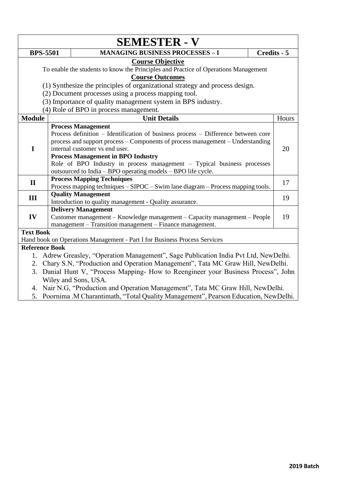|                                                                                                                                                                                                                          |  | <b>SEMESTER - V</b>                                                                                                                                                                                                                                                                                                                                                                                                        |             |
|--------------------------------------------------------------------------------------------------------------------------------------------------------------------------------------------------------------------------|--|----------------------------------------------------------------------------------------------------------------------------------------------------------------------------------------------------------------------------------------------------------------------------------------------------------------------------------------------------------------------------------------------------------------------------|-------------|
| <b>BPS-5501</b>                                                                                                                                                                                                          |  | <b>MANAGING BUSINESS PROCESSES - I</b>                                                                                                                                                                                                                                                                                                                                                                                     | Credits - 5 |
| <b>Course Objective</b><br>To enable the students to know the Principles and Practice of Operations Management<br><b>Course Outcomes</b><br>(1) Synthesize the principles of organizational strategy and process design. |  |                                                                                                                                                                                                                                                                                                                                                                                                                            |             |
|                                                                                                                                                                                                                          |  | (2) Document processes using a process mapping tool.                                                                                                                                                                                                                                                                                                                                                                       |             |
|                                                                                                                                                                                                                          |  | (3) Importance of quality management system in BPS industry.                                                                                                                                                                                                                                                                                                                                                               |             |
|                                                                                                                                                                                                                          |  | (4) Role of BPO in process management.                                                                                                                                                                                                                                                                                                                                                                                     |             |
| <b>Module</b>                                                                                                                                                                                                            |  | <b>Unit Details</b>                                                                                                                                                                                                                                                                                                                                                                                                        | Hours       |
| I                                                                                                                                                                                                                        |  | <b>Process Management</b><br>Process definition – Identification of business process – Difference between core<br>process and support process – Components of process management – Understanding<br>internal customer vs end user.<br><b>Process Management in BPO Industry</b><br>Role of BPO Industry in process management - Typical business processes<br>outsourced to India - BPO operating models - BPO life cycle. | 20          |
| $\mathbf{I}$                                                                                                                                                                                                             |  | <b>Process Mapping Techniques</b><br>Process mapping techniques - SIPOC - Swim lane diagram - Process mapping tools.                                                                                                                                                                                                                                                                                                       | 17          |
| III                                                                                                                                                                                                                      |  | <b>Quality Management</b><br>Introduction to quality management - Quality assurance.                                                                                                                                                                                                                                                                                                                                       | 19          |
| IV                                                                                                                                                                                                                       |  | <b>Delivery Management</b><br>Customer management – Knowledge management – Capacity management – People<br>management - Transition management - Finance management.                                                                                                                                                                                                                                                        | 19          |
| <b>Text Book</b>                                                                                                                                                                                                         |  | Hand book on Operations Management - Part I for Business Process Services                                                                                                                                                                                                                                                                                                                                                  |             |
| <b>Reference Book</b>                                                                                                                                                                                                    |  |                                                                                                                                                                                                                                                                                                                                                                                                                            |             |
| 1.<br>2.<br>3.                                                                                                                                                                                                           |  | Adrew Greasley, "Operation Management", Sage Publication India Pvt Ltd, NewDelhi.<br>Chary S.N, "Production and Operation Management", Tata MC Graw Hill, NewDelhi.<br>Danial Hunt V, "Process Mapping- How to Reengineer your Business Process", John<br>Wiley and Sons, USA.<br>4. Nair N.G, "Production and Operation Management", Tata MC Graw Hill, NewDelhi.                                                         |             |

5. Poornima .M Charantimath, "Total Quality Management", Pearson Education, NewDelhi.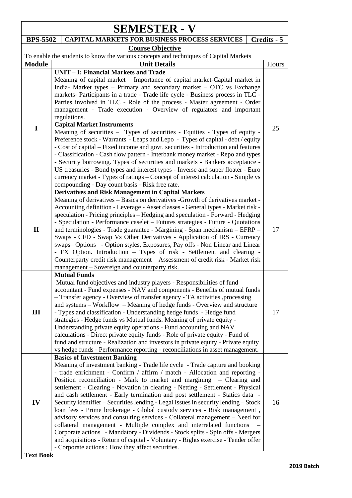| <b>SEMESTER - V</b>    |                                                                                                                                                                                                                                                                                                                                                                                                                                                                                                                                                                                                                                                                                                                                                                                                                                                                                                                                                                                                                                                                                                                                                  |             |  |
|------------------------|--------------------------------------------------------------------------------------------------------------------------------------------------------------------------------------------------------------------------------------------------------------------------------------------------------------------------------------------------------------------------------------------------------------------------------------------------------------------------------------------------------------------------------------------------------------------------------------------------------------------------------------------------------------------------------------------------------------------------------------------------------------------------------------------------------------------------------------------------------------------------------------------------------------------------------------------------------------------------------------------------------------------------------------------------------------------------------------------------------------------------------------------------|-------------|--|
| <b>BPS-5502</b>        | <b>CAPITAL MARKETS FOR BUSINESS PROCESS SERVICES</b>                                                                                                                                                                                                                                                                                                                                                                                                                                                                                                                                                                                                                                                                                                                                                                                                                                                                                                                                                                                                                                                                                             | Credits - 5 |  |
|                        | <b>Course Objective</b>                                                                                                                                                                                                                                                                                                                                                                                                                                                                                                                                                                                                                                                                                                                                                                                                                                                                                                                                                                                                                                                                                                                          |             |  |
|                        | To enable the students to know the various concepts and techniques of Capital Markets                                                                                                                                                                                                                                                                                                                                                                                                                                                                                                                                                                                                                                                                                                                                                                                                                                                                                                                                                                                                                                                            |             |  |
| <b>Module</b>          | <b>Unit Details</b>                                                                                                                                                                                                                                                                                                                                                                                                                                                                                                                                                                                                                                                                                                                                                                                                                                                                                                                                                                                                                                                                                                                              | Hours       |  |
| $\mathbf I$            | <b>UNIT - I: Financial Markets and Trade</b><br>Meaning of capital market - Importance of capital market-Capital market in<br>India- Market types - Primary and secondary market - OTC vs Exchange<br>markets- Participants in a trade - Trade life cycle - Business process in TLC -<br>Parties involved in TLC - Role of the process - Master agreement - Order<br>management - Trade execution - Overview of regulators and important<br>regulations.<br><b>Capital Market Instruments</b><br>Meaning of securities - Types of securities - Equities - Types of equity -<br>Preference stock - Warrants - Leaps and Lepo - Types of capital - debt / equity<br>- Cost of capital – Fixed income and govt. securities - Introduction and features<br>- Classification - Cash flow pattern - Interbank money market - Repo and types<br>- Security borrowing. Types of securities and markets - Bankers acceptance -<br>US treasuries - Bond types and interest types - Inverse and super floater - Euro<br>currency market - Types of ratings - Concept of interest calculation - Simple vs<br>compounding - Day count basis - Risk free rate. | 25          |  |
| $\mathbf{I}$           | <b>Derivatives and Risk Management in Capital Markets</b><br>Meaning of derivatives - Basics on derivatives - Growth of derivatives market -<br>Accounting definition - Leverage - Asset classes - General types - Market risk -<br>speculation - Pricing principles - Hedging and speculation - Forward - Hedging<br>- Speculation - Performance caselet - Futures strategies - Future - Quotations<br>and terminologies - Trade guarantee - Margining - Span mechanism - EFRP -<br>Swaps - CFD - Swap Vs Other Derivatives - Application of IRS - Currency<br>swaps-Options - Option styles, Exposures, Pay offs - Non Linear and Linear<br>- FX Option. Introduction - Types of risk - Settlement and clearing -<br>Counterparty credit risk management - Assessment of credit risk - Market risk<br>management – Sovereign and counterparty risk.                                                                                                                                                                                                                                                                                            | 17          |  |
| III                    | <b>Mutual Funds</b><br>Mutual fund objectives and industry players - Responsibilities of fund<br>accountant - Fund expenses - NAV and components - Benefits of mutual funds<br>- Transfer agency - Overview of transfer agency - TA activities , processing<br>and systems – Workflow – Meaning of hedge funds - Overview and structure<br>- Types and classification - Understanding hedge funds - Hedge fund<br>strategies - Hedge funds vs Mutual funds. Meaning of private equity -<br>Understanding private equity operations - Fund accounting and NAV<br>calculations - Direct private equity funds - Role of private equity - Fund of<br>fund and structure - Realization and investors in private equity - Private equity<br>vs hedge funds - Performance reporting - reconciliations in asset management.                                                                                                                                                                                                                                                                                                                              | 17          |  |
| IV<br><b>Text Book</b> | <b>Basics of Investment Banking</b><br>Meaning of investment banking - Trade life cycle - Trade capture and booking<br>- trade enrichment - Confirm / affirm / match - Allocation and reporting -<br>Position reconciliation - Mark to market and margining - Clearing and<br>settlement - Clearing - Novation in clearing - Netting - Settlement - Physical<br>and cash settlement - Early termination and post settlement - Statics data -<br>Security identifier - Securities lending - Legal Issues in security lending - Stock<br>loan fees - Prime brokerage - Global custody services - Risk management,<br>advisory services and consulting services - Collateral management - Need for<br>collateral management - Multiple complex and interrelated functions<br>Corporate actions - Mandatory - Dividends - Stock splits - Spin offs - Mergers<br>and acquisitions - Return of capital - Voluntary - Rights exercise - Tender offer<br>- Corporate actions : How they affect securities.                                                                                                                                               | 16          |  |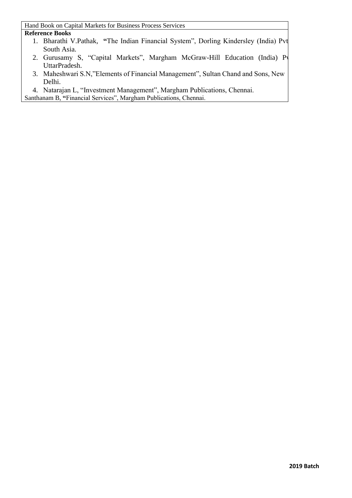#### **Reference Books**

- 1. Bharathi V.Pathak, "The Indian Financial System", Dorling Kindersley (India) Pvt. South Asia.
- 2. Gurusamy S, "Capital Markets", Margham McGraw-Hill Education (India) Pv UttarPradesh.
- 3. Maheshwari S.N,"Elements of Financial Management", Sultan Chand and Sons, New Delhi.
- 4. Natarajan L, "Investment Management", Margham Publications, Chennai.

Santhanam B, **"**Financial Services", Margham Publications, Chennai.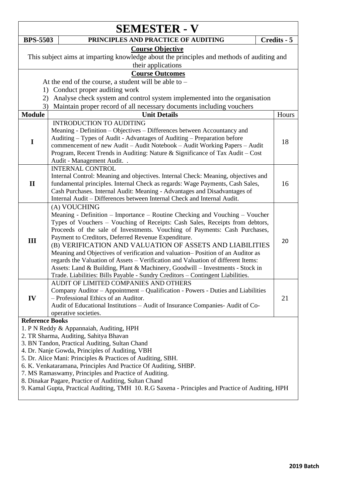|                                                                                                                                | <b>SEMESTER - V</b>                                                                                                                                                                                                                                                                                                                                                                                                                                                                                                                                                                                                                                                                                                   |             |  |  |
|--------------------------------------------------------------------------------------------------------------------------------|-----------------------------------------------------------------------------------------------------------------------------------------------------------------------------------------------------------------------------------------------------------------------------------------------------------------------------------------------------------------------------------------------------------------------------------------------------------------------------------------------------------------------------------------------------------------------------------------------------------------------------------------------------------------------------------------------------------------------|-------------|--|--|
| <b>BPS-5503</b>                                                                                                                | PRINCIPLES AND PRACTICE OF AUDITING                                                                                                                                                                                                                                                                                                                                                                                                                                                                                                                                                                                                                                                                                   | Credits - 5 |  |  |
|                                                                                                                                | <b>Course Objective</b><br>This subject aims at imparting knowledge about the principles and methods of auditing and<br>their applications                                                                                                                                                                                                                                                                                                                                                                                                                                                                                                                                                                            |             |  |  |
|                                                                                                                                | <b>Course Outcomes</b>                                                                                                                                                                                                                                                                                                                                                                                                                                                                                                                                                                                                                                                                                                |             |  |  |
|                                                                                                                                | At the end of the course, a student will be able to $-$                                                                                                                                                                                                                                                                                                                                                                                                                                                                                                                                                                                                                                                               |             |  |  |
|                                                                                                                                | 1) Conduct proper auditing work                                                                                                                                                                                                                                                                                                                                                                                                                                                                                                                                                                                                                                                                                       |             |  |  |
|                                                                                                                                | 2) Analyse check system and control system implemented into the organisation                                                                                                                                                                                                                                                                                                                                                                                                                                                                                                                                                                                                                                          |             |  |  |
| 3)                                                                                                                             | Maintain proper record of all necessary documents including vouchers                                                                                                                                                                                                                                                                                                                                                                                                                                                                                                                                                                                                                                                  |             |  |  |
| <b>Module</b>                                                                                                                  | <b>Unit Details</b>                                                                                                                                                                                                                                                                                                                                                                                                                                                                                                                                                                                                                                                                                                   | Hours       |  |  |
| I                                                                                                                              | <b>INTRODUCTION TO AUDITING</b><br>Meaning - Definition - Objectives - Differences between Accountancy and<br>Auditing – Types of Audit - Advantages of Auditing – Preparation before<br>commencement of new Audit - Audit Notebook - Audit Working Papers - Audit<br>Program, Recent Trends in Auditing: Nature & Significance of Tax Audit - Cost<br>Audit - Management Audit                                                                                                                                                                                                                                                                                                                                       | 18          |  |  |
| $\mathbf{I}$                                                                                                                   | <b>INTERNAL CONTROL</b><br>Internal Control: Meaning and objectives. Internal Check: Meaning, objectives and<br>fundamental principles. Internal Check as regards: Wage Payments, Cash Sales,<br>Cash Purchases. Internal Audit: Meaning - Advantages and Disadvantages of<br>Internal Audit - Differences between Internal Check and Internal Audit.                                                                                                                                                                                                                                                                                                                                                                 | 16          |  |  |
| Ш                                                                                                                              | (A) VOUCHING<br>Meaning - Definition – Importance – Routine Checking and Vouching – Voucher<br>Types of Vouchers - Vouching of Receipts: Cash Sales, Receipts from debtors,<br>Proceeds of the sale of Investments. Vouching of Payments: Cash Purchases,<br>Payment to Creditors, Deferred Revenue Expenditure.<br>(B) VERIFICATION AND VALUATION OF ASSETS AND LIABILITIES<br>Meaning and Objectives of verification and valuation-Position of an Auditor as<br>regards the Valuation of Assets - Verification and Valuation of different Items:<br>Assets: Land & Building, Plant & Machinery, Goodwill - Investments - Stock in<br>Trade. Liabilities: Bills Payable - Sundry Creditors - Contingent Liabilities. | 20          |  |  |
| IV                                                                                                                             | AUDIT OF LIMITED COMPANIES AND OTHERS<br>Company Auditor – Appointment – Qualification - Powers - Duties and Liabilities<br>- Professional Ethics of an Auditor.<br>Audit of Educational Institutions - Audit of Insurance Companies-Audit of Co-<br>operative societies.                                                                                                                                                                                                                                                                                                                                                                                                                                             | 21          |  |  |
| <b>Reference Books</b>                                                                                                         |                                                                                                                                                                                                                                                                                                                                                                                                                                                                                                                                                                                                                                                                                                                       |             |  |  |
|                                                                                                                                | 1. P N Reddy & Appannaiah, Auditing, HPH                                                                                                                                                                                                                                                                                                                                                                                                                                                                                                                                                                                                                                                                              |             |  |  |
|                                                                                                                                | 2. TR Sharma, Auditing, Sahitya Bhavan                                                                                                                                                                                                                                                                                                                                                                                                                                                                                                                                                                                                                                                                                |             |  |  |
|                                                                                                                                | 3. BN Tandon, Practical Auditing, Sultan Chand                                                                                                                                                                                                                                                                                                                                                                                                                                                                                                                                                                                                                                                                        |             |  |  |
|                                                                                                                                | 4. Dr. Nanje Gowda, Principles of Auditing, VBH                                                                                                                                                                                                                                                                                                                                                                                                                                                                                                                                                                                                                                                                       |             |  |  |
| 5. Dr. Alice Mani: Principles & Practices of Auditing, SBH.<br>6. K. Venkataramana, Principles And Practice Of Auditing, SHBP. |                                                                                                                                                                                                                                                                                                                                                                                                                                                                                                                                                                                                                                                                                                                       |             |  |  |
| 7. MS Ramaswamy, Principles and Practice of Auditing.                                                                          |                                                                                                                                                                                                                                                                                                                                                                                                                                                                                                                                                                                                                                                                                                                       |             |  |  |
|                                                                                                                                | 8. Dinakar Pagare, Practice of Auditing, Sultan Chand<br>9. Kamal Gupta, Practical Auditing, TMH 10. R.G Saxena - Principles and Practice of Auditing, HPH                                                                                                                                                                                                                                                                                                                                                                                                                                                                                                                                                            |             |  |  |
|                                                                                                                                |                                                                                                                                                                                                                                                                                                                                                                                                                                                                                                                                                                                                                                                                                                                       |             |  |  |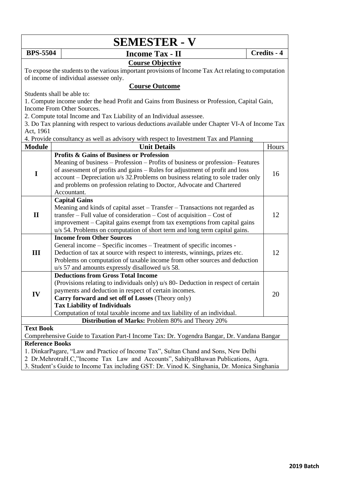|                                                                                                                                                                                                                                                                          | <b>SEMESTER - V</b>                                                                                                                                                                                                                                                                                                                        |             |  |  |
|--------------------------------------------------------------------------------------------------------------------------------------------------------------------------------------------------------------------------------------------------------------------------|--------------------------------------------------------------------------------------------------------------------------------------------------------------------------------------------------------------------------------------------------------------------------------------------------------------------------------------------|-------------|--|--|
| <b>BPS-5504</b>                                                                                                                                                                                                                                                          | <b>Income Tax - II</b>                                                                                                                                                                                                                                                                                                                     | Credits - 4 |  |  |
|                                                                                                                                                                                                                                                                          | <b>Course Objective</b><br>To expose the students to the various important provisions of Income Tax Act relating to computation<br>of income of individual assessee only.                                                                                                                                                                  |             |  |  |
|                                                                                                                                                                                                                                                                          | <b>Course Outcome</b>                                                                                                                                                                                                                                                                                                                      |             |  |  |
|                                                                                                                                                                                                                                                                          | Students shall be able to:                                                                                                                                                                                                                                                                                                                 |             |  |  |
|                                                                                                                                                                                                                                                                          | 1. Compute income under the head Profit and Gains from Business or Profession, Capital Gain,                                                                                                                                                                                                                                               |             |  |  |
|                                                                                                                                                                                                                                                                          | Income From Other Sources.                                                                                                                                                                                                                                                                                                                 |             |  |  |
|                                                                                                                                                                                                                                                                          | 2. Compute total Income and Tax Liability of an Individual assessee.<br>3. Do Tax planning with respect to various deductions available under Chapter VI-A of Income Tax                                                                                                                                                                   |             |  |  |
| Act, 1961                                                                                                                                                                                                                                                                |                                                                                                                                                                                                                                                                                                                                            |             |  |  |
|                                                                                                                                                                                                                                                                          | 4. Provide consultancy as well as advisory with respect to Investment Tax and Planning                                                                                                                                                                                                                                                     |             |  |  |
| <b>Module</b>                                                                                                                                                                                                                                                            | <b>Unit Details</b>                                                                                                                                                                                                                                                                                                                        | Hours       |  |  |
|                                                                                                                                                                                                                                                                          | <b>Profits &amp; Gains of Business or Profession</b>                                                                                                                                                                                                                                                                                       |             |  |  |
| $\mathbf I$                                                                                                                                                                                                                                                              | Meaning of business – Profession – Profits of business or profession– Features<br>of assessment of profits and gains - Rules for adjustment of profit and loss<br>account – Depreciation u/s 32. Problems on business relating to sole trader only<br>and problems on profession relating to Doctor, Advocate and Chartered<br>Accountant. | 16          |  |  |
|                                                                                                                                                                                                                                                                          | <b>Capital Gains</b>                                                                                                                                                                                                                                                                                                                       |             |  |  |
| $\mathbf{I}$                                                                                                                                                                                                                                                             | Meaning and kinds of capital asset – Transfer – Transactions not regarded as<br>$transfer - Full value of consideration - Cost of acquisition - Cost of$<br>improvement – Capital gains exempt from tax exemptions from capital gains<br>u/s 54. Problems on computation of short term and long term capital gains.                        | 12          |  |  |
|                                                                                                                                                                                                                                                                          | <b>Income from Other Sources</b>                                                                                                                                                                                                                                                                                                           |             |  |  |
| III                                                                                                                                                                                                                                                                      | General income - Specific incomes - Treatment of specific incomes -<br>Deduction of tax at source with respect to interests, winnings, prizes etc.<br>Problems on computation of taxable income from other sources and deduction<br>u/s 57 and amounts expressly disallowed u/s 58.                                                        | 12          |  |  |
|                                                                                                                                                                                                                                                                          | <b>Deductions from Gross Total Income</b>                                                                                                                                                                                                                                                                                                  |             |  |  |
| IV                                                                                                                                                                                                                                                                       | (Provisions relating to individuals only) u/s 80- Deduction in respect of certain<br>payments and deduction in respect of certain incomes.<br>Carry forward and set off of Losses (Theory only)<br><b>Tax Liability of Individuals</b>                                                                                                     | 20          |  |  |
|                                                                                                                                                                                                                                                                          | Computation of total taxable income and tax liability of an individual.                                                                                                                                                                                                                                                                    |             |  |  |
| Distribution of Marks: Problem 80% and Theory 20%                                                                                                                                                                                                                        |                                                                                                                                                                                                                                                                                                                                            |             |  |  |
| <b>Text Book</b>                                                                                                                                                                                                                                                         |                                                                                                                                                                                                                                                                                                                                            |             |  |  |
| Comprehensive Guide to Taxation Part-I Income Tax: Dr. Yogendra Bangar, Dr. Vandana Bangar                                                                                                                                                                               |                                                                                                                                                                                                                                                                                                                                            |             |  |  |
| <b>Reference Books</b>                                                                                                                                                                                                                                                   |                                                                                                                                                                                                                                                                                                                                            |             |  |  |
| 1. DinkarPagare, "Law and Practice of Income Tax", Sultan Chand and Sons, New Delhi<br>2 Dr.MehrotraH.C,"Income Tax Law and Accounts", SahityaBhawan Publications, Agra.<br>3. Student's Guide to Income Tax including GST: Dr. Vinod K. Singhania, Dr. Monica Singhania |                                                                                                                                                                                                                                                                                                                                            |             |  |  |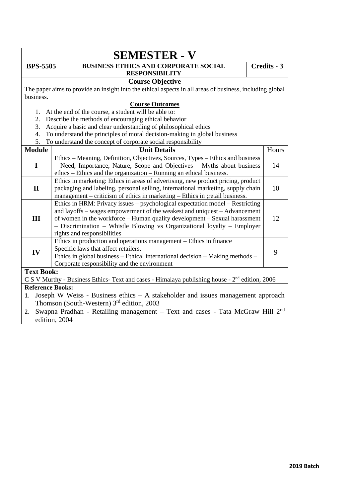| <b>SEMESTER - V</b>                                                                                      |  |  |  |
|----------------------------------------------------------------------------------------------------------|--|--|--|
| <b>BUSINESS ETHICS AND CORPORATE SOCIAL</b><br><b>BPS-5505</b><br>Credits - 3                            |  |  |  |
| <b>RESPONSIBILITY</b>                                                                                    |  |  |  |
| <b>Course Objective</b>                                                                                  |  |  |  |
| The paper aims to provide an insight into the ethical aspects in all areas of business, including global |  |  |  |
| business.                                                                                                |  |  |  |
| <b>Course Outcomes</b>                                                                                   |  |  |  |
| At the end of the course, a student will be able to:<br>1.                                               |  |  |  |
| Describe the methods of encouraging ethical behavior<br>2.                                               |  |  |  |
| Acquire a basic and clear understanding of philosophical ethics<br>3.                                    |  |  |  |
| To understand the principles of moral decision-making in global business<br>4.                           |  |  |  |
| 5.<br>To understand the concept of corporate social responsibility                                       |  |  |  |
| <b>Module</b><br>Hours<br><b>Unit Details</b>                                                            |  |  |  |
| Ethics – Meaning, Definition, Objectives, Sources, Types – Ethics and business                           |  |  |  |
| I<br>- Need, Importance, Nature, Scope and Objectives - Myths about business<br>14                       |  |  |  |
| ethics - Ethics and the organization - Running an ethical business.                                      |  |  |  |
| Ethics in marketing: Ethics in areas of advertising, new product pricing, product                        |  |  |  |
| 10<br>$\mathbf{I}$<br>packaging and labeling, personal selling, international marketing, supply chain    |  |  |  |
| management – criticism of ethics in marketing – Ethics in ; retail business.                             |  |  |  |
| Ethics in HRM: Privacy issues – psychological expectation model – Restricting                            |  |  |  |
| and layoffs – wages empowerment of the weakest and uniquest – Advancement                                |  |  |  |
| III<br>12<br>of women in the workforce - Human quality development - Sexual harassment                   |  |  |  |
| - Discrimination - Whistle Blowing vs Organizational loyalty - Employer                                  |  |  |  |
| rights and responsibilities                                                                              |  |  |  |
| Ethics in production and operations management – Ethics in finance                                       |  |  |  |
| Specific laws that affect retailers.<br>IV<br>9                                                          |  |  |  |
| Ethics in global business - Ethical international decision - Making methods -                            |  |  |  |
| Corporate responsibility and the environment                                                             |  |  |  |
| <b>Text Book:</b>                                                                                        |  |  |  |
| C S V Murthy - Business Ethics- Text and cases - Himalaya publishing house - $2nd$ edition, 2006         |  |  |  |
| <b>Reference Books:</b>                                                                                  |  |  |  |
| Joseph W Weiss - Business ethics $- A$ stakeholder and issues management approach<br>1.                  |  |  |  |
| Thomson (South-Western) $3rd$ edition, 2003                                                              |  |  |  |
| Swapna Pradhan - Retailing management - Text and cases - Tata McGraw Hill 2 <sup>nd</sup><br>2.          |  |  |  |
| edition, 2004                                                                                            |  |  |  |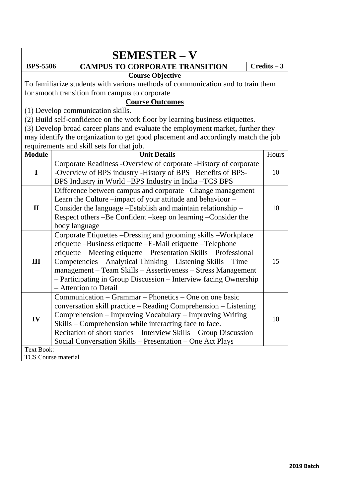| <b>SEMESTER - V</b> |                                                                                   |               |  |  |  |
|---------------------|-----------------------------------------------------------------------------------|---------------|--|--|--|
| <b>BPS-5506</b>     | <b>CAMPUS TO CORPORATE TRANSITION</b>                                             | $Credits - 3$ |  |  |  |
|                     | <b>Course Objective</b>                                                           |               |  |  |  |
|                     | To familiarize students with various methods of communication and to train them   |               |  |  |  |
|                     | for smooth transition from campus to corporate                                    |               |  |  |  |
|                     | <b>Course Outcomes</b>                                                            |               |  |  |  |
|                     | (1) Develop communication skills.                                                 |               |  |  |  |
|                     | (2) Build self-confidence on the work floor by learning business etiquettes.      |               |  |  |  |
|                     | (3) Develop broad career plans and evaluate the employment market, further they   |               |  |  |  |
|                     | may identify the organization to get good placement and accordingly match the job |               |  |  |  |
|                     | requirements and skill sets for that job.                                         |               |  |  |  |
| <b>Module</b>       | <b>Unit Details</b>                                                               | Hours         |  |  |  |
|                     | Corporate Readiness -Overview of corporate -History of corporate                  |               |  |  |  |
| $\mathbf I$         | -Overview of BPS industry -History of BPS -Benefits of BPS-                       | 10            |  |  |  |
|                     | BPS Industry in World -BPS Industry in India -TCS BPS                             |               |  |  |  |
|                     | Difference between campus and corporate – Change management –                     |               |  |  |  |
|                     | Learn the Culture –impact of your attitude and behaviour –                        |               |  |  |  |
| $\mathbf{I}$        | Consider the language -Establish and maintain relationship -                      | 10            |  |  |  |
|                     | Respect others -Be Confident -keep on learning -Consider the                      |               |  |  |  |
|                     | body language                                                                     |               |  |  |  |
|                     | Corporate Etiquettes – Dressing and grooming skills – Workplace                   |               |  |  |  |
|                     | etiquette -Business etiquette -E-Mail etiquette -Telephone                        |               |  |  |  |
|                     | etiquette – Meeting etiquette – Presentation Skills – Professional                |               |  |  |  |
| III                 | Competencies - Analytical Thinking - Listening Skills - Time                      | 15            |  |  |  |
|                     | management - Team Skills - Assertiveness - Stress Management                      |               |  |  |  |
|                     | - Participating in Group Discussion - Interview facing Ownership                  |               |  |  |  |
|                     | - Attention to Detail                                                             |               |  |  |  |
|                     | Communication – Grammar – Phonetics – One on one basic                            |               |  |  |  |
|                     | conversation skill practice - Reading Comprehension - Listening                   |               |  |  |  |
| IV                  | Comprehension – Improving Vocabulary – Improving Writing                          | 10            |  |  |  |
|                     | Skills - Comprehension while interacting face to face.                            |               |  |  |  |
|                     | Recitation of short stories – Interview Skills – Group Discussion –               |               |  |  |  |
|                     | Social Conversation Skills - Presentation - One Act Plays                         |               |  |  |  |
| <b>Text Book:</b>   |                                                                                   |               |  |  |  |
|                     | TCS Course material                                                               |               |  |  |  |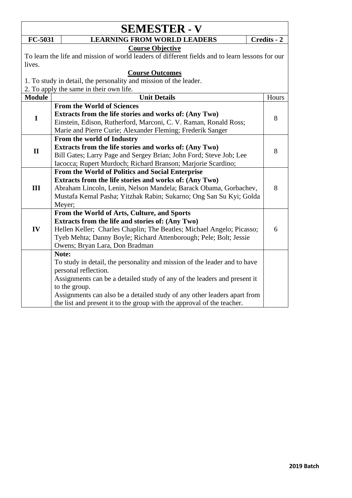|               | <b>SEMESTER - V</b>                                                                             |             |
|---------------|-------------------------------------------------------------------------------------------------|-------------|
| FC-5031       | <b>LEARNING FROM WORLD LEADERS</b>                                                              | Credits - 2 |
|               | <b>Course Objective</b>                                                                         |             |
|               | To learn the life and mission of world leaders of different fields and to learn lessons for our |             |
| lives.        |                                                                                                 |             |
|               | <b>Course Outcomes</b>                                                                          |             |
|               | 1. To study in detail, the personality and mission of the leader.                               |             |
|               | 2. To apply the same in their own life.                                                         |             |
| <b>Module</b> | <b>Unit Details</b>                                                                             | Hours       |
|               | <b>From the World of Sciences</b>                                                               |             |
| $\mathbf I$   | Extracts from the life stories and works of: (Any Two)                                          | 8           |
|               | Einstein, Edison, Rutherford, Marconi, C. V. Raman, Ronald Ross;                                |             |
|               | Marie and Pierre Curie; Alexander Fleming; Frederik Sanger                                      |             |
|               | From the world of Industry                                                                      |             |
| $\mathbf{I}$  | Extracts from the life stories and works of: (Any Two)                                          | 8           |
|               | Bill Gates; Larry Page and Sergey Brian; John Ford; Steve Job; Lee                              |             |
|               | Iacocca; Rupert Murdoch; Richard Branson; Marjorie Scardino;                                    |             |
|               | From the World of Politics and Social Enterprise                                                |             |
|               | Extracts from the life stories and works of: (Any Two)                                          |             |
| III           | Abraham Lincoln, Lenin, Nelson Mandela; Barack Obama, Gorbachev,                                | 8           |
|               | Mustafa Kemal Pasha; Yitzhak Rabin; Sukarno; Ong San Su Kyi; Golda                              |             |
|               | Meyer;                                                                                          |             |
|               | From the World of Arts, Culture, and Sports                                                     |             |
|               | Extracts from the life and stories of: (Any Two)                                                |             |
| IV            | Hellen Keller; Charles Chaplin; The Beatles; Michael Angelo; Picasso;                           | 6           |
|               | Tyeb Mehta; Danny Boyle; Richard Attenborough; Pele; Bolt; Jessie                               |             |
|               | Owens; Bryan Lara, Don Bradman                                                                  |             |
|               | Note:                                                                                           |             |
|               | To study in detail, the personality and mission of the leader and to have                       |             |
|               | personal reflection.                                                                            |             |
|               | Assignments can be a detailed study of any of the leaders and present it                        |             |
|               | to the group.                                                                                   |             |
|               | Assignments can also be a detailed study of any other leaders apart from                        |             |
|               | the list and present it to the group with the approval of the teacher.                          |             |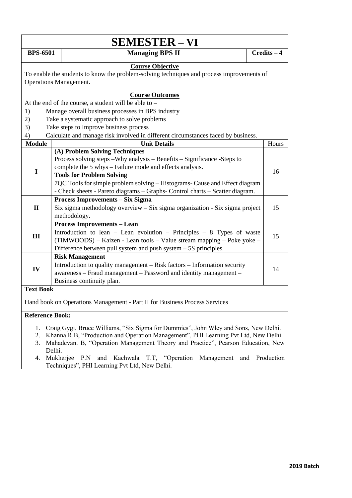| <b>SEMESTER - VI</b>                           |                                                                                                                                                                                                                                                                                                                                                                                                         |               |  |  |
|------------------------------------------------|---------------------------------------------------------------------------------------------------------------------------------------------------------------------------------------------------------------------------------------------------------------------------------------------------------------------------------------------------------------------------------------------------------|---------------|--|--|
| <b>BPS-6501</b>                                | <b>Managing BPS II</b>                                                                                                                                                                                                                                                                                                                                                                                  | $Credits - 4$ |  |  |
|                                                | <b>Course Objective</b><br>To enable the students to know the problem-solving techniques and process improvements of<br><b>Operations Management.</b>                                                                                                                                                                                                                                                   |               |  |  |
| 1)<br>2)<br>3)<br>4)                           | <b>Course Outcomes</b><br>At the end of the course, a student will be able to –<br>Manage overall business processes in BPS industry<br>Take a systematic approach to solve problems<br>Take steps to Improve business process<br>Calculate and manage risk involved in different circumstances faced by business.                                                                                      |               |  |  |
| <b>Module</b>                                  | <b>Unit Details</b>                                                                                                                                                                                                                                                                                                                                                                                     | Hours         |  |  |
| I                                              | (A) Problem Solving Techniques<br>Process solving steps - Why analysis - Benefits - Significance - Steps to<br>complete the 5 whys – Failure mode and effects analysis.<br><b>Tools for Problem Solving</b><br>7QC Tools for simple problem solving - Histograms- Cause and Effect diagram<br>- Check sheets - Pareto diagrams - Graphs- Control charts - Scatter diagram.                              | 16            |  |  |
| $\mathbf{I}$                                   | <b>Process Improvements - Six Sigma</b><br>Six sigma methodology overview - Six sigma organization - Six sigma project<br>methodology.                                                                                                                                                                                                                                                                  | 15            |  |  |
| III                                            | <b>Process Improvements - Lean</b><br>Introduction to lean $-$ Lean evolution $-$ Principles $-$ 8 Types of waste<br>(TIMWOODS) – Kaizen - Lean tools – Value stream mapping – Poke yoke –<br>Difference between pull system and push system $-5S$ principles.                                                                                                                                          | 15            |  |  |
| IV                                             | <b>Risk Management</b><br>Introduction to quality management – Risk factors – Information security<br>awareness - Fraud management - Password and identity management -<br>Business continuity plan.                                                                                                                                                                                                    | 14            |  |  |
| <b>Text Book</b>                               | Hand book on Operations Management - Part II for Business Process Services                                                                                                                                                                                                                                                                                                                              |               |  |  |
| <b>Reference Book:</b><br>1.<br>2.<br>3.<br>4. | Craig Gygi, Bruce Williams, "Six Sigma for Dummies", John Wley and Sons, New Delhi.<br>Khanna R.B, "Production and Operation Management", PHI Learning Pvt Ltd, New Delhi.<br>Mahadevan. B, "Operation Management Theory and Practice", Pearson Education, New<br>Delhi.<br>Mukherjee P.N and Kachwala T.T, "Operation<br>Management<br>and Production<br>Techniques", PHI Learning Pvt Ltd, New Delhi. |               |  |  |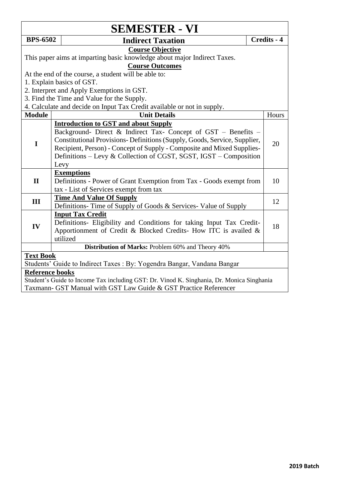| <b>SEMESTER - VI</b>                                                                      |                                                                          |             |  |  |
|-------------------------------------------------------------------------------------------|--------------------------------------------------------------------------|-------------|--|--|
| <b>BPS-6502</b>                                                                           | <b>Indirect Taxation</b>                                                 | Credits - 4 |  |  |
|                                                                                           | <b>Course Objective</b>                                                  |             |  |  |
|                                                                                           | This paper aims at imparting basic knowledge about major Indirect Taxes. |             |  |  |
|                                                                                           | <b>Course Outcomes</b>                                                   |             |  |  |
|                                                                                           | At the end of the course, a student will be able to:                     |             |  |  |
|                                                                                           | 1. Explain basics of GST.                                                |             |  |  |
|                                                                                           | 2. Interpret and Apply Exemptions in GST.                                |             |  |  |
|                                                                                           | 3. Find the Time and Value for the Supply.                               |             |  |  |
|                                                                                           | 4. Calculate and decide on Input Tax Credit available or not in supply.  |             |  |  |
| <b>Module</b>                                                                             | <b>Unit Details</b>                                                      | Hours       |  |  |
|                                                                                           | <b>Introduction to GST and about Supply</b>                              |             |  |  |
| $\mathbf I$                                                                               | Background- Direct & Indirect Tax- Concept of GST - Benefits -           |             |  |  |
|                                                                                           | Constitutional Provisions-Definitions (Supply, Goods, Service, Supplier, | 20          |  |  |
|                                                                                           | Recipient, Person) - Concept of Supply - Composite and Mixed Supplies-   |             |  |  |
|                                                                                           | Definitions – Levy & Collection of CGST, SGST, IGST – Composition        |             |  |  |
|                                                                                           | Levy                                                                     |             |  |  |
|                                                                                           | <b>Exemptions</b>                                                        |             |  |  |
| $\mathbf{I}$                                                                              | Definitions - Power of Grant Exemption from Tax - Goods exempt from      | 10          |  |  |
|                                                                                           | tax - List of Services exempt from tax                                   |             |  |  |
| III                                                                                       | <b>Time And Value Of Supply</b>                                          | 12          |  |  |
|                                                                                           | Definitions-Time of Supply of Goods & Services-Value of Supply           |             |  |  |
|                                                                                           | <b>Input Tax Credit</b>                                                  |             |  |  |
| IV                                                                                        | Definitions- Eligibility and Conditions for taking Input Tax Credit-     | 18          |  |  |
|                                                                                           | Apportionment of Credit & Blocked Credits- How ITC is availed $\&$       |             |  |  |
|                                                                                           | utilized                                                                 |             |  |  |
|                                                                                           | Distribution of Marks: Problem 60% and Theory 40%                        |             |  |  |
| <b>Text Book</b>                                                                          |                                                                          |             |  |  |
| Students' Guide to Indirect Taxes : By: Yogendra Bangar, Vandana Bangar                   |                                                                          |             |  |  |
| <b>Reference books</b>                                                                    |                                                                          |             |  |  |
| Student's Guide to Income Tax including GST: Dr. Vinod K. Singhania, Dr. Monica Singhania |                                                                          |             |  |  |
| Taxmann- GST Manual with GST Law Guide & GST Practice Referencer                          |                                                                          |             |  |  |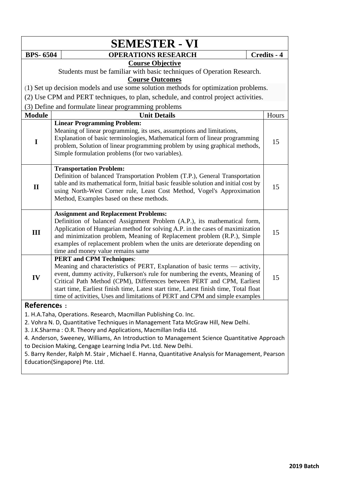|                    |                                 | <b>SEMESTER - VI</b>                                                                                                                                                                                                                                                                                                                                                                                                                                                                             |             |
|--------------------|---------------------------------|--------------------------------------------------------------------------------------------------------------------------------------------------------------------------------------------------------------------------------------------------------------------------------------------------------------------------------------------------------------------------------------------------------------------------------------------------------------------------------------------------|-------------|
| <b>BPS-6504</b>    |                                 | <b>OPERATIONS RESEARCH</b>                                                                                                                                                                                                                                                                                                                                                                                                                                                                       | Credits - 4 |
|                    |                                 | <b>Course Objective</b>                                                                                                                                                                                                                                                                                                                                                                                                                                                                          |             |
|                    |                                 | Students must be familiar with basic techniques of Operation Research.                                                                                                                                                                                                                                                                                                                                                                                                                           |             |
|                    |                                 | <b>Course Outcomes</b>                                                                                                                                                                                                                                                                                                                                                                                                                                                                           |             |
|                    |                                 | (1) Set up decision models and use some solution methods for optimization problems.                                                                                                                                                                                                                                                                                                                                                                                                              |             |
|                    |                                 | (2) Use CPM and PERT techniques, to plan, schedule, and control project activities.                                                                                                                                                                                                                                                                                                                                                                                                              |             |
|                    |                                 | (3) Define and formulate linear programming problems                                                                                                                                                                                                                                                                                                                                                                                                                                             |             |
| <b>Module</b>      |                                 | <b>Unit Details</b>                                                                                                                                                                                                                                                                                                                                                                                                                                                                              | Hours       |
| $\mathbf I$        |                                 | <b>Linear Programming Problem:</b><br>Meaning of linear programming, its uses, assumptions and limitations,<br>Explanation of basic terminologies, Mathematical form of linear programming<br>problem, Solution of linear programming problem by using graphical methods,<br>Simple formulation problems (for two variables).                                                                                                                                                                    | 15          |
| $\mathbf{I}$       | <b>Transportation Problem:</b>  | Definition of balanced Transportation Problem (T.P.), General Transportation<br>table and its mathematical form, Initial basic feasible solution and initial cost by<br>using North-West Corner rule, Least Cost Method, Vogel's Approximation<br>Method, Examples based on these methods.                                                                                                                                                                                                       | 15          |
| III                |                                 | <b>Assignment and Replacement Problems:</b><br>Definition of balanced Assignment Problem (A.P.), its mathematical form,<br>Application of Hungarian method for solving A.P. in the cases of maximization<br>and minimization problem, Meaning of Replacement problem (R.P.), Simple<br>examples of replacement problem when the units are deteriorate depending on<br>time and money value remains same                                                                                          | 15          |
| IV                 | <b>PERT and CPM Techniques:</b> | Meaning and characteristics of PERT, Explanation of basic terms - activity,<br>event, dummy activity, Fulkerson's rule for numbering the events, Meaning of<br>Critical Path Method (CPM), Differences between PERT and CPM, Earliest<br>start time, Earliest finish time, Latest start time, Latest finish time, Total float<br>time of activities, Uses and limitations of PERT and CPM and simple examples                                                                                    | 15          |
| <b>References:</b> |                                 |                                                                                                                                                                                                                                                                                                                                                                                                                                                                                                  |             |
|                    | Education(Singapore) Pte. Ltd.  | 1. H.A.Taha, Operations. Research, Macmillan Publishing Co. Inc.<br>2. Vohra N. D, Quantitative Techniques in Management Tata McGraw Hill, New Delhi.<br>3. J.K.Sharma: O.R. Theory and Applications, Macmillan India Ltd.<br>4. Anderson, Sweeney, Williams, An Introduction to Management Science Quantitative Approach<br>to Decision Making, Cengage Learning India Pvt. Ltd. New Delhi.<br>5. Barry Render, Ralph M. Stair, Michael E. Hanna, Quantitative Analysis for Management, Pearson |             |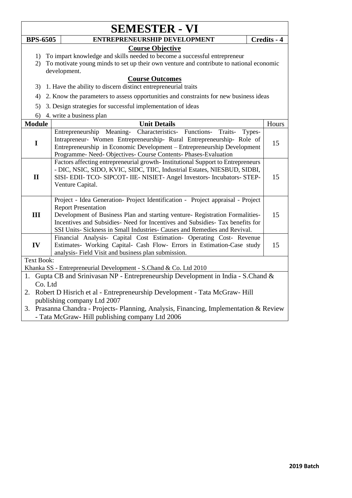| <b>SEMESTER - VI</b>                                                                                                                               |                                                                                                                                                            |             |  |  |  |
|----------------------------------------------------------------------------------------------------------------------------------------------------|------------------------------------------------------------------------------------------------------------------------------------------------------------|-------------|--|--|--|
| <b>BPS-6505</b>                                                                                                                                    | ENTREPRENEURSHIP DEVELOPMENT                                                                                                                               | Credits - 4 |  |  |  |
|                                                                                                                                                    | <b>Course Objective</b>                                                                                                                                    |             |  |  |  |
| 1)                                                                                                                                                 | To impart knowledge and skills needed to become a successful entrepreneur                                                                                  |             |  |  |  |
| 2)                                                                                                                                                 | To motivate young minds to set up their own venture and contribute to national economic                                                                    |             |  |  |  |
|                                                                                                                                                    | development.<br><b>Course Outcomes</b>                                                                                                                     |             |  |  |  |
| 3)                                                                                                                                                 | 1. Have the ability to discern distinct entrepreneurial traits                                                                                             |             |  |  |  |
| 4)                                                                                                                                                 | 2. Know the parameters to assess opportunities and constraints for new business ideas                                                                      |             |  |  |  |
| 5)                                                                                                                                                 | 3. Design strategies for successful implementation of ideas                                                                                                |             |  |  |  |
| 6)                                                                                                                                                 | 4. write a business plan                                                                                                                                   |             |  |  |  |
| <b>Module</b>                                                                                                                                      | <b>Unit Details</b>                                                                                                                                        | Hours       |  |  |  |
|                                                                                                                                                    | Entrepreneurship Meaning-<br>Characteristics- Functions- Traits-<br>Types-                                                                                 |             |  |  |  |
| $\mathbf I$                                                                                                                                        | Intrapreneur- Women Entrepreneurship- Rural Entrepreneurship- Role of<br>Entrepreneurship in Economic Development – Entrepreneurship Development           | 15          |  |  |  |
|                                                                                                                                                    | Programme- Need- Objectives- Course Contents- Phases-Evaluation                                                                                            |             |  |  |  |
|                                                                                                                                                    | Factors affecting entrepreneurial growth-Institutional Support to Entrepreneurs                                                                            |             |  |  |  |
|                                                                                                                                                    | - DIC, NSIC, SIDO, KVIC, SIDC, TIIC, Industrial Estates, NIESBUD, SIDBI,                                                                                   |             |  |  |  |
| $\mathbf{I}$                                                                                                                                       | SISI- EDII- TCO- SIPCOT- IIE- NISIET- Angel Investors- Incubators- STEP-                                                                                   | 15          |  |  |  |
|                                                                                                                                                    | Venture Capital.                                                                                                                                           |             |  |  |  |
|                                                                                                                                                    | Project - Idea Generation- Project Identification - Project appraisal - Project                                                                            |             |  |  |  |
|                                                                                                                                                    | <b>Report Presentation</b>                                                                                                                                 |             |  |  |  |
| III                                                                                                                                                | Development of Business Plan and starting venture- Registration Formalities-                                                                               | 15          |  |  |  |
|                                                                                                                                                    | Incentives and Subsidies- Need for Incentives and Subsidies- Tax benefits for<br>SSI Units- Sickness in Small Industries- Causes and Remedies and Revival. |             |  |  |  |
|                                                                                                                                                    | Financial Analysis- Capital Cost Estimation- Operating Cost- Revenue                                                                                       |             |  |  |  |
| IV                                                                                                                                                 | Estimates- Working Capital- Cash Flow- Errors in Estimation-Case study                                                                                     | 15          |  |  |  |
|                                                                                                                                                    | analysis- Field Visit and business plan submission.                                                                                                        |             |  |  |  |
| <b>Text Book:</b>                                                                                                                                  |                                                                                                                                                            |             |  |  |  |
| Khanka SS - Entrepreneurial Development - S.Chand & Co. Ltd 2010<br>Gupta CB and Srinivasan NP - Entrepreneurship Development in India - S.Chand & |                                                                                                                                                            |             |  |  |  |
| 1.<br>Co. Ltd                                                                                                                                      |                                                                                                                                                            |             |  |  |  |
| Robert D Hisrich et al - Entrepreneurship Development - Tata McGraw-Hill<br>2.                                                                     |                                                                                                                                                            |             |  |  |  |
| publishing company Ltd 2007                                                                                                                        |                                                                                                                                                            |             |  |  |  |
| 3. Prasanna Chandra - Projects- Planning, Analysis, Financing, Implementation & Review                                                             |                                                                                                                                                            |             |  |  |  |
| - Tata McGraw- Hill publishing company Ltd 2006                                                                                                    |                                                                                                                                                            |             |  |  |  |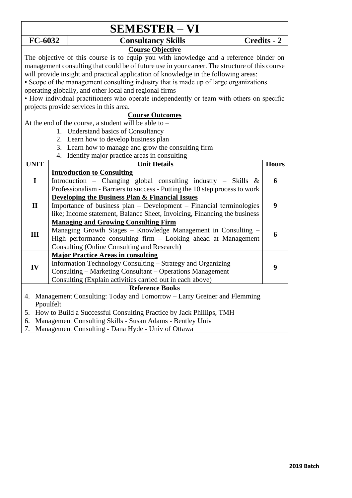| <b>SEMESTER – VI</b>              |                                                                                                       |                                                                                                                                                |                    |  |
|-----------------------------------|-------------------------------------------------------------------------------------------------------|------------------------------------------------------------------------------------------------------------------------------------------------|--------------------|--|
| FC-6032                           |                                                                                                       | <b>Consultancy Skills</b>                                                                                                                      | <b>Credits - 2</b> |  |
| <b>Course Objective</b>           |                                                                                                       |                                                                                                                                                |                    |  |
|                                   |                                                                                                       | The objective of this course is to equip you with knowledge and a reference binder on                                                          |                    |  |
|                                   |                                                                                                       | management consulting that could be of future use in your career. The structure of this course                                                 |                    |  |
|                                   |                                                                                                       | will provide insight and practical application of knowledge in the following areas:                                                            |                    |  |
|                                   |                                                                                                       | • Scope of the management consulting industry that is made up of large organizations                                                           |                    |  |
|                                   |                                                                                                       | operating globally, and other local and regional firms                                                                                         |                    |  |
|                                   |                                                                                                       | • How individual practitioners who operate independently or team with others on specific                                                       |                    |  |
|                                   |                                                                                                       | projects provide services in this area.                                                                                                        |                    |  |
|                                   |                                                                                                       | <b>Course Outcomes</b>                                                                                                                         |                    |  |
|                                   |                                                                                                       | At the end of the course, a student will be able to -                                                                                          |                    |  |
|                                   |                                                                                                       | 1. Understand basics of Consultancy<br>2. Learn how to develop business plan                                                                   |                    |  |
|                                   |                                                                                                       |                                                                                                                                                |                    |  |
|                                   | 3. Learn how to manage and grow the consulting firm<br>4. Identify major practice areas in consulting |                                                                                                                                                |                    |  |
| <b>UNIT</b>                       |                                                                                                       | <b>Unit Details</b>                                                                                                                            | <b>Hours</b>       |  |
| <b>Introduction to Consulting</b> |                                                                                                       |                                                                                                                                                |                    |  |
| $\mathbf I$                       |                                                                                                       | Introduction - Changing global consulting industry - Skills $\&$                                                                               | 6                  |  |
|                                   |                                                                                                       | Professionalism - Barriers to success - Putting the 10 step process to work                                                                    |                    |  |
|                                   |                                                                                                       | <b>Developing the Business Plan &amp; Financial Issues</b>                                                                                     |                    |  |
| $\mathbf{I}$                      |                                                                                                       | Importance of business plan - Development - Financial terminologies                                                                            | 9                  |  |
|                                   |                                                                                                       | like; Income statement, Balance Sheet, Invoicing, Financing the business                                                                       |                    |  |
|                                   |                                                                                                       | <b>Managing and Growing Consulting Firm</b>                                                                                                    |                    |  |
| III                               |                                                                                                       | Managing Growth Stages - Knowledge Management in Consulting -                                                                                  | 6                  |  |
|                                   |                                                                                                       | High performance consulting firm - Looking ahead at Management                                                                                 |                    |  |
|                                   |                                                                                                       | <b>Consulting (Online Consulting and Research)</b>                                                                                             |                    |  |
|                                   |                                                                                                       | <b>Major Practice Areas in consulting</b>                                                                                                      |                    |  |
| IV                                |                                                                                                       | Information Technology Consulting – Strategy and Organizing                                                                                    | 9                  |  |
|                                   |                                                                                                       | Consulting – Marketing Consultant – Operations Management                                                                                      |                    |  |
|                                   |                                                                                                       | Consulting (Explain activities carried out in each above)                                                                                      |                    |  |
| <b>Reference Books</b>            |                                                                                                       |                                                                                                                                                |                    |  |
| 4.                                |                                                                                                       | Management Consulting: Today and Tomorrow – Larry Greiner and Flemming                                                                         |                    |  |
|                                   | Ppoulfelt                                                                                             |                                                                                                                                                |                    |  |
|                                   |                                                                                                       | 5. How to Build a Successful Consulting Practice by Jack Phillips, TMH                                                                         |                    |  |
| $\overline{ }$                    |                                                                                                       | 6. Management Consulting Skills - Susan Adams - Bentley Univ<br>$\mathbf{M}$ $(\mathcal{O} \cup \mathcal{O})$ $(\mathcal{O} \cup \mathcal{O})$ |                    |  |

7. Management Consulting - Dana Hyde - Univ of Ottawa